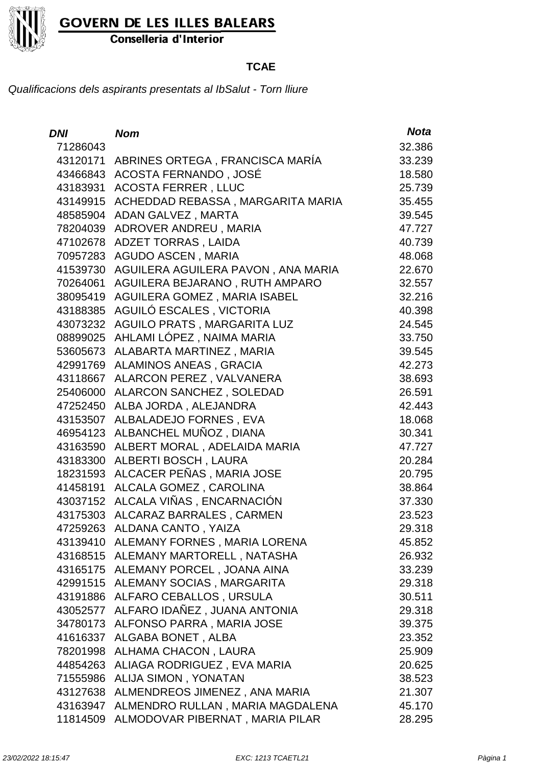

Conselleria d'Interior

### **TCAE**

| DNI      | <b>Nom</b>                                | <b>Nota</b> |
|----------|-------------------------------------------|-------------|
| 71286043 |                                           | 32.386      |
| 43120171 | ABRINES ORTEGA, FRANCISCA MARÍA           | 33.239      |
|          | 43466843 ACOSTA FERNANDO, JOSÉ            | 18.580      |
| 43183931 | <b>ACOSTA FERRER, LLUC</b>                | 25.739      |
| 43149915 | ACHEDDAD REBASSA, MARGARITA MARIA         | 35.455      |
| 48585904 | ADAN GALVEZ, MARTA                        | 39.545      |
| 78204039 | ADROVER ANDREU, MARIA                     | 47.727      |
| 47102678 | ADZET TORRAS, LAIDA                       | 40.739      |
| 70957283 | <b>AGUDO ASCEN, MARIA</b>                 | 48.068      |
| 41539730 | AGUILERA AGUILERA PAVON, ANA MARIA        | 22.670      |
| 70264061 | AGUILERA BEJARANO, RUTH AMPARO            | 32.557      |
| 38095419 | <b>AGUILERA GOMEZ, MARIA ISABEL</b>       | 32.216      |
| 43188385 | AGUILÓ ESCALES, VICTORIA                  | 40.398      |
| 43073232 | <b>AGUILO PRATS, MARGARITA LUZ</b>        | 24.545      |
| 08899025 | AHLAMI LÓPEZ, NAIMA MARIA                 | 33.750      |
| 53605673 | ALABARTA MARTINEZ, MARIA                  | 39.545      |
| 42991769 | <b>ALAMINOS ANEAS, GRACIA</b>             | 42.273      |
| 43118667 | ALARCON PEREZ, VALVANERA                  | 38.693      |
| 25406000 | ALARCON SANCHEZ, SOLEDAD                  | 26.591      |
| 47252450 | ALBA JORDA, ALEJANDRA                     | 42.443      |
| 43153507 | ALBALADEJO FORNES, EVA                    | 18.068      |
|          | 46954123 ALBANCHEL MUÑOZ, DIANA           | 30.341      |
| 43163590 | ALBERT MORAL, ADELAIDA MARIA              | 47.727      |
| 43183300 | ALBERTI BOSCH, LAURA                      | 20.284      |
| 18231593 | ALCACER PEÑAS, MARIA JOSE                 | 20.795      |
| 41458191 | ALCALA GOMEZ, CAROLINA                    | 38.864      |
| 43037152 | ALCALA VIÑAS , ENCARNACIÓN                | 37.330      |
| 43175303 | ALCARAZ BARRALES, CARMEN                  | 23.523      |
| 47259263 | <b>ALDANA CANTO, YAIZA</b>                | 29.318      |
|          | 43139410 ALEMANY FORNES, MARIA LORENA     | 45.852      |
|          | 43168515 ALEMANY MARTORELL, NATASHA       | 26.932      |
|          | 43165175 ALEMANY PORCEL, JOANA AINA       | 33.239      |
|          | 42991515 ALEMANY SOCIAS, MARGARITA        | 29.318      |
|          | 43191886 ALFARO CEBALLOS, URSULA          | 30.511      |
| 43052577 | ALFARO IDAÑEZ, JUANA ANTONIA              | 29.318      |
|          | 34780173 ALFONSO PARRA, MARIA JOSE        | 39.375      |
|          | 41616337 ALGABA BONET, ALBA               | 23.352      |
|          | 78201998 ALHAMA CHACON, LAURA             | 25.909      |
|          | 44854263 ALIAGA RODRIGUEZ, EVA MARIA      | 20.625      |
|          | 71555986 ALIJA SIMON, YONATAN             | 38.523      |
|          | 43127638 ALMENDREOS JIMENEZ, ANA MARIA    | 21.307      |
|          | 43163947 ALMENDRO RULLAN, MARIA MAGDALENA | 45.170      |
|          | 11814509 ALMODOVAR PIBERNAT, MARIA PILAR  | 28.295      |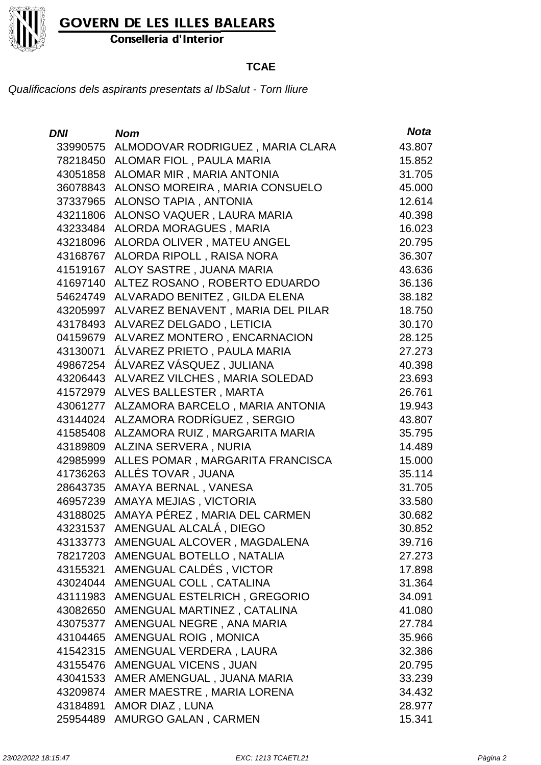

Conselleria d'Interior

#### **TCAE**

| <i>DNI</i> | <b>Nom</b>                           | <b>Nota</b> |
|------------|--------------------------------------|-------------|
| 33990575   | ALMODOVAR RODRIGUEZ, MARIA CLARA     | 43.807      |
| 78218450   | ALOMAR FIOL, PAULA MARIA             | 15.852      |
| 43051858   | ALOMAR MIR, MARIA ANTONIA            | 31.705      |
| 36078843   | ALONSO MOREIRA, MARIA CONSUELO       | 45.000      |
| 37337965   | <b>ALONSO TAPIA, ANTONIA</b>         | 12.614      |
| 43211806   | ALONSO VAQUER, LAURA MARIA           | 40.398      |
| 43233484   | <b>ALORDA MORAGUES, MARIA</b>        | 16.023      |
| 43218096   | ALORDA OLIVER, MATEU ANGEL           | 20.795      |
| 43168767   | ALORDA RIPOLL, RAISA NORA            | 36.307      |
| 41519167   | ALOY SASTRE, JUANA MARIA             | 43.636      |
| 41697140   | ALTEZ ROSANO, ROBERTO EDUARDO        | 36.136      |
| 54624749   | ALVARADO BENITEZ, GILDA ELENA        | 38.182      |
| 43205997   | ALVAREZ BENAVENT, MARIA DEL PILAR    | 18.750      |
| 43178493   | ALVAREZ DELGADO, LETICIA             | 30.170      |
| 04159679   | ALVAREZ MONTERO, ENCARNACION         | 28.125      |
| 43130071   | ÁLVAREZ PRIETO, PAULA MARIA          | 27.273      |
| 49867254   | ÁLVAREZ VÁSQUEZ, JULIANA             | 40.398      |
| 43206443   | ALVAREZ VILCHES, MARIA SOLEDAD       | 23.693      |
| 41572979   | ALVES BALLESTER, MARTA               | 26.761      |
| 43061277   | ALZAMORA BARCELO, MARIA ANTONIA      | 19.943      |
| 43144024   | ALZAMORA RODRÍGUEZ, SERGIO           | 43.807      |
| 41585408   | ALZAMORA RUIZ, MARGARITA MARIA       | 35.795      |
| 43189809   | ALZINA SERVERA, NURIA                | 14.489      |
| 42985999   | ALLES POMAR, MARGARITA FRANCISCA     | 15.000      |
| 41736263   | ALLÉS TOVAR, JUANA                   | 35.114      |
| 28643735   | AMAYA BERNAL, VANESA                 | 31.705      |
| 46957239   | AMAYA MEJIAS, VICTORIA               | 33.580      |
| 43188025   | AMAYA PÉREZ, MARIA DEL CARMEN        | 30.682      |
| 43231537   | AMENGUAL ALCALÁ, DIEGO               | 30.852      |
|            | 43133773 AMENGUAL ALCOVER, MAGDALENA | 39.716      |
|            | 78217203 AMENGUAL BOTELLO, NATALIA   | 27.273      |
| 43155321   | AMENGUAL CALDÉS, VICTOR              | 17.898      |
| 43024044   | AMENGUAL COLL, CATALINA              | 31.364      |
| 43111983   | AMENGUAL ESTELRICH, GREGORIO         | 34.091      |
| 43082650   | AMENGUAL MARTINEZ, CATALINA          | 41.080      |
| 43075377   | AMENGUAL NEGRE, ANA MARIA            | 27.784      |
| 43104465   | AMENGUAL ROIG, MONICA                | 35.966      |
| 41542315   | AMENGUAL VERDERA, LAURA              | 32.386      |
| 43155476   | AMENGUAL VICENS, JUAN                | 20.795      |
| 43041533   | AMER AMENGUAL, JUANA MARIA           | 33.239      |
| 43209874   | AMER MAESTRE, MARIA LORENA           | 34.432      |
| 43184891   | AMOR DIAZ, LUNA                      | 28.977      |
| 25954489   | AMURGO GALAN, CARMEN                 | 15.341      |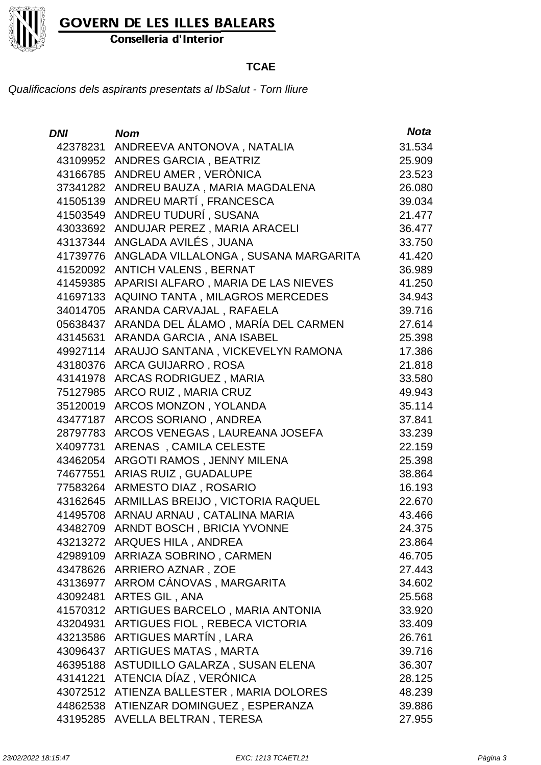

Conselleria d'Interior

### **TCAE**

| <b>DNI</b> | <b>Nom</b>                             | <b>Nota</b> |
|------------|----------------------------------------|-------------|
| 42378231   | ANDREEVA ANTONOVA, NATALIA             | 31.534      |
| 43109952   | <b>ANDRES GARCIA, BEATRIZ</b>          | 25.909      |
| 43166785   | ANDREU AMER, VERÒNICA                  | 23.523      |
| 37341282   | ANDREU BAUZA, MARIA MAGDALENA          | 26.080      |
| 41505139   | ANDREU MARTÍ, FRANCESCA                | 39.034      |
| 41503549   | ANDREU TUDURÍ, SUSANA                  | 21.477      |
| 43033692   | ANDUJAR PEREZ, MARIA ARACELI           | 36.477      |
| 43137344   | ANGLADA AVILÉS, JUANA                  | 33.750      |
| 41739776   | ANGLADA VILLALONGA, SUSANA MARGARITA   | 41.420      |
| 41520092   | <b>ANTICH VALENS, BERNAT</b>           | 36.989      |
| 41459385   | APARISI ALFARO, MARIA DE LAS NIEVES    | 41.250      |
| 41697133   | AQUINO TANTA, MILAGROS MERCEDES        | 34.943      |
| 34014705   | ARANDA CARVAJAL, RAFAELA               | 39.716      |
| 05638437   | ARANDA DEL ÁLAMO, MARÍA DEL CARMEN     | 27.614      |
| 43145631   | ARANDA GARCIA, ANA ISABEL              | 25.398      |
| 49927114   | ARAUJO SANTANA, VICKEVELYN RAMONA      | 17.386      |
| 43180376   | ARCA GUIJARRO, ROSA                    | 21.818      |
| 43141978   | <b>ARCAS RODRIGUEZ, MARIA</b>          | 33.580      |
| 75127985   | ARCO RUIZ, MARIA CRUZ                  | 49.943      |
| 35120019   | ARCOS MONZON, YOLANDA                  | 35.114      |
| 43477187   | ARCOS SORIANO, ANDREA                  | 37.841      |
| 28797783   | ARCOS VENEGAS, LAUREANA JOSEFA         | 33.239      |
| X4097731   | ARENAS, CAMILA CELESTE                 | 22.159      |
| 43462054   | ARGOTI RAMOS, JENNY MILENA             | 25.398      |
| 74677551   | ARIAS RUIZ, GUADALUPE                  | 38.864      |
| 77583264   | ARMESTO DIAZ, ROSARIO                  | 16.193      |
| 43162645   | ARMILLAS BREIJO, VICTORIA RAQUEL       | 22.670      |
| 41495708   | ARNAU ARNAU, CATALINA MARIA            | 43.466      |
| 43482709   | ARNDT BOSCH, BRICIA YVONNE             | 24.375      |
|            | 43213272 ARQUES HILA, ANDREA           | 23.864      |
|            | 42989109 ARRIAZA SOBRINO, CARMEN       | 46.705      |
| 43478626   | ARRIERO AZNAR, ZOE                     | 27.443      |
| 43136977   | ARROM CÁNOVAS, MARGARITA               | 34.602      |
| 43092481   | ARTES GIL, ANA                         | 25.568      |
| 41570312   | ARTIGUES BARCELO, MARIA ANTONIA        | 33.920      |
| 43204931   | ARTIGUES FIOL, REBECA VICTORIA         | 33.409      |
| 43213586   | ARTIGUES MARTÍN, LARA                  | 26.761      |
| 43096437   | <b>ARTIGUES MATAS, MARTA</b>           | 39.716      |
| 46395188   | ASTUDILLO GALARZA, SUSAN ELENA         | 36.307      |
| 43141221   | ATENCIA DÍAZ, VERÓNICA                 | 28.125      |
| 43072512   | ATIENZA BALLESTER, MARIA DOLORES       | 48.239      |
|            | 44862538 ATIENZAR DOMINGUEZ, ESPERANZA | 39.886      |
|            | 43195285 AVELLA BELTRAN, TERESA        | 27.955      |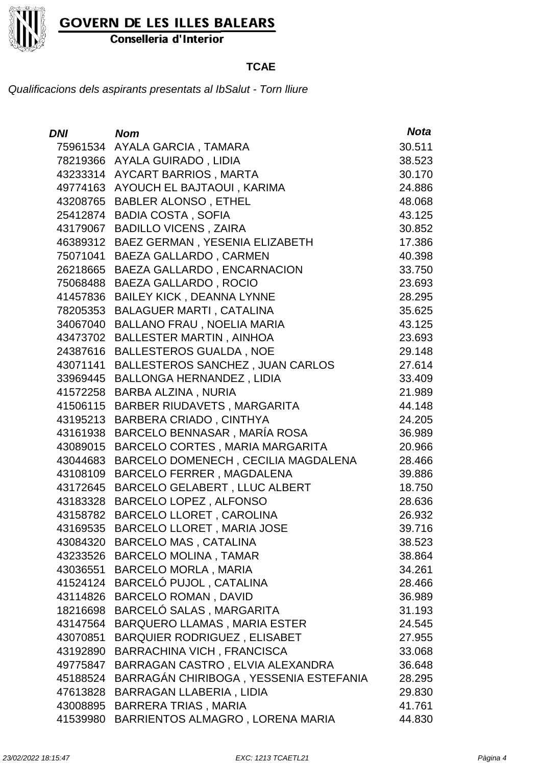

Conselleria d'Interior

#### **TCAE**

| DNI      | <b>Nom</b>                                   | <b>Nota</b> |
|----------|----------------------------------------------|-------------|
| 75961534 | AYALA GARCIA, TAMARA                         | 30.511      |
|          | 78219366 AYALA GUIRADO, LIDIA                | 38.523      |
|          | 43233314 AYCART BARRIOS, MARTA               | 30.170      |
|          | 49774163 AYOUCH EL BAJTAOUI, KARIMA          | 24.886      |
| 43208765 | <b>BABLER ALONSO, ETHEL</b>                  | 48.068      |
| 25412874 | <b>BADIA COSTA, SOFIA</b>                    | 43.125      |
| 43179067 | <b>BADILLO VICENS, ZAIRA</b>                 | 30.852      |
|          | 46389312 BAEZ GERMAN, YESENIA ELIZABETH      | 17.386      |
| 75071041 | <b>BAEZA GALLARDO, CARMEN</b>                | 40.398      |
| 26218665 | BAEZA GALLARDO, ENCARNACION                  | 33.750      |
| 75068488 | <b>BAEZA GALLARDO, ROCIO</b>                 | 23.693      |
|          | 41457836 BAILEY KICK, DEANNA LYNNE           | 28.295      |
| 78205353 | <b>BALAGUER MARTI, CATALINA</b>              | 35.625      |
| 34067040 | <b>BALLANO FRAU, NOELIA MARIA</b>            | 43.125      |
| 43473702 | <b>BALLESTER MARTIN, AINHOA</b>              | 23.693      |
|          | 24387616 BALLESTEROS GUALDA, NOE             | 29.148      |
|          | 43071141 BALLESTEROS SANCHEZ, JUAN CARLOS    | 27.614      |
|          | 33969445 BALLONGA HERNANDEZ, LIDIA           | 33.409      |
|          | 41572258 BARBA ALZINA, NURIA                 | 21.989      |
|          | 41506115 BARBER RIUDAVETS, MARGARITA         | 44.148      |
| 43195213 | <b>BARBERA CRIADO, CINTHYA</b>               | 24.205      |
|          | 43161938 BARCELO BENNASAR, MARÍA ROSA        | 36.989      |
|          | 43089015 BARCELO CORTES, MARIA MARGARITA     | 20.966      |
|          | 43044683 BARCELO DOMENECH, CECILIA MAGDALENA | 28.466      |
| 43108109 | BARCELO FERRER, MAGDALENA                    | 39.886      |
|          | 43172645 BARCELO GELABERT, LLUC ALBERT       | 18.750      |
|          | 43183328 BARCELO LOPEZ, ALFONSO              | 28.636      |
|          | 43158782 BARCELO LLORET, CAROLINA            | 26.932      |
| 43169535 | <b>BARCELO LLORET, MARIA JOSE</b>            | 39.716      |
|          | 43084320 BARCELO MAS, CATALINA               | 38.523      |
|          | 43233526 BARCELO MOLINA, TAMAR               | 38.864      |
|          | 43036551 BARCELO MORLA, MARIA                | 34.261      |
|          | 41524124 BARCELÓ PUJOL, CATALINA             | 28.466      |
|          | 43114826 BARCELO ROMAN, DAVID                | 36.989      |
| 18216698 | BARCELÓ SALAS, MARGARITA                     | 31.193      |
| 43147564 | <b>BARQUERO LLAMAS, MARIA ESTER</b>          | 24.545      |
| 43070851 | BARQUIER RODRIGUEZ, ELISABET                 | 27.955      |
|          | 43192890 BARRACHINA VICH, FRANCISCA          | 33.068      |
| 49775847 | BARRAGAN CASTRO, ELVIA ALEXANDRA             | 36.648      |
| 45188524 | BARRAGÁN CHIRIBOGA, YESSENIA ESTEFANIA       | 28.295      |
| 47613828 | BARRAGAN LLABERIA, LIDIA                     | 29.830      |
|          | 43008895 BARRERA TRIAS, MARIA                | 41.761      |
| 41539980 | BARRIENTOS ALMAGRO, LORENA MARIA             | 44.830      |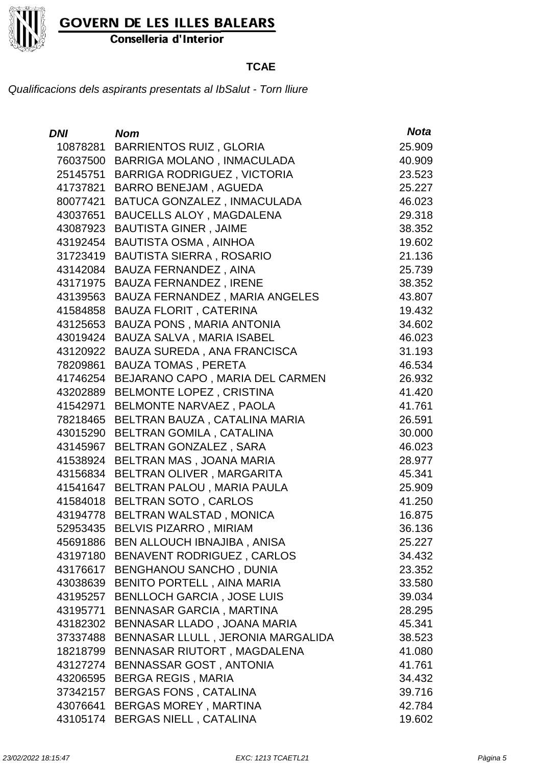

Conselleria d'Interior

### **TCAE**

| DNI      | <b>Nom</b>                           | <b>Nota</b> |
|----------|--------------------------------------|-------------|
| 10878281 | <b>BARRIENTOS RUIZ, GLORIA</b>       | 25.909      |
| 76037500 | BARRIGA MOLANO, INMACULADA           | 40.909      |
| 25145751 | <b>BARRIGA RODRIGUEZ, VICTORIA</b>   | 23.523      |
| 41737821 | <b>BARRO BENEJAM, AGUEDA</b>         | 25.227      |
| 80077421 | BATUCA GONZALEZ, INMACULADA          | 46.023      |
| 43037651 | <b>BAUCELLS ALOY, MAGDALENA</b>      | 29.318      |
| 43087923 | <b>BAUTISTA GINER, JAIME</b>         | 38.352      |
| 43192454 | <b>BAUTISTA OSMA, AINHOA</b>         | 19.602      |
| 31723419 | <b>BAUTISTA SIERRA, ROSARIO</b>      | 21.136      |
| 43142084 | <b>BAUZA FERNANDEZ, AINA</b>         | 25.739      |
| 43171975 | <b>BAUZA FERNANDEZ, IRENE</b>        | 38.352      |
| 43139563 | BAUZA FERNANDEZ, MARIA ANGELES       | 43.807      |
| 41584858 | <b>BAUZA FLORIT, CATERINA</b>        | 19.432      |
| 43125653 | <b>BAUZA PONS, MARIA ANTONIA</b>     | 34.602      |
| 43019424 | BAUZA SALVA, MARIA ISABEL            | 46.023      |
| 43120922 | BAUZA SUREDA, ANA FRANCISCA          | 31.193      |
| 78209861 | <b>BAUZA TOMAS, PERETA</b>           | 46.534      |
| 41746254 | BEJARANO CAPO, MARIA DEL CARMEN      | 26.932      |
| 43202889 | <b>BELMONTE LOPEZ, CRISTINA</b>      | 41.420      |
| 41542971 | BELMONTE NARVAEZ, PAOLA              | 41.761      |
| 78218465 | BELTRAN BAUZA, CATALINA MARIA        | 26.591      |
| 43015290 | BELTRAN GOMILA, CATALINA             | 30.000      |
| 43145967 | BELTRAN GONZALEZ, SARA               | 46.023      |
| 41538924 | BELTRAN MAS, JOANA MARIA             | 28.977      |
| 43156834 | BELTRAN OLIVER, MARGARITA            | 45.341      |
| 41541647 | BELTRAN PALOU, MARIA PAULA           | 25.909      |
|          | 41584018 BELTRAN SOTO, CARLOS        | 41.250      |
|          | 43194778 BELTRAN WALSTAD, MONICA     | 16.875      |
| 52953435 | <b>BELVIS PIZARRO, MIRIAM</b>        | 36.136      |
|          | 45691886 BEN ALLOUCH IBNAJIBA, ANISA | 25.227      |
| 43197180 | BENAVENT RODRIGUEZ, CARLOS           | 34.432      |
| 43176617 | <b>BENGHANOU SANCHO, DUNIA</b>       | 23.352      |
| 43038639 | <b>BENITO PORTELL, AINA MARIA</b>    | 33.580      |
| 43195257 | <b>BENLLOCH GARCIA, JOSE LUIS</b>    | 39.034      |
| 43195771 | <b>BENNASAR GARCIA, MARTINA</b>      | 28.295      |
| 43182302 | BENNASAR LLADO, JOANA MARIA          | 45.341      |
| 37337488 | BENNASAR LLULL, JERONIA MARGALIDA    | 38.523      |
| 18218799 | BENNASAR RIUTORT, MAGDALENA          | 41.080      |
| 43127274 | BENNASSAR GOST, ANTONIA              | 41.761      |
| 43206595 | <b>BERGA REGIS, MARIA</b>            | 34.432      |
| 37342157 | <b>BERGAS FONS, CATALINA</b>         | 39.716      |
| 43076641 | <b>BERGAS MOREY, MARTINA</b>         | 42.784      |
| 43105174 | <b>BERGAS NIELL, CATALINA</b>        | 19.602      |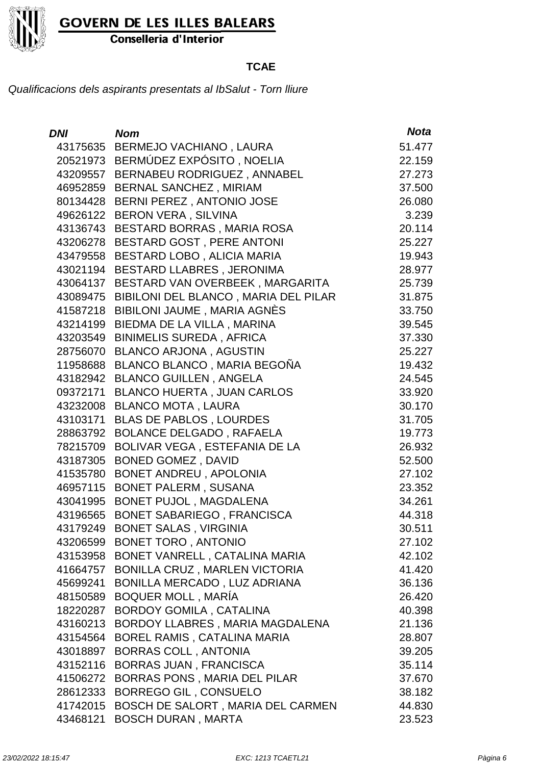

Conselleria d'Interior

#### **TCAE**

| DNI      | <b>Nom</b>                           | <b>Nota</b> |
|----------|--------------------------------------|-------------|
|          | 43175635 BERMEJO VACHIANO, LAURA     | 51.477      |
|          | 20521973 BERMÚDEZ EXPÓSITO, NOELIA   | 22.159      |
| 43209557 | BERNABEU RODRIGUEZ, ANNABEL          | 27.273      |
|          | 46952859 BERNAL SANCHEZ, MIRIAM      | 37.500      |
| 80134428 | BERNI PEREZ, ANTONIO JOSE            | 26.080      |
| 49626122 | <b>BERON VERA, SILVINA</b>           | 3.239       |
| 43136743 | BESTARD BORRAS, MARIA ROSA           | 20.114      |
| 43206278 | BESTARD GOST, PERE ANTONI            | 25.227      |
| 43479558 | BESTARD LOBO, ALICIA MARIA           | 19.943      |
| 43021194 | <b>BESTARD LLABRES, JERONIMA</b>     | 28.977      |
| 43064137 | BESTARD VAN OVERBEEK, MARGARITA      | 25.739      |
| 43089475 | BIBILONI DEL BLANCO, MARIA DEL PILAR | 31.875      |
| 41587218 | <b>BIBILONI JAUME, MARIA AGNÈS</b>   | 33.750      |
| 43214199 | BIEDMA DE LA VILLA, MARINA           | 39.545      |
| 43203549 | <b>BINIMELIS SUREDA, AFRICA</b>      | 37.330      |
| 28756070 | <b>BLANCO ARJONA, AGUSTIN</b>        | 25.227      |
| 11958688 | BLANCO BLANCO, MARIA BEGOÑA          | 19.432      |
| 43182942 | <b>BLANCO GUILLEN, ANGELA</b>        | 24.545      |
| 09372171 | <b>BLANCO HUERTA, JUAN CARLOS</b>    | 33.920      |
| 43232008 | <b>BLANCO MOTA, LAURA</b>            | 30.170      |
| 43103171 | <b>BLAS DE PABLOS, LOURDES</b>       | 31.705      |
| 28863792 | <b>BOLANCE DELGADO, RAFAELA</b>      | 19.773      |
| 78215709 | BOLIVAR VEGA, ESTEFANIA DE LA        | 26.932      |
| 43187305 | <b>BONED GOMEZ, DAVID</b>            | 52.500      |
| 41535780 | <b>BONET ANDREU, APOLONIA</b>        | 27.102      |
| 46957115 | <b>BONET PALERM, SUSANA</b>          | 23.352      |
| 43041995 | BONET PUJOL, MAGDALENA               | 34.261      |
| 43196565 | <b>BONET SABARIEGO, FRANCISCA</b>    | 44.318      |
| 43179249 | <b>BONET SALAS, VIRGINIA</b>         | 30.511      |
|          | 43206599 BONET TORO, ANTONIO         | 27.102      |
| 43153958 | BONET VANRELL, CATALINA MARIA        | 42.102      |
| 41664757 | <b>BONILLA CRUZ, MARLEN VICTORIA</b> | 41.420      |
| 45699241 | BONILLA MERCADO, LUZ ADRIANA         | 36.136      |
| 48150589 | BOQUER MOLL, MARÍA                   | 26.420      |
| 18220287 | <b>BORDOY GOMILA, CATALINA</b>       | 40.398      |
| 43160213 | BORDOY LLABRES, MARIA MAGDALENA      | 21.136      |
| 43154564 | BOREL RAMIS, CATALINA MARIA          | 28.807      |
| 43018897 | <b>BORRAS COLL, ANTONIA</b>          | 39.205      |
| 43152116 | <b>BORRAS JUAN, FRANCISCA</b>        | 35.114      |
| 41506272 | BORRAS PONS, MARIA DEL PILAR         | 37.670      |
| 28612333 | <b>BORREGO GIL, CONSUELO</b>         | 38.182      |
| 41742015 | BOSCH DE SALORT, MARIA DEL CARMEN    | 44.830      |
| 43468121 | <b>BOSCH DURAN, MARTA</b>            | 23.523      |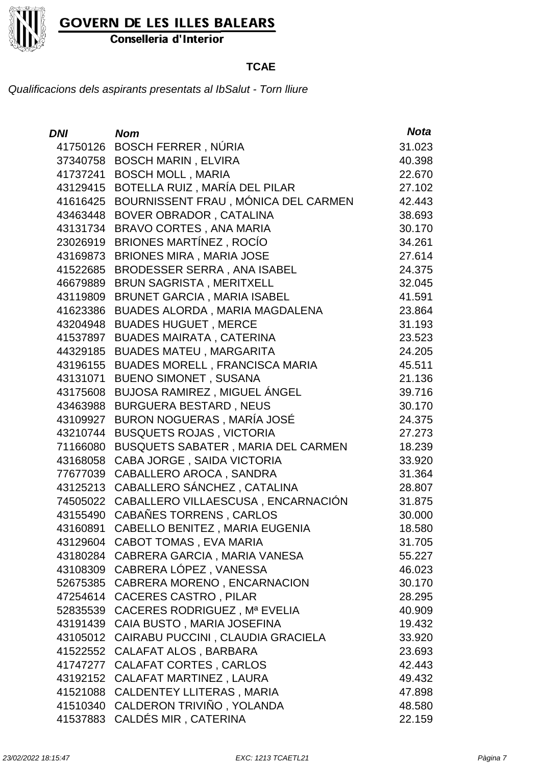

Conselleria d'Interior

### **TCAE**

| <b>DNI</b> | <b>Nom</b>                            | <b>Nota</b> |
|------------|---------------------------------------|-------------|
| 41750126   | <b>BOSCH FERRER, NÚRIA</b>            | 31.023      |
| 37340758   | <b>BOSCH MARIN, ELVIRA</b>            | 40.398      |
| 41737241   | <b>BOSCH MOLL, MARIA</b>              | 22.670      |
| 43129415   | BOTELLA RUIZ, MARÍA DEL PILAR         | 27.102      |
| 41616425   | BOURNISSENT FRAU, MÓNICA DEL CARMEN   | 42.443      |
| 43463448   | BOVER OBRADOR, CATALINA               | 38.693      |
| 43131734   | BRAVO CORTES, ANA MARIA               | 30.170      |
| 23026919   | <b>BRIONES MARTÍNEZ, ROCÍO</b>        | 34.261      |
| 43169873   | <b>BRIONES MIRA, MARIA JOSE</b>       | 27.614      |
| 41522685   | BRODESSER SERRA, ANA ISABEL           | 24.375      |
| 46679889   | <b>BRUN SAGRISTA, MERITXELL</b>       | 32.045      |
| 43119809   | <b>BRUNET GARCIA, MARIA ISABEL</b>    | 41.591      |
| 41623386   | BUADES ALORDA, MARIA MAGDALENA        | 23.864      |
| 43204948   | <b>BUADES HUGUET, MERCE</b>           | 31.193      |
| 41537897   | <b>BUADES MAIRATA, CATERINA</b>       | 23.523      |
| 44329185   | <b>BUADES MATEU, MARGARITA</b>        | 24.205      |
| 43196155   | <b>BUADES MORELL, FRANCISCA MARIA</b> | 45.511      |
| 43131071   | <b>BUENO SIMONET, SUSANA</b>          | 21.136      |
| 43175608   | BUJOSA RAMIREZ, MIGUEL ÁNGEL          | 39.716      |
| 43463988   | <b>BURGUERA BESTARD, NEUS</b>         | 30.170      |
| 43109927   | BURON NOGUERAS, MARÍA JOSÉ            | 24.375      |
| 43210744   | <b>BUSQUETS ROJAS, VICTORIA</b>       | 27.273      |
| 71166080   | BUSQUETS SABATER, MARIA DEL CARMEN    | 18.239      |
| 43168058   | CABA JORGE, SAIDA VICTORIA            | 33.920      |
| 77677039   | CABALLERO AROCA, SANDRA               | 31.364      |
| 43125213   | CABALLERO SÁNCHEZ, CATALINA           | 28.807      |
| 74505022   | CABALLERO VILLAESCUSA, ENCARNACIÓN    | 31.875      |
| 43155490   | CABAÑES TORRENS, CARLOS               | 30.000      |
| 43160891   | CABELLO BENITEZ, MARIA EUGENIA        | 18.580      |
|            | 43129604 CABOT TOMAS, EVA MARIA       | 31.705      |
|            | 43180284 CABRERA GARCIA, MARIA VANESA | 55.227      |
| 43108309   | CABRERA LÓPEZ, VANESSA                | 46.023      |
| 52675385   | CABRERA MORENO, ENCARNACION           | 30.170      |
| 47254614   | <b>CACERES CASTRO, PILAR</b>          | 28.295      |
| 52835539   | CACERES RODRIGUEZ, Mª EVELIA          | 40.909      |
| 43191439   | CAIA BUSTO, MARIA JOSEFINA            | 19.432      |
| 43105012   | CAIRABU PUCCINI, CLAUDIA GRACIELA     | 33.920      |
| 41522552   | CALAFAT ALOS, BARBARA                 | 23.693      |
| 41747277   | <b>CALAFAT CORTES, CARLOS</b>         | 42.443      |
| 43192152   | CALAFAT MARTINEZ, LAURA               | 49.432      |
| 41521088   | <b>CALDENTEY LLITERAS, MARIA</b>      | 47.898      |
| 41510340   | CALDERON TRIVIÑO, YOLANDA             | 48.580      |
| 41537883   | CALDÉS MIR, CATERINA                  | 22.159      |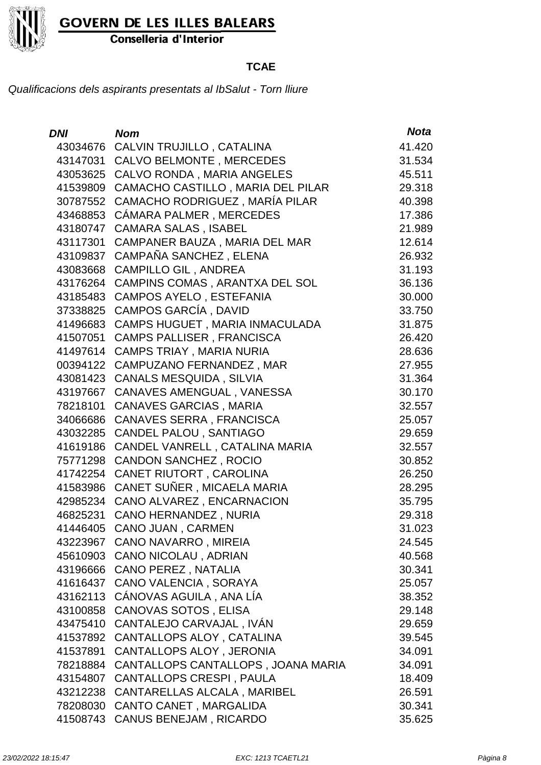

Conselleria d'Interior

### **TCAE**

| <b>DNI</b> | <b>Nom</b>                         | <b>Nota</b> |
|------------|------------------------------------|-------------|
| 43034676   | CALVIN TRUJILLO, CATALINA          | 41.420      |
| 43147031   | <b>CALVO BELMONTE, MERCEDES</b>    | 31.534      |
| 43053625   | CALVO RONDA, MARIA ANGELES         | 45.511      |
| 41539809   | CAMACHO CASTILLO, MARIA DEL PILAR  | 29.318      |
| 30787552   | CAMACHO RODRIGUEZ, MARÍA PILAR     | 40.398      |
| 43468853   | CÁMARA PALMER, MERCEDES            | 17.386      |
| 43180747   | <b>CAMARA SALAS, ISABEL</b>        | 21.989      |
| 43117301   | CAMPANER BAUZA, MARIA DEL MAR      | 12.614      |
| 43109837   | CAMPAÑA SANCHEZ, ELENA             | 26.932      |
| 43083668   | <b>CAMPILLO GIL, ANDREA</b>        | 31.193      |
| 43176264   | CAMPINS COMAS, ARANTXA DEL SOL     | 36.136      |
| 43185483   | <b>CAMPOS AYELO, ESTEFANIA</b>     | 30.000      |
| 37338825   | <b>CAMPOS GARCÍA, DAVID</b>        | 33.750      |
| 41496683   | CAMPS HUGUET, MARIA INMACULADA     | 31.875      |
| 41507051   | <b>CAMPS PALLISER, FRANCISCA</b>   | 26.420      |
| 41497614   | CAMPS TRIAY, MARIA NURIA           | 28.636      |
| 00394122   | <b>CAMPUZANO FERNANDEZ, MAR</b>    | 27.955      |
| 43081423   | <b>CANALS MESQUIDA, SILVIA</b>     | 31.364      |
| 43197667   | CANAVES AMENGUAL, VANESSA          | 30.170      |
| 78218101   | <b>CANAVES GARCIAS, MARIA</b>      | 32.557      |
| 34066686   | CANAVES SERRA, FRANCISCA           | 25.057      |
| 43032285   | CANDEL PALOU, SANTIAGO             | 29.659      |
| 41619186   | CANDEL VANRELL, CATALINA MARIA     | 32.557      |
| 75771298   | <b>CANDON SANCHEZ, ROCIO</b>       | 30.852      |
| 41742254   | CANET RIUTORT, CAROLINA            | 26.250      |
| 41583986   | CANET SUÑER, MICAELA MARIA         | 28.295      |
| 42985234   | CANO ALVAREZ, ENCARNACION          | 35.795      |
| 46825231   | <b>CANO HERNANDEZ, NURIA</b>       | 29.318      |
| 41446405   | CANO JUAN, CARMEN                  | 31.023      |
|            | 43223967 CANO NAVARRO, MIREIA      | 24.545      |
| 45610903   | <b>CANO NICOLAU, ADRIAN</b>        | 40.568      |
| 43196666   | <b>CANO PEREZ, NATALIA</b>         | 30.341      |
| 41616437   | CANO VALENCIA, SORAYA              | 25.057      |
| 43162113   | CÁNOVAS AGUILA, ANA LÍA            | 38.352      |
| 43100858   | <b>CANOVAS SOTOS, ELISA</b>        | 29.148      |
| 43475410   | CANTALEJO CARVAJAL, IVÁN           | 29.659      |
| 41537892   | CANTALLOPS ALOY, CATALINA          | 39.545      |
| 41537891   | CANTALLOPS ALOY, JERONIA           | 34.091      |
| 78218884   | CANTALLOPS CANTALLOPS, JOANA MARIA | 34.091      |
| 43154807   | <b>CANTALLOPS CRESPI, PAULA</b>    | 18.409      |
| 43212238   | CANTARELLAS ALCALA, MARIBEL        | 26.591      |
| 78208030   | CANTO CANET, MARGALIDA             | 30.341      |
| 41508743   | <b>CANUS BENEJAM, RICARDO</b>      | 35.625      |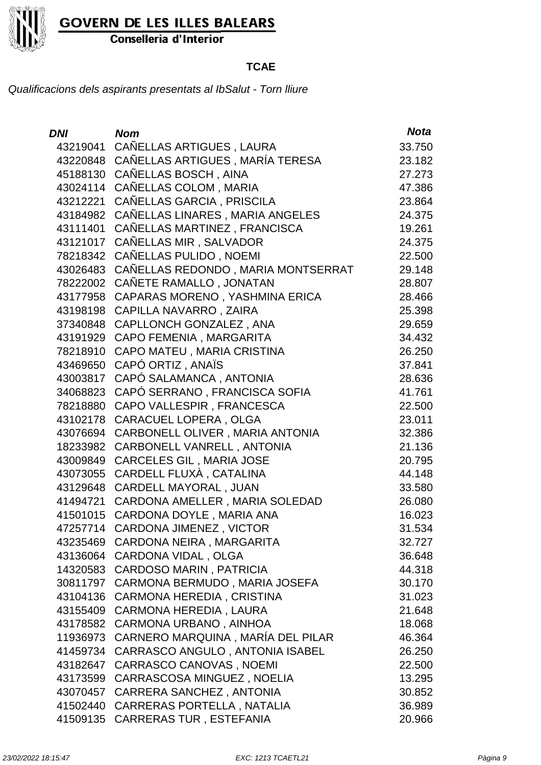

Conselleria d'Interior

### **TCAE**

| <b>DNI</b> | <b>Nom</b>                         | <b>Nota</b> |
|------------|------------------------------------|-------------|
| 43219041   | CAÑELLAS ARTIGUES, LAURA           | 33.750      |
| 43220848   | CAÑELLAS ARTIGUES, MARÍA TERESA    | 23.182      |
| 45188130   | CAÑELLAS BOSCH, AINA               | 27.273      |
| 43024114   | CAÑELLAS COLOM, MARIA              | 47.386      |
| 43212221   | CAÑELLAS GARCIA, PRISCILA          | 23.864      |
| 43184982   | CANELLAS LINARES, MARIA ANGELES    | 24.375      |
| 43111401   | CAÑELLAS MARTINEZ, FRANCISCA       | 19.261      |
| 43121017   | CAÑELLAS MIR, SALVADOR             | 24.375      |
| 78218342   | CAÑELLAS PULIDO, NOEMI             | 22.500      |
| 43026483   | CAÑELLAS REDONDO, MARIA MONTSERRAT | 29.148      |
| 78222002   | CAÑETE RAMALLO, JONATAN            | 28.807      |
| 43177958   | CAPARAS MORENO, YASHMINA ERICA     | 28.466      |
| 43198198   | CAPILLA NAVARRO, ZAIRA             | 25.398      |
| 37340848   | CAPLLONCH GONZALEZ, ANA            | 29.659      |
| 43191929   | CAPO FEMENIA, MARGARITA            | 34.432      |
| 78218910   | CAPO MATEU, MARIA CRISTINA         | 26.250      |
| 43469650   | CAPÓ ORTIZ, ANAÏS                  | 37.841      |
| 43003817   | CAPÓ SALAMANCA, ANTONIA            | 28.636      |
| 34068823   | CAPÓ SERRANO, FRANCISCA SOFIA      | 41.761      |
| 78218880   | CAPO VALLESPIR, FRANCESCA          | 22.500      |
| 43102178   | <b>CARACUEL LOPERA, OLGA</b>       | 23.011      |
| 43076694   | CARBONELL OLIVER, MARIA ANTONIA    | 32.386      |
| 18233982   | CARBONELL VANRELL, ANTONIA         | 21.136      |
| 43009849   | <b>CARCELES GIL, MARIA JOSE</b>    | 20.795      |
| 43073055   | CARDELL FLUXÀ, CATALINA            | 44.148      |
| 43129648   | CARDELL MAYORAL, JUAN              | 33.580      |
| 41494721   | CARDONA AMELLER, MARIA SOLEDAD     | 26.080      |
| 41501015   | CARDONA DOYLE, MARIA ANA           | 16.023      |
| 47257714   | <b>CARDONA JIMENEZ, VICTOR</b>     | 31.534      |
|            | 43235469 CARDONA NEIRA, MARGARITA  | 32.727      |
| 43136064   | <b>CARDONA VIDAL, OLGA</b>         | 36.648      |
| 14320583   | <b>CARDOSO MARIN, PATRICIA</b>     | 44.318      |
| 30811797   | CARMONA BERMUDO, MARIA JOSEFA      | 30.170      |
| 43104136   | CARMONA HEREDIA, CRISTINA          | 31.023      |
| 43155409   | <b>CARMONA HEREDIA, LAURA</b>      | 21.648      |
| 43178582   | CARMONA URBANO, AINHOA             | 18.068      |
| 11936973   | CARNERO MARQUINA, MARÍA DEL PILAR  | 46.364      |
| 41459734   | CARRASCO ANGULO, ANTONIA ISABEL    | 26.250      |
| 43182647   | <b>CARRASCO CANOVAS, NOEMI</b>     | 22.500      |
| 43173599   | CARRASCOSA MINGUEZ, NOELIA         | 13.295      |
| 43070457   | CARRERA SANCHEZ, ANTONIA           | 30.852      |
| 41502440   | CARRERAS PORTELLA, NATALIA         | 36.989      |
| 41509135   | <b>CARRERAS TUR, ESTEFANIA</b>     | 20.966      |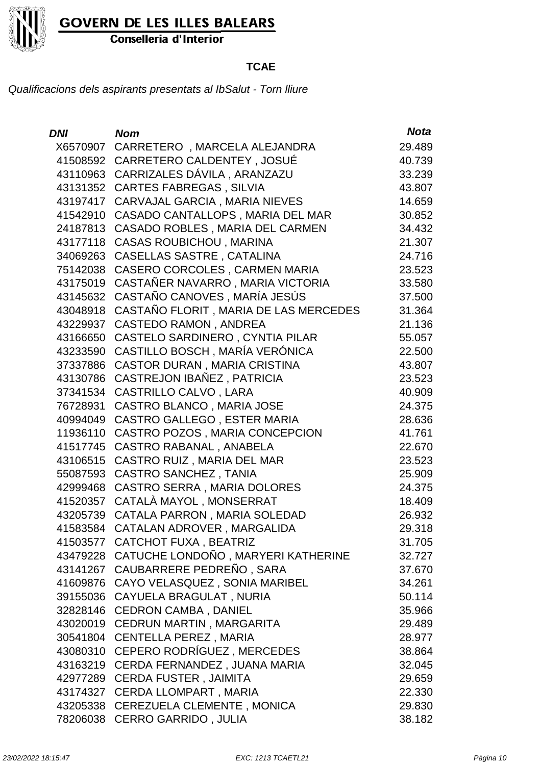

Conselleria d'Interior

### **TCAE**

| DNI      | <b>Nom</b>                                  | <b>Nota</b> |
|----------|---------------------------------------------|-------------|
| X6570907 | CARRETERO, MARCELA ALEJANDRA                | 29.489      |
|          | 41508592 CARRETERO CALDENTEY, JOSUÉ         | 40.739      |
|          | 43110963 CARRIZALES DÁVILA, ARANZAZU        | 33.239      |
|          | 43131352 CARTES FABREGAS, SILVIA            | 43.807      |
| 43197417 | CARVAJAL GARCIA, MARIA NIEVES               | 14.659      |
| 41542910 | CASADO CANTALLOPS, MARIA DEL MAR            | 30.852      |
| 24187813 | CASADO ROBLES, MARIA DEL CARMEN             | 34.432      |
| 43177118 | <b>CASAS ROUBICHOU, MARINA</b>              | 21.307      |
| 34069263 | <b>CASELLAS SASTRE, CATALINA</b>            | 24.716      |
| 75142038 | CASERO CORCOLES, CARMEN MARIA               | 23.523      |
| 43175019 | CASTAÑER NAVARRO, MARIA VICTORIA            | 33.580      |
|          | 43145632 CASTAÑO CANOVES, MARÍA JESÚS       | 37.500      |
| 43048918 | CASTAÑO FLORIT, MARIA DE LAS MERCEDES       | 31.364      |
| 43229937 | <b>CASTEDO RAMON, ANDREA</b>                | 21.136      |
| 43166650 | CASTELO SARDINERO, CYNTIA PILAR             | 55.057      |
| 43233590 | CASTILLO BOSCH, MARÍA VERÓNICA              | 22.500      |
| 37337886 | CASTOR DURAN, MARIA CRISTINA                | 43.807      |
| 43130786 | CASTREJON IBAÑEZ, PATRICIA                  | 23.523      |
| 37341534 | <b>CASTRILLO CALVO, LARA</b>                | 40.909      |
| 76728931 | CASTRO BLANCO, MARIA JOSE                   | 24.375      |
| 40994049 | CASTRO GALLEGO, ESTER MARIA                 | 28.636      |
| 11936110 | CASTRO POZOS, MARIA CONCEPCION              | 41.761      |
| 41517745 | CASTRO RABANAL, ANABELA                     | 22.670      |
| 43106515 | CASTRO RUIZ, MARIA DEL MAR                  | 23.523      |
| 55087593 | <b>CASTRO SANCHEZ, TANIA</b>                | 25.909      |
| 42999468 | CASTRO SERRA, MARIA DOLORES                 | 24.375      |
| 41520357 | CATALÀ MAYOL, MONSERRAT                     | 18.409      |
| 43205739 | CATALA PARRON, MARIA SOLEDAD                | 26.932      |
| 41583584 | CATALAN ADROVER, MARGALIDA                  | 29.318      |
|          | 41503577 CATCHOT FUXA, BEATRIZ              | 31.705      |
|          | 43479228 CATUCHE LONDOÑO, MARYERI KATHERINE | 32.727      |
|          | 43141267 CAUBARRERE PEDREÑO, SARA           | 37.670      |
|          | 41609876 CAYO VELASQUEZ, SONIA MARIBEL      | 34.261      |
|          | 39155036 CAYUELA BRAGULAT, NURIA            | 50.114      |
|          | 32828146 CEDRON CAMBA, DANIEL               | 35.966      |
|          | 43020019 CEDRUN MARTIN, MARGARITA           | 29.489      |
|          | 30541804 CENTELLA PEREZ, MARIA              | 28.977      |
|          | 43080310 CEPERO RODRÍGUEZ, MERCEDES         | 38.864      |
| 43163219 | CERDA FERNANDEZ, JUANA MARIA                | 32.045      |
|          | 42977289 CERDA FUSTER, JAIMITA              | 29.659      |
|          | 43174327 CERDA LLOMPART, MARIA              | 22.330      |
|          | 43205338 CEREZUELA CLEMENTE, MONICA         | 29.830      |
|          | 78206038 CERRO GARRIDO, JULIA               | 38.182      |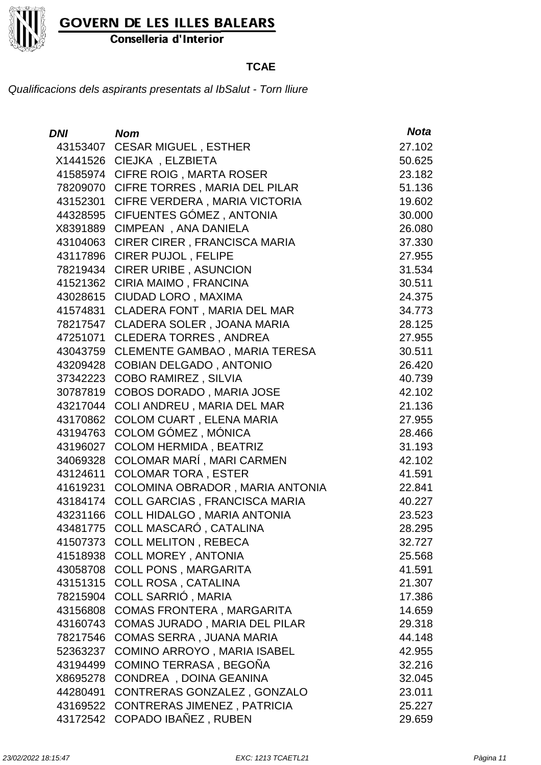

Conselleria d'Interior

### **TCAE**

| <i>DNI</i> | <b>Nom</b>                           | <b>Nota</b> |
|------------|--------------------------------------|-------------|
| 43153407   | <b>CESAR MIGUEL, ESTHER</b>          | 27.102      |
| X1441526   | CIEJKA, ELZBIETA                     | 50.625      |
| 41585974   | <b>CIFRE ROIG, MARTA ROSER</b>       | 23.182      |
| 78209070   | CIFRE TORRES, MARIA DEL PILAR        | 51.136      |
| 43152301   | CIFRE VERDERA, MARIA VICTORIA        | 19.602      |
| 44328595   | CIFUENTES GÓMEZ, ANTONIA             | 30.000      |
| X8391889   | CIMPEAN, ANA DANIELA                 | 26.080      |
| 43104063   | CIRER CIRER, FRANCISCA MARIA         | 37.330      |
| 43117896   | <b>CIRER PUJOL, FELIPE</b>           | 27.955      |
| 78219434   | <b>CIRER URIBE, ASUNCION</b>         | 31.534      |
| 41521362   | CIRIA MAIMO, FRANCINA                | 30.511      |
| 43028615   | CIUDAD LORO, MAXIMA                  | 24.375      |
| 41574831   | CLADERA FONT, MARIA DEL MAR          | 34.773      |
| 78217547   | CLADERA SOLER, JOANA MARIA           | 28.125      |
| 47251071   | <b>CLEDERA TORRES, ANDREA</b>        | 27.955      |
| 43043759   | <b>CLEMENTE GAMBAO, MARIA TERESA</b> | 30.511      |
| 43209428   | <b>COBIAN DELGADO, ANTONIO</b>       | 26.420      |
| 37342223   | <b>COBO RAMIREZ, SILVIA</b>          | 40.739      |
| 30787819   | COBOS DORADO, MARIA JOSE             | 42.102      |
| 43217044   | COLI ANDREU, MARIA DEL MAR           | 21.136      |
| 43170862   | <b>COLOM CUART, ELENA MARIA</b>      | 27.955      |
| 43194763   | COLOM GÓMEZ, MÓNICA                  | 28.466      |
| 43196027   | <b>COLOM HERMIDA, BEATRIZ</b>        | 31.193      |
| 34069328   | COLOMAR MARÍ, MARI CARMEN            | 42.102      |
| 43124611   | <b>COLOMAR TORA, ESTER</b>           | 41.591      |
| 41619231   | COLOMINA OBRADOR, MARIA ANTONIA      | 22.841      |
| 43184174   | COLL GARCIAS, FRANCISCA MARIA        | 40.227      |
| 43231166   | COLL HIDALGO, MARIA ANTONIA          | 23.523      |
| 43481775   | COLL MASCARÓ, CATALINA               | 28.295      |
| 41507373   | <b>COLL MELITON, REBECA</b>          | 32.727      |
| 41518938   | <b>COLL MOREY, ANTONIA</b>           | 25.568      |
| 43058708   | <b>COLL PONS, MARGARITA</b>          | 41.591      |
| 43151315   | <b>COLL ROSA, CATALINA</b>           | 21.307      |
| 78215904   | COLL SARRIÓ, MARIA                   | 17.386      |
| 43156808   | COMAS FRONTERA, MARGARITA            | 14.659      |
| 43160743   | COMAS JURADO, MARIA DEL PILAR        | 29.318      |
| 78217546   | <b>COMAS SERRA, JUANA MARIA</b>      | 44.148      |
| 52363237   | COMINO ARROYO, MARIA ISABEL          | 42.955      |
| 43194499   | COMINO TERRASA, BEGOÑA               | 32.216      |
| X8695278   | CONDREA, DOINA GEANINA               | 32.045      |
| 44280491   | CONTRERAS GONZALEZ, GONZALO          | 23.011      |
| 43169522   | <b>CONTRERAS JIMENEZ, PATRICIA</b>   | 25.227      |
| 43172542   | COPADO IBAÑEZ, RUBEN                 | 29.659      |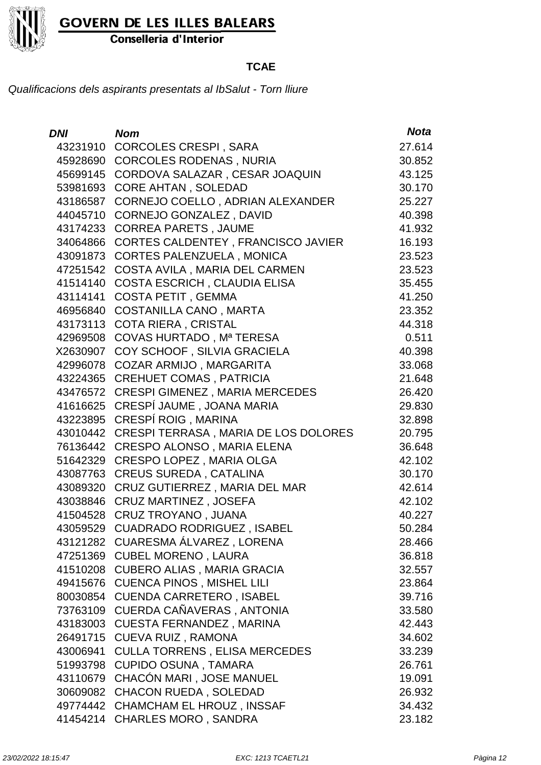

Conselleria d'Interior

### **TCAE**

| <b>DNI</b> | <b>Nom</b>                                  | <b>Nota</b> |
|------------|---------------------------------------------|-------------|
| 43231910   | <b>CORCOLES CRESPI, SARA</b>                | 27.614      |
| 45928690   | <b>CORCOLES RODENAS, NURIA</b>              | 30.852      |
| 45699145   | CORDOVA SALAZAR, CESAR JOAQUIN              | 43.125      |
| 53981693   | <b>CORE AHTAN, SOLEDAD</b>                  | 30.170      |
| 43186587   | CORNEJO COELLO, ADRIAN ALEXANDER            | 25.227      |
| 44045710   | CORNEJO GONZALEZ, DAVID                     | 40.398      |
| 43174233   | <b>CORREA PARETS, JAUME</b>                 | 41.932      |
| 34064866   | CORTES CALDENTEY, FRANCISCO JAVIER          | 16.193      |
| 43091873   | <b>CORTES PALENZUELA, MONICA</b>            | 23.523      |
| 47251542   | COSTA AVILA, MARIA DEL CARMEN               | 23.523      |
| 41514140   | <b>COSTA ESCRICH, CLAUDIA ELISA</b>         | 35.455      |
| 43114141   | <b>COSTA PETIT, GEMMA</b>                   | 41.250      |
| 46956840   | <b>COSTANILLA CANO, MARTA</b>               | 23.352      |
| 43173113   | <b>COTA RIERA, CRISTAL</b>                  | 44.318      |
| 42969508   | COVAS HURTADO, Mª TERESA                    | 0.511       |
| X2630907   | COY SCHOOF, SILVIA GRACIELA                 | 40.398      |
| 42996078   | COZAR ARMIJO, MARGARITA                     | 33.068      |
| 43224365   | <b>CREHUET COMAS, PATRICIA</b>              | 21.648      |
| 43476572   | CRESPI GIMENEZ, MARIA MERCEDES              | 26.420      |
| 41616625   | CRESPÍ JAUME, JOANA MARIA                   | 29.830      |
| 43223895   | CRESPÍ ROIG, MARINA                         | 32.898      |
| 43010442   | <b>CRESPI TERRASA, MARIA DE LOS DOLORES</b> | 20.795      |
| 76136442   | <b>CRESPO ALONSO, MARIA ELENA</b>           | 36.648      |
| 51642329   | <b>CRESPO LOPEZ, MARIA OLGA</b>             | 42.102      |
| 43087763   | <b>CREUS SUREDA, CATALINA</b>               | 30.170      |
| 43089320   | CRUZ GUTIERREZ, MARIA DEL MAR               | 42.614      |
| 43038846   | <b>CRUZ MARTINEZ, JOSEFA</b>                | 42.102      |
| 41504528   | <b>CRUZ TROYANO, JUANA</b>                  | 40.227      |
| 43059529   | CUADRADO RODRIGUEZ, ISABEL                  | 50.284      |
| 43121282   | CUARESMA ÁLVAREZ, LORENA                    | 28.466      |
| 47251369   | <b>CUBEL MORENO, LAURA</b>                  | 36.818      |
| 41510208   | <b>CUBERO ALIAS, MARIA GRACIA</b>           | 32.557      |
| 49415676   | <b>CUENCA PINOS, MISHEL LILI</b>            | 23.864      |
| 80030854   | <b>CUENDA CARRETERO, ISABEL</b>             | 39.716      |
| 73763109   | CUERDA CAÑAVERAS, ANTONIA                   | 33.580      |
| 43183003   | <b>CUESTA FERNANDEZ, MARINA</b>             | 42.443      |
| 26491715   | <b>CUEVA RUIZ, RAMONA</b>                   | 34.602      |
| 43006941   | <b>CULLA TORRENS, ELISA MERCEDES</b>        | 33.239      |
| 51993798   | <b>CUPIDO OSUNA, TAMARA</b>                 | 26.761      |
| 43110679   | CHACÓN MARI, JOSE MANUEL                    | 19.091      |
| 30609082   | <b>CHACON RUEDA, SOLEDAD</b>                | 26.932      |
| 49774442   | <b>CHAMCHAM EL HROUZ, INSSAF</b>            | 34.432      |
| 41454214   | <b>CHARLES MORO, SANDRA</b>                 | 23.182      |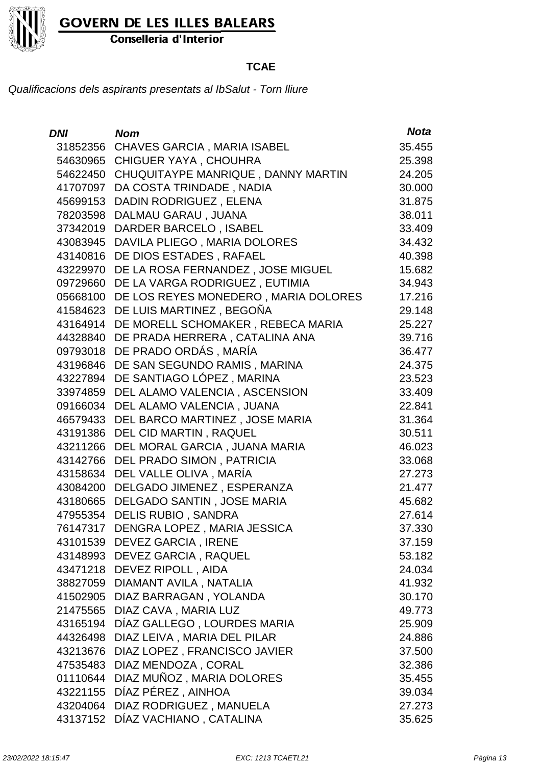

Conselleria d'Interior

#### **TCAE**

| <b>DNI</b> | <b>Nom</b>                           | <b>Nota</b> |
|------------|--------------------------------------|-------------|
| 31852356   | <b>CHAVES GARCIA, MARIA ISABEL</b>   | 35.455      |
| 54630965   | <b>CHIGUER YAYA, CHOUHRA</b>         | 25.398      |
| 54622450   | CHUQUITAYPE MANRIQUE, DANNY MARTIN   | 24.205      |
| 41707097   | DA COSTA TRINDADE, NADIA             | 30.000      |
| 45699153   | DADIN RODRIGUEZ, ELENA               | 31.875      |
| 78203598   | DALMAU GARAU, JUANA                  | 38.011      |
| 37342019   | DARDER BARCELO, ISABEL               | 33.409      |
| 43083945   | DAVILA PLIEGO, MARIA DOLORES         | 34.432      |
| 43140816   | DE DIOS ESTADES, RAFAEL              | 40.398      |
| 43229970   | DE LA ROSA FERNANDEZ, JOSE MIGUEL    | 15.682      |
| 09729660   | DE LA VARGA RODRIGUEZ, EUTIMIA       | 34.943      |
| 05668100   | DE LOS REYES MONEDERO, MARIA DOLORES | 17.216      |
| 41584623   | DE LUIS MARTINEZ, BEGOÑA             | 29.148      |
| 43164914   | DE MORELL SCHOMAKER, REBECA MARIA    | 25.227      |
| 44328840   | DE PRADA HERRERA, CATALINA ANA       | 39.716      |
| 09793018   | DE PRADO ORDÁS, MARÍA                | 36.477      |
| 43196846   | DE SAN SEGUNDO RAMIS, MARINA         | 24.375      |
| 43227894   | DE SANTIAGO LÓPEZ, MARINA            | 23.523      |
| 33974859   | DEL ALAMO VALENCIA, ASCENSION        | 33.409      |
| 09166034   | DEL ALAMO VALENCIA, JUANA            | 22.841      |
| 46579433   | DEL BARCO MARTINEZ, JOSE MARIA       | 31.364      |
| 43191386   | DEL CID MARTIN, RAQUEL               | 30.511      |
| 43211266   | DEL MORAL GARCIA, JUANA MARIA        | 46.023      |
| 43142766   | DEL PRADO SIMON, PATRICIA            | 33.068      |
| 43158634   | DEL VALLE OLIVA, MARÍA               | 27.273      |
| 43084200   | DELGADO JIMENEZ, ESPERANZA           | 21.477      |
| 43180665   | DELGADO SANTIN, JOSE MARIA           | 45.682      |
| 47955354   | <b>DELIS RUBIO, SANDRA</b>           | 27.614      |
| 76147317   | DENGRA LOPEZ, MARIA JESSICA          | 37.330      |
|            | 43101539 DEVEZ GARCIA, IRENE         | 37.159      |
|            | 43148993 DEVEZ GARCIA, RAQUEL        | 53.182      |
| 43471218   | DEVEZ RIPOLL, AIDA                   | 24.034      |
| 38827059   | DIAMANT AVILA, NATALIA               | 41.932      |
| 41502905   | DIAZ BARRAGAN, YOLANDA               | 30.170      |
| 21475565   | DIAZ CAVA, MARIA LUZ                 | 49.773      |
| 43165194   | DÍAZ GALLEGO, LOURDES MARIA          | 25.909      |
| 44326498   | DIAZ LEIVA, MARIA DEL PILAR          | 24.886      |
| 43213676   | DIAZ LOPEZ, FRANCISCO JAVIER         | 37.500      |
| 47535483   | DIAZ MENDOZA, CORAL                  | 32.386      |
| 01110644   | DIAZ MUÑOZ, MARIA DOLORES            | 35.455      |
| 43221155   | DÍAZ PÉREZ, AINHOA                   | 39.034      |
| 43204064   | DIAZ RODRIGUEZ, MANUELA              | 27.273      |
| 43137152   | DÍAZ VACHIANO, CATALINA              | 35.625      |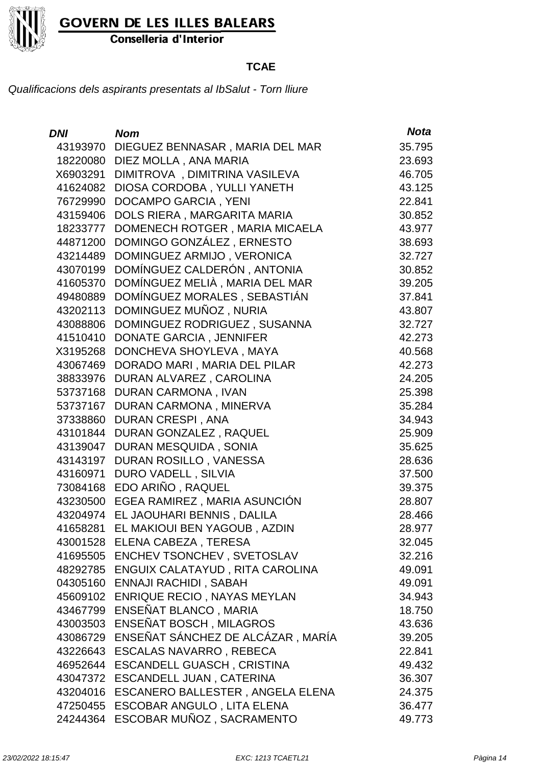

Conselleria d'Interior

### **TCAE**

| <b>DNI</b> | <b>Nom</b>                               | <b>Nota</b> |
|------------|------------------------------------------|-------------|
| 43193970   | DIEGUEZ BENNASAR, MARIA DEL MAR          | 35.795      |
| 18220080   | DIEZ MOLLA, ANA MARIA                    | 23.693      |
| X6903291   | DIMITROVA, DIMITRINA VASILEVA            | 46.705      |
| 41624082   | DIOSA CORDOBA, YULLI YANETH              | 43.125      |
| 76729990   | <b>DOCAMPO GARCIA, YENI</b>              | 22.841      |
| 43159406   | DOLS RIERA, MARGARITA MARIA              | 30.852      |
| 18233777   | DOMENECH ROTGER, MARIA MICAELA           | 43.977      |
| 44871200   | DOMINGO GONZÁLEZ, ERNESTO                | 38.693      |
| 43214489   | DOMINGUEZ ARMIJO, VERONICA               | 32.727      |
| 43070199   | DOMÍNGUEZ CALDERÓN, ANTONIA              | 30.852      |
| 41605370   | DOMÍNGUEZ MELIÀ, MARIA DEL MAR           | 39.205      |
| 49480889   | DOMÍNGUEZ MORALES, SEBASTIÁN             | 37.841      |
| 43202113   | DOMINGUEZ MUÑOZ, NURIA                   | 43.807      |
| 43088806   | DOMINGUEZ RODRIGUEZ, SUSANNA             | 32.727      |
| 41510410   | <b>DONATE GARCIA, JENNIFER</b>           | 42.273      |
| X3195268   | DONCHEVA SHOYLEVA, MAYA                  | 40.568      |
| 43067469   | DORADO MARI, MARIA DEL PILAR             | 42.273      |
| 38833976   | DURAN ALVAREZ, CAROLINA                  | 24.205      |
| 53737168   | <b>DURAN CARMONA, IVAN</b>               | 25.398      |
| 53737167   | DURAN CARMONA, MINERVA                   | 35.284      |
| 37338860   | <b>DURAN CRESPI, ANA</b>                 | 34.943      |
| 43101844   | DURAN GONZALEZ, RAQUEL                   | 25.909      |
| 43139047   | DURAN MESQUIDA, SONIA                    | 35.625      |
| 43143197   | DURAN ROSILLO, VANESSA                   | 28.636      |
| 43160971   | <b>DURO VADELL, SILVIA</b>               | 37.500      |
| 73084168   | EDO ARIÑO, RAQUEL                        | 39.375      |
| 43230500   | EGEA RAMIREZ, MARIA ASUNCIÓN             | 28.807      |
| 43204974   | EL JAOUHARI BENNIS, DALILA               | 28.466      |
| 41658281   | EL MAKIOUI BEN YAGOUB, AZDIN             | 28.977      |
|            | 43001528 ELENA CABEZA, TERESA            | 32.045      |
|            | 41695505 ENCHEV TSONCHEV, SVETOSLAV      | 32.216      |
|            | 48292785 ENGUIX CALATAYUD, RITA CAROLINA | 49.091      |
|            | 04305160 ENNAJI RACHIDI, SABAH           | 49.091      |
|            | 45609102 ENRIQUE RECIO, NAYAS MEYLAN     | 34.943      |
|            | 43467799 ENSEÑAT BLANCO, MARIA           | 18.750      |
| 43003503   | ENSEÑAT BOSCH, MILAGROS                  | 43.636      |
| 43086729   | ENSEÑAT SÁNCHEZ DE ALCÁZAR, MARÍA        | 39.205      |
|            | 43226643 ESCALAS NAVARRO, REBECA         | 22.841      |
| 46952644   | <b>ESCANDELL GUASCH, CRISTINA</b>        | 49.432      |
| 43047372   | <b>ESCANDELL JUAN, CATERINA</b>          | 36.307      |
| 43204016   | ESCANERO BALLESTER, ANGELA ELENA         | 24.375      |
| 47250455   | ESCOBAR ANGULO, LITA ELENA               | 36.477      |
| 24244364   | ESCOBAR MUÑOZ, SACRAMENTO                | 49.773      |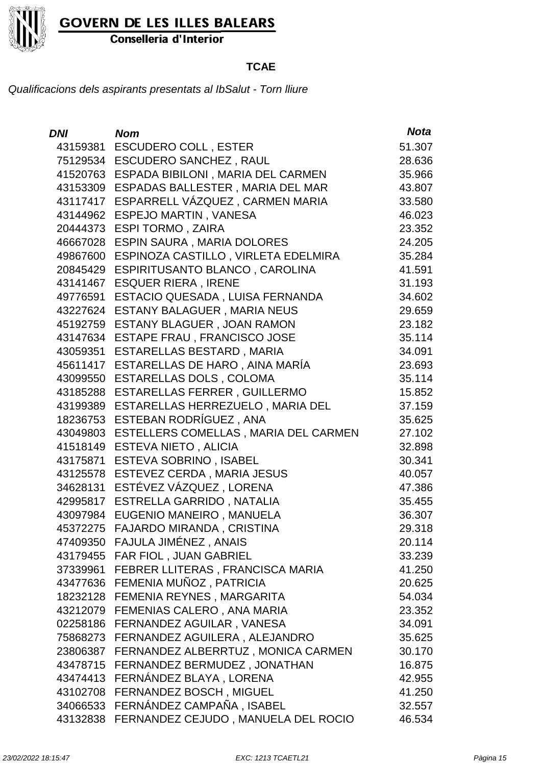

Conselleria d'Interior

### **TCAE**

| <b>DNI</b> | <b>Nom</b>                           | <b>Nota</b> |
|------------|--------------------------------------|-------------|
| 43159381   | <b>ESCUDERO COLL, ESTER</b>          | 51.307      |
| 75129534   | <b>ESCUDERO SANCHEZ, RAUL</b>        | 28.636      |
| 41520763   | ESPADA BIBILONI, MARIA DEL CARMEN    | 35.966      |
| 43153309   | ESPADAS BALLESTER, MARIA DEL MAR     | 43.807      |
| 43117417   | ESPARRELL VÁZQUEZ, CARMEN MARIA      | 33.580      |
| 43144962   | <b>ESPEJO MARTIN, VANESA</b>         | 46.023      |
| 20444373   | <b>ESPI TORMO, ZAIRA</b>             | 23.352      |
| 46667028   | ESPIN SAURA, MARIA DOLORES           | 24.205      |
| 49867600   | ESPINOZA CASTILLO, VIRLETA EDELMIRA  | 35.284      |
| 20845429   | ESPIRITUSANTO BLANCO, CAROLINA       | 41.591      |
| 43141467   | <b>ESQUER RIERA, IRENE</b>           | 31.193      |
| 49776591   | ESTACIO QUESADA, LUISA FERNANDA      | 34.602      |
| 43227624   | ESTANY BALAGUER, MARIA NEUS          | 29.659      |
| 45192759   | <b>ESTANY BLAGUER, JOAN RAMON</b>    | 23.182      |
| 43147634   | ESTAPE FRAU, FRANCISCO JOSE          | 35.114      |
| 43059351   | ESTARELLAS BESTARD, MARIA            | 34.091      |
| 45611417   | ESTARELLAS DE HARO, AINA MARÍA       | 23.693      |
| 43099550   | ESTARELLAS DOLS, COLOMA              | 35.114      |
| 43185288   | <b>ESTARELLAS FERRER, GUILLERMO</b>  | 15.852      |
| 43199389   | ESTARELLAS HERREZUELO, MARIA DEL     | 37.159      |
| 18236753   | ESTEBAN RODRÍGUEZ, ANA               | 35.625      |
| 43049803   | ESTELLERS COMELLAS, MARIA DEL CARMEN | 27.102      |
| 41518149   | <b>ESTEVA NIETO, ALICIA</b>          | 32.898      |
| 43175871   | <b>ESTEVA SOBRINO, ISABEL</b>        | 30.341      |
| 43125578   | ESTEVEZ CERDA, MARIA JESUS           | 40.057      |
| 34628131   | ESTÉVEZ VÁZQUEZ, LORENA              | 47.386      |
| 42995817   | ESTRELLA GARRIDO, NATALIA            | 35.455      |
| 43097984   | EUGENIO MANEIRO, MANUELA             | 36.307      |
| 45372275   | FAJARDO MIRANDA, CRISTINA            | 29.318      |
|            | 47409350 FAJULA JIMÉNEZ, ANAIS       | 20.114      |
|            | 43179455 FAR FIOL, JUAN GABRIEL      | 33.239      |
| 37339961   | FEBRER LLITERAS, FRANCISCA MARIA     | 41.250      |
| 43477636   | FEMENIA MUÑOZ, PATRICIA              | 20.625      |
| 18232128   | FEMENIA REYNES, MARGARITA            | 54.034      |
| 43212079   | FEMENIAS CALERO, ANA MARIA           | 23.352      |
| 02258186   | FERNANDEZ AGUILAR, VANESA            | 34.091      |
| 75868273   | FERNANDEZ AGUILERA, ALEJANDRO        | 35.625      |
| 23806387   | FERNANDEZ ALBERRTUZ, MONICA CARMEN   | 30.170      |
| 43478715   | FERNANDEZ BERMUDEZ, JONATHAN         | 16.875      |
| 43474413   | FERNÁNDEZ BLAYA, LORENA              | 42.955      |
| 43102708   | FERNANDEZ BOSCH, MIGUEL              | 41.250      |
| 34066533   | FERNÁNDEZ CAMPAÑA, ISABEL            | 32.557      |
| 43132838   | FERNANDEZ CEJUDO, MANUELA DEL ROCIO  | 46.534      |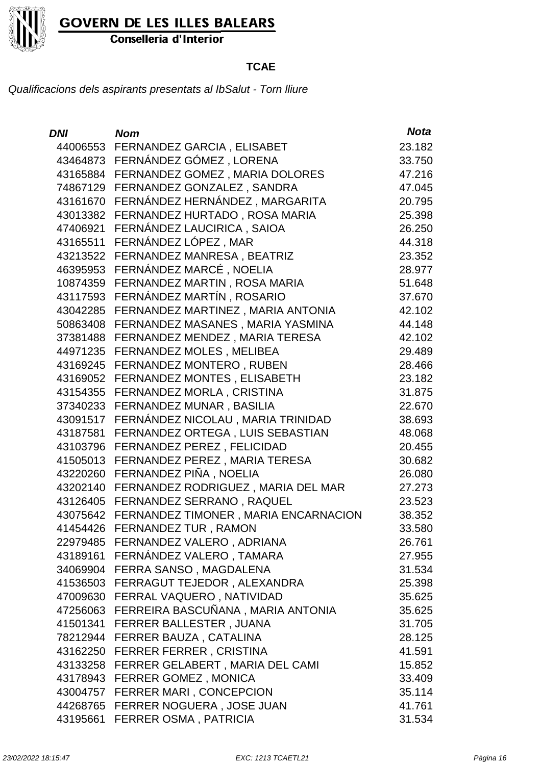

Conselleria d'Interior

### **TCAE**

| <b>DNI</b> | <b>Nom</b>                                 | <b>Nota</b> |
|------------|--------------------------------------------|-------------|
|            | 44006553 FERNANDEZ GARCIA, ELISABET        | 23.182      |
|            | 43464873 FERNÁNDEZ GÓMEZ, LORENA           | 33.750      |
| 43165884   | FERNANDEZ GOMEZ, MARIA DOLORES             | 47.216      |
|            | 74867129 FERNANDEZ GONZALEZ, SANDRA        | 47.045      |
| 43161670   | FERNÁNDEZ HERNÁNDEZ, MARGARITA             | 20.795      |
| 43013382   | FERNANDEZ HURTADO, ROSA MARIA              | 25.398      |
| 47406921   | FERNÁNDEZ LAUCIRICA, SAIOA                 | 26.250      |
| 43165511   | FERNÁNDEZ LÓPEZ, MAR                       | 44.318      |
| 43213522   | FERNANDEZ MANRESA, BEATRIZ                 | 23.352      |
| 46395953   | FERNÁNDEZ MARCÉ, NOELIA                    | 28.977      |
| 10874359   | FERNANDEZ MARTIN, ROSA MARIA               | 51.648      |
| 43117593   | FERNÁNDEZ MARTÍN, ROSARIO                  | 37.670      |
| 43042285   | FERNANDEZ MARTINEZ, MARIA ANTONIA          | 42.102      |
| 50863408   | FERNANDEZ MASANES, MARIA YASMINA           | 44.148      |
| 37381488   | FERNANDEZ MENDEZ, MARIA TERESA             | 42.102      |
| 44971235   | FERNANDEZ MOLES, MELIBEA                   | 29.489      |
| 43169245   | FERNANDEZ MONTERO, RUBEN                   | 28.466      |
| 43169052   | <b>FERNANDEZ MONTES, ELISABETH</b>         | 23.182      |
| 43154355   | FERNANDEZ MORLA, CRISTINA                  | 31.875      |
| 37340233   | FERNANDEZ MUNAR, BASILIA                   | 22.670      |
| 43091517   | FERNÁNDEZ NICOLAU, MARIA TRINIDAD          | 38.693      |
| 43187581   | FERNANDEZ ORTEGA, LUIS SEBASTIAN           | 48.068      |
| 43103796   | FERNANDEZ PEREZ, FELICIDAD                 | 20.455      |
| 41505013   | FERNANDEZ PEREZ, MARIA TERESA              | 30.682      |
| 43220260   | FERNANDEZ PIÑA, NOELIA                     | 26.080      |
| 43202140   | FERNANDEZ RODRIGUEZ, MARIA DEL MAR         | 27.273      |
| 43126405   | FERNANDEZ SERRANO, RAQUEL                  | 23.523      |
| 43075642   | FERNANDEZ TIMONER, MARIA ENCARNACION       | 38.352      |
| 41454426   | FERNANDEZ TUR, RAMON                       | 33.580      |
|            | 22979485 FERNANDEZ VALERO, ADRIANA         | 26.761      |
|            | 43189161 FERNÁNDEZ VALERO, TAMARA          | 27.955      |
| 34069904   | FERRA SANSO, MAGDALENA                     | 31.534      |
| 41536503   | FERRAGUT TEJEDOR, ALEXANDRA                | 25.398      |
|            | 47009630 FERRAL VAQUERO, NATIVIDAD         | 35.625      |
|            | 47256063 FERREIRA BASCUÑANA, MARIA ANTONIA | 35.625      |
|            | 41501341 FERRER BALLESTER, JUANA           | 31.705      |
|            | 78212944 FERRER BAUZA, CATALINA            | 28.125      |
|            | 43162250 FERRER FERRER, CRISTINA           | 41.591      |
|            | 43133258 FERRER GELABERT, MARIA DEL CAMI   | 15.852      |
|            | 43178943 FERRER GOMEZ, MONICA              | 33.409      |
|            | 43004757 FERRER MARI, CONCEPCION           | 35.114      |
|            | 44268765 FERRER NOGUERA, JOSE JUAN         | 41.761      |
| 43195661   | <b>FERRER OSMA, PATRICIA</b>               | 31.534      |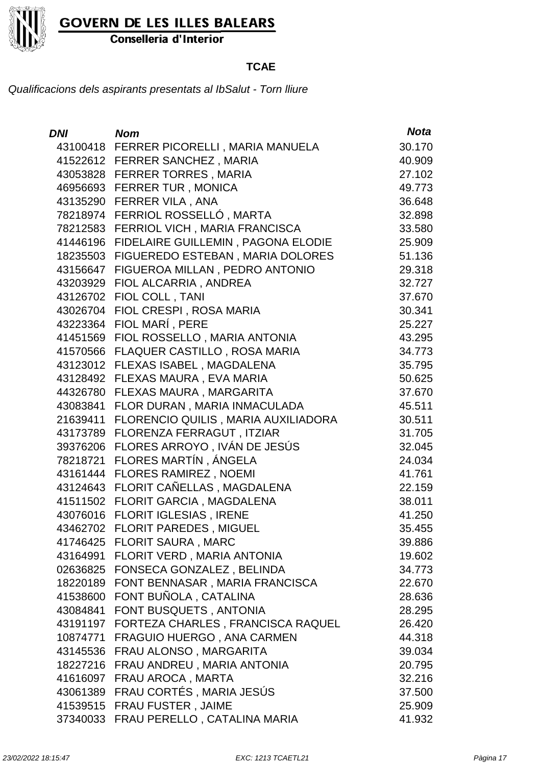

Conselleria d'Interior

### **TCAE**

| <b>DNI</b> | <b>Nom</b>                                  | <b>Nota</b> |
|------------|---------------------------------------------|-------------|
|            | 43100418 FERRER PICORELLI, MARIA MANUELA    | 30.170      |
|            | 41522612 FERRER SANCHEZ, MARIA              | 40.909      |
|            | 43053828 FERRER TORRES, MARIA               | 27.102      |
|            | 46956693 FERRER TUR, MONICA                 | 49.773      |
|            | 43135290 FERRER VILA, ANA                   | 36.648      |
|            | 78218974 FERRIOL ROSSELLÓ, MARTA            | 32.898      |
|            | 78212583 FERRIOL VICH, MARIA FRANCISCA      | 33.580      |
|            | 41446196 FIDELAIRE GUILLEMIN, PAGONA ELODIE | 25.909      |
| 18235503   | FIGUEREDO ESTEBAN, MARIA DOLORES            | 51.136      |
| 43156647   | FIGUEROA MILLAN, PEDRO ANTONIO              | 29.318      |
| 43203929   | FIOL ALCARRIA, ANDREA                       | 32.727      |
|            | 43126702 FIOL COLL, TANI                    | 37.670      |
| 43026704   | FIOL CRESPI, ROSA MARIA                     | 30.341      |
| 43223364   | FIOL MARÍ, PERE                             | 25.227      |
| 41451569   | FIOL ROSSELLO, MARIA ANTONIA                | 43.295      |
|            | 41570566 FLAQUER CASTILLO, ROSA MARIA       | 34.773      |
| 43123012   | FLEXAS ISABEL, MAGDALENA                    | 35.795      |
| 43128492   | FLEXAS MAURA, EVA MARIA                     | 50.625      |
| 44326780   | FLEXAS MAURA, MARGARITA                     | 37.670      |
| 43083841   | FLOR DURAN, MARIA INMACULADA                | 45.511      |
| 21639411   | FLORENCIO QUILIS, MARIA AUXILIADORA         | 30.511      |
| 43173789   | FLORENZA FERRAGUT, ITZIAR                   | 31.705      |
|            | 39376206 FLORES ARROYO, IVÁN DE JESÚS       | 32.045      |
| 78218721   | FLORES MARTÍN, ÁNGELA                       | 24.034      |
|            | 43161444 FLORES RAMIREZ, NOEMI              | 41.761      |
|            | 43124643 FLORIT CAÑELLAS, MAGDALENA         | 22.159      |
|            | 41511502 FLORIT GARCIA, MAGDALENA           | 38.011      |
| 43076016   | <b>FLORIT IGLESIAS, IRENE</b>               | 41.250      |
| 43462702   | <b>FLORIT PAREDES, MIGUEL</b>               | 35.455      |
|            | 41746425 FLORIT SAURA, MARC                 | 39.886      |
| 43164991   | FLORIT VERD, MARIA ANTONIA                  | 19.602      |
|            | 02636825 FONSECA GONZALEZ, BELINDA          | 34.773      |
| 18220189   | FONT BENNASAR, MARIA FRANCISCA              | 22.670      |
| 41538600   | FONT BUÑOLA, CATALINA                       | 28.636      |
| 43084841   | FONT BUSQUETS, ANTONIA                      | 28.295      |
| 43191197   | FORTEZA CHARLES, FRANCISCA RAQUEL           | 26.420      |
| 10874771   | FRAGUIO HUERGO, ANA CARMEN                  | 44.318      |
| 43145536   | FRAU ALONSO, MARGARITA                      | 39.034      |
| 18227216   | FRAU ANDREU, MARIA ANTONIA                  | 20.795      |
| 41616097   | FRAU AROCA, MARTA                           | 32.216      |
| 43061389   | FRAU CORTÉS, MARIA JESÚS                    | 37.500      |
| 41539515   | <b>FRAU FUSTER, JAIME</b>                   | 25.909      |
| 37340033   | FRAU PERELLO, CATALINA MARIA                | 41.932      |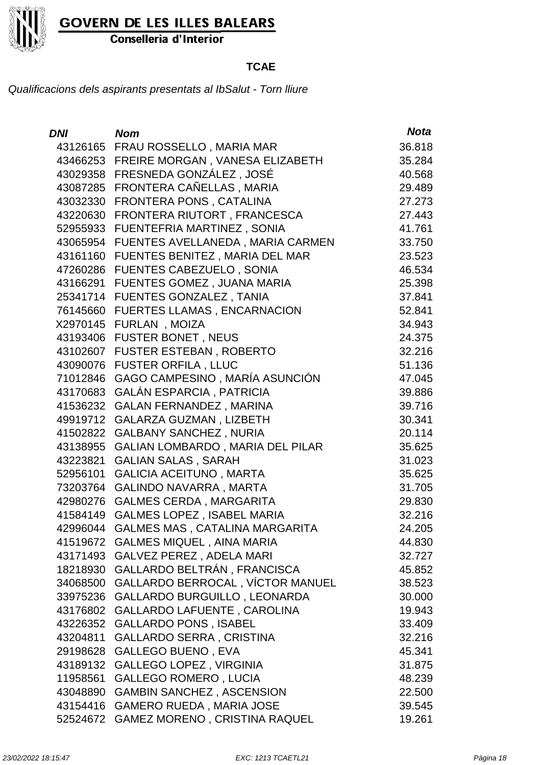

Conselleria d'Interior

### **TCAE**

| DNI      | <b>Nom</b>                               | <b>Nota</b> |
|----------|------------------------------------------|-------------|
|          | 43126165 FRAU ROSSELLO, MARIA MAR        | 36.818      |
|          | 43466253 FREIRE MORGAN, VANESA ELIZABETH | 35.284      |
|          | 43029358 FRESNEDA GONZÁLEZ, JOSÉ         | 40.568      |
| 43087285 | FRONTERA CAÑELLAS, MARIA                 | 29.489      |
| 43032330 | FRONTERA PONS, CATALINA                  | 27.273      |
| 43220630 | FRONTERA RIUTORT, FRANCESCA              | 27.443      |
| 52955933 | FUENTEFRIA MARTINEZ, SONIA               | 41.761      |
| 43065954 | FUENTES AVELLANEDA, MARIA CARMEN         | 33.750      |
| 43161160 | FUENTES BENITEZ, MARIA DEL MAR           | 23.523      |
| 47260286 | FUENTES CABEZUELO, SONIA                 | 46.534      |
| 43166291 | FUENTES GOMEZ, JUANA MARIA               | 25.398      |
| 25341714 | <b>FUENTES GONZALEZ, TANIA</b>           | 37.841      |
| 76145660 | <b>FUERTES LLAMAS, ENCARNACION</b>       | 52.841      |
| X2970145 | FURLAN, MOIZA                            | 34.943      |
| 43193406 | <b>FUSTER BONET, NEUS</b>                | 24.375      |
| 43102607 | <b>FUSTER ESTEBAN, ROBERTO</b>           | 32.216      |
| 43090076 | <b>FUSTER ORFILA, LLUC</b>               | 51.136      |
| 71012846 | GAGO CAMPESINO, MARÍA ASUNCIÓN           | 47.045      |
| 43170683 | <b>GALÁN ESPARCIA, PATRICIA</b>          | 39.886      |
| 41536232 | <b>GALAN FERNANDEZ, MARINA</b>           | 39.716      |
| 49919712 | <b>GALARZA GUZMAN, LIZBETH</b>           | 30.341      |
| 41502822 | <b>GALBANY SANCHEZ, NURIA</b>            | 20.114      |
| 43138955 | <b>GALIAN LOMBARDO, MARIA DEL PILAR</b>  | 35.625      |
| 43223821 | <b>GALIAN SALAS, SARAH</b>               | 31.023      |
| 52956101 | <b>GALICIA ACEITUNO, MARTA</b>           | 35.625      |
| 73203764 | <b>GALINDO NAVARRA, MARTA</b>            | 31.705      |
| 42980276 | <b>GALMES CERDA, MARGARITA</b>           | 29.830      |
| 41584149 | <b>GALMES LOPEZ, ISABEL MARIA</b>        | 32.216      |
| 42996044 | GALMES MAS, CATALINA MARGARITA           | 24.205      |
| 41519672 | <b>GALMES MIQUEL, AINA MARIA</b>         | 44.830      |
| 43171493 | <b>GALVEZ PEREZ, ADELA MARI</b>          | 32.727      |
| 18218930 | GALLARDO BELTRÁN, FRANCISCA              | 45.852      |
| 34068500 | GALLARDO BERROCAL, VÍCTOR MANUEL         | 38.523      |
| 33975236 | GALLARDO BURGUILLO, LEONARDA             | 30.000      |
| 43176802 | <b>GALLARDO LAFUENTE, CAROLINA</b>       | 19.943      |
| 43226352 | <b>GALLARDO PONS, ISABEL</b>             | 33.409      |
| 43204811 | <b>GALLARDO SERRA, CRISTINA</b>          | 32.216      |
| 29198628 | <b>GALLEGO BUENO, EVA</b>                | 45.341      |
| 43189132 | <b>GALLEGO LOPEZ, VIRGINIA</b>           | 31.875      |
| 11958561 | <b>GALLEGO ROMERO, LUCIA</b>             | 48.239      |
| 43048890 | <b>GAMBIN SANCHEZ, ASCENSION</b>         | 22.500      |
| 43154416 | <b>GAMERO RUEDA, MARIA JOSE</b>          | 39.545      |
| 52524672 | <b>GAMEZ MORENO, CRISTINA RAQUEL</b>     | 19.261      |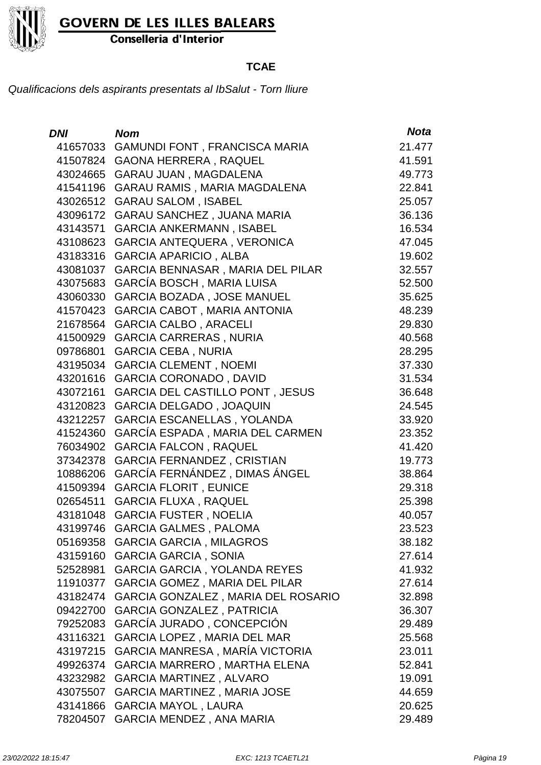

Conselleria d'Interior

### **TCAE**

| <b>DNI</b> | <b>Nom</b>                              | <b>Nota</b> |
|------------|-----------------------------------------|-------------|
| 41657033   | GAMUNDI FONT, FRANCISCA MARIA           | 21.477      |
| 41507824   | <b>GAONA HERRERA, RAQUEL</b>            | 41.591      |
| 43024665   | <b>GARAU JUAN, MAGDALENA</b>            | 49.773      |
| 41541196   | GARAU RAMIS, MARIA MAGDALENA            | 22.841      |
| 43026512   | <b>GARAU SALOM, ISABEL</b>              | 25.057      |
| 43096172   | <b>GARAU SANCHEZ, JUANA MARIA</b>       | 36.136      |
| 43143571   | <b>GARCIA ANKERMANN, ISABEL</b>         | 16.534      |
| 43108623   | <b>GARCIA ANTEQUERA, VERONICA</b>       | 47.045      |
| 43183316   | <b>GARCIA APARICIO, ALBA</b>            | 19.602      |
| 43081037   | <b>GARCIA BENNASAR, MARIA DEL PILAR</b> | 32.557      |
| 43075683   | <b>GARCÍA BOSCH, MARIA LUISA</b>        | 52.500      |
| 43060330   | <b>GARCIA BOZADA, JOSE MANUEL</b>       | 35.625      |
| 41570423   | <b>GARCIA CABOT, MARIA ANTONIA</b>      | 48.239      |
| 21678564   | <b>GARCIA CALBO, ARACELI</b>            | 29.830      |
| 41500929   | <b>GARCIA CARRERAS, NURIA</b>           | 40.568      |
| 09786801   | <b>GARCIA CEBA, NURIA</b>               | 28.295      |
| 43195034   | <b>GARCIA CLEMENT, NOEMI</b>            | 37.330      |
| 43201616   | <b>GARCIA CORONADO, DAVID</b>           | 31.534      |
| 43072161   | <b>GARCIA DEL CASTILLO PONT, JESUS</b>  | 36.648      |
| 43120823   | <b>GARCIA DELGADO, JOAQUIN</b>          | 24.545      |
| 43212257   | <b>GARCIA ESCANELLAS, YOLANDA</b>       | 33.920      |
| 41524360   | GARCÍA ESPADA, MARIA DEL CARMEN         | 23.352      |
| 76034902   | <b>GARCIA FALCON, RAQUEL</b>            | 41.420      |
| 37342378   | <b>GARCIA FERNANDEZ, CRISTIAN</b>       | 19.773      |
| 10886206   | GARCÍA FERNÁNDEZ, DIMAS ÁNGEL           | 38.864      |
| 41509394   | <b>GARCIA FLORIT, EUNICE</b>            | 29.318      |
| 02654511   | <b>GARCIA FLUXA, RAQUEL</b>             | 25.398      |
| 43181048   | <b>GARCIA FUSTER, NOELIA</b>            | 40.057      |
| 43199746   | <b>GARCIA GALMES, PALOMA</b>            | 23.523      |
|            | 05169358 GARCIA GARCIA, MILAGROS        | 38.182      |
| 43159160   | <b>GARCIA GARCIA, SONIA</b>             | 27.614      |
| 52528981   | <b>GARCIA GARCIA, YOLANDA REYES</b>     | 41.932      |
| 11910377   | <b>GARCIA GOMEZ, MARIA DEL PILAR</b>    | 27.614      |
| 43182474   | GARCIA GONZALEZ, MARIA DEL ROSARIO      | 32.898      |
| 09422700   | <b>GARCIA GONZALEZ, PATRICIA</b>        | 36.307      |
| 79252083   | GARCÍA JURADO, CONCEPCIÓN               | 29.489      |
| 43116321   | GARCIA LOPEZ, MARIA DEL MAR             | 25.568      |
| 43197215   | GARCIA MANRESA, MARÍA VICTORIA          | 23.011      |
| 49926374   | <b>GARCIA MARRERO, MARTHA ELENA</b>     | 52.841      |
| 43232982   | GARCIA MARTINEZ, ALVARO                 | 19.091      |
| 43075507   | <b>GARCIA MARTINEZ, MARIA JOSE</b>      | 44.659      |
| 43141866   | <b>GARCIA MAYOL, LAURA</b>              | 20.625      |
| 78204507   | <b>GARCIA MENDEZ, ANA MARIA</b>         | 29.489      |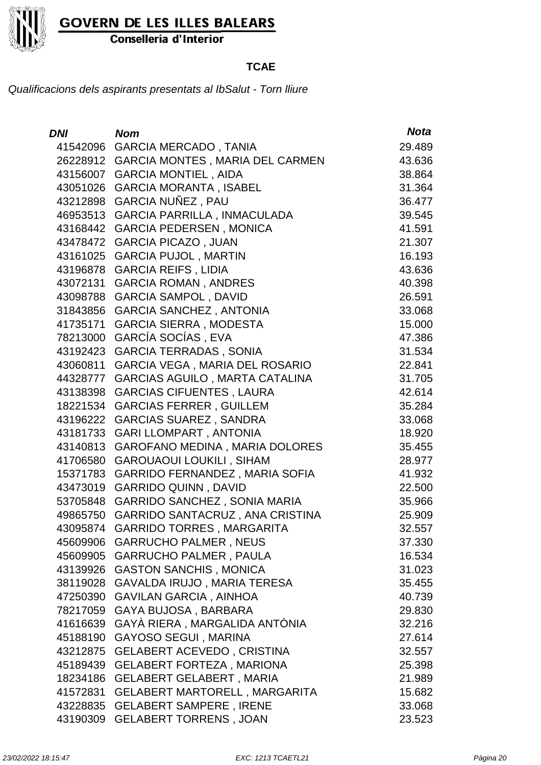

Conselleria d'Interior

### **TCAE**

| DNI I    | Nom                                    | <b>Nota</b> |
|----------|----------------------------------------|-------------|
| 41542096 | <b>GARCIA MERCADO, TANIA</b>           | 29.489      |
| 26228912 | <b>GARCIA MONTES, MARIA DEL CARMEN</b> | 43.636      |
| 43156007 | <b>GARCIA MONTIEL, AIDA</b>            | 38.864      |
| 43051026 | <b>GARCIA MORANTA, ISABEL</b>          | 31.364      |
| 43212898 | GARCIA NUÑEZ, PAU                      | 36.477      |
| 46953513 | GARCIA PARRILLA, INMACULADA            | 39.545      |
| 43168442 | <b>GARCIA PEDERSEN, MONICA</b>         | 41.591      |
| 43478472 | <b>GARCIA PICAZO, JUAN</b>             | 21.307      |
| 43161025 | <b>GARCIA PUJOL, MARTIN</b>            | 16.193      |
| 43196878 | <b>GARCIA REIFS, LIDIA</b>             | 43.636      |
| 43072131 | <b>GARCIA ROMAN, ANDRES</b>            | 40.398      |
| 43098788 | <b>GARCIA SAMPOL, DAVID</b>            | 26.591      |
| 31843856 | <b>GARCIA SANCHEZ, ANTONIA</b>         | 33.068      |
| 41735171 | <b>GARCIA SIERRA, MODESTA</b>          | 15.000      |
| 78213000 | GARCÍA SOCÍAS, EVA                     | 47.386      |
| 43192423 | <b>GARCIA TERRADAS, SONIA</b>          | 31.534      |
| 43060811 | GARCIA VEGA, MARIA DEL ROSARIO         | 22.841      |
| 44328777 | GARCIAS AGUILO, MARTA CATALINA         | 31.705      |
| 43138398 | <b>GARCIAS CIFUENTES, LAURA</b>        | 42.614      |
| 18221534 | <b>GARCIAS FERRER, GUILLEM</b>         | 35.284      |
| 43196222 | <b>GARCIAS SUAREZ, SANDRA</b>          | 33.068      |
| 43181733 | <b>GARI LLOMPART, ANTONIA</b>          | 18.920      |
| 43140813 | <b>GAROFANO MEDINA, MARIA DOLORES</b>  | 35.455      |
| 41706580 | <b>GAROUAOUI LOUKILI, SIHAM</b>        | 28.977      |
| 15371783 | <b>GARRIDO FERNANDEZ, MARIA SOFIA</b>  | 41.932      |
| 43473019 | <b>GARRIDO QUINN, DAVID</b>            | 22.500      |
| 53705848 | <b>GARRIDO SANCHEZ, SONIA MARIA</b>    | 35.966      |
| 49865750 | GARRIDO SANTACRUZ, ANA CRISTINA        | 25.909      |
| 43095874 | <b>GARRIDO TORRES, MARGARITA</b>       | 32.557      |
| 45609906 | <b>GARRUCHO PALMER, NEUS</b>           | 37.330      |
| 45609905 | <b>GARRUCHO PALMER, PAULA</b>          | 16.534      |
| 43139926 | <b>GASTON SANCHIS, MONICA</b>          | 31.023      |
| 38119028 | GAVALDA IRUJO, MARIA TERESA            | 35.455      |
| 47250390 | <b>GAVILAN GARCIA, AINHOA</b>          | 40.739      |
| 78217059 | GAYA BUJOSA, BARBARA                   | 29.830      |
| 41616639 | GAYÀ RIERA, MARGALIDA ANTÒNIA          | 32.216      |
| 45188190 | <b>GAYOSO SEGUI, MARINA</b>            | 27.614      |
| 43212875 | <b>GELABERT ACEVEDO, CRISTINA</b>      | 32.557      |
| 45189439 | <b>GELABERT FORTEZA, MARIONA</b>       | 25.398      |
| 18234186 | <b>GELABERT GELABERT, MARIA</b>        | 21.989      |
| 41572831 | <b>GELABERT MARTORELL, MARGARITA</b>   | 15.682      |
| 43228835 | <b>GELABERT SAMPERE, IRENE</b>         | 33.068      |
| 43190309 | <b>GELABERT TORRENS, JOAN</b>          | 23.523      |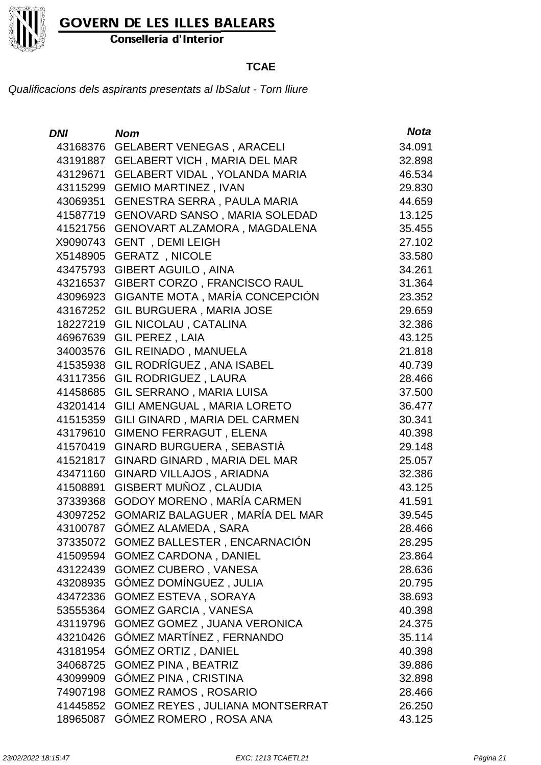Conselleria d'Interior

### **TCAE**

| DNI      | <b>Nom</b>                               | <b>Nota</b> |
|----------|------------------------------------------|-------------|
| 43168376 | <b>GELABERT VENEGAS, ARACELI</b>         | 34.091      |
| 43191887 | <b>GELABERT VICH, MARIA DEL MAR</b>      | 32.898      |
| 43129671 | <b>GELABERT VIDAL, YOLANDA MARIA</b>     | 46.534      |
| 43115299 | <b>GEMIO MARTINEZ, IVAN</b>              | 29.830      |
| 43069351 | <b>GENESTRA SERRA, PAULA MARIA</b>       | 44.659      |
| 41587719 | <b>GENOVARD SANSO, MARIA SOLEDAD</b>     | 13.125      |
| 41521756 | GENOVART ALZAMORA, MAGDALENA             | 35.455      |
| X9090743 | <b>GENT</b> , DEMI LEIGH                 | 27.102      |
| X5148905 | <b>GERATZ, NICOLE</b>                    | 33.580      |
| 43475793 | <b>GIBERT AGUILO, AINA</b>               | 34.261      |
| 43216537 | GIBERT CORZO, FRANCISCO RAUL             | 31.364      |
| 43096923 | GIGANTE MOTA, MARÍA CONCEPCIÓN           | 23.352      |
| 43167252 | <b>GIL BURGUERA, MARIA JOSE</b>          | 29.659      |
| 18227219 | <b>GIL NICOLAU, CATALINA</b>             | 32.386      |
| 46967639 | GIL PEREZ, LAIA                          | 43.125      |
| 34003576 | <b>GIL REINADO, MANUELA</b>              | 21.818      |
| 41535938 | GIL RODRÍGUEZ, ANA ISABEL                | 40.739      |
| 43117356 | <b>GIL RODRIGUEZ, LAURA</b>              | 28.466      |
| 41458685 | GIL SERRANO, MARIA LUISA                 | 37.500      |
| 43201414 | GILI AMENGUAL, MARIA LORETO              | 36.477      |
| 41515359 | GILI GINARD, MARIA DEL CARMEN            | 30.341      |
| 43179610 | <b>GIMENO FERRAGUT, ELENA</b>            | 40.398      |
| 41570419 | GINARD BURGUERA, SEBASTIA                | 29.148      |
| 41521817 | GINARD GINARD, MARIA DEL MAR             | 25.057      |
| 43471160 | GINARD VILLAJOS, ARIADNA                 | 32.386      |
| 41508891 | GISBERT MUÑOZ, CLAUDIA                   | 43.125      |
| 37339368 | <b>GODOY MORENO, MARÍA CARMEN</b>        | 41.591      |
| 43097252 | GOMARIZ BALAGUER, MARÍA DEL MAR          | 39.545      |
| 43100787 | <b>GÓMEZ ALAMEDA, SARA</b>               | 28.466      |
|          | 37335072 GOMEZ BALLESTER, ENCARNACIÓN    | 28.295      |
|          | 41509594 GOMEZ CARDONA, DANIEL           | 23.864      |
|          | 43122439 GOMEZ CUBERO, VANESA            | 28.636      |
|          | 43208935 GÓMEZ DOMÍNGUEZ, JULIA          | 20.795      |
|          | 43472336 GOMEZ ESTEVA, SORAYA            | 38.693      |
|          | 53555364 GOMEZ GARCIA, VANESA            | 40.398      |
|          | 43119796 GOMEZ GOMEZ, JUANA VERONICA     | 24.375      |
|          | 43210426 GÓMEZ MARTÍNEZ, FERNANDO        | 35.114      |
|          | 43181954 GOMEZ ORTIZ, DANIEL             | 40.398      |
| 34068725 | <b>GOMEZ PINA, BEATRIZ</b>               | 39.886      |
| 43099909 | <b>GÓMEZ PINA, CRISTINA</b>              | 32.898      |
|          | 74907198 GOMEZ RAMOS, ROSARIO            | 28.466      |
|          | 41445852 GOMEZ REYES, JULIANA MONTSERRAT | 26.250      |
| 18965087 | GÓMEZ ROMERO, ROSA ANA                   | 43.125      |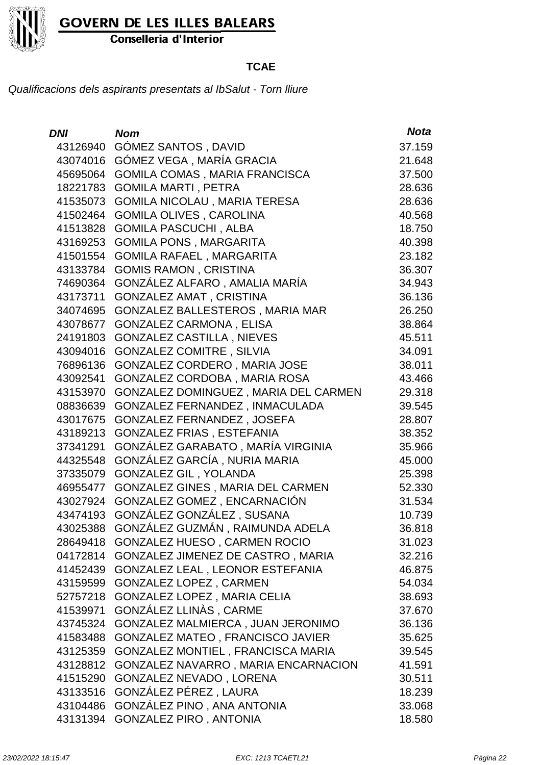

Conselleria d'Interior

### **TCAE**

| <b>DNI</b> | <b>Nom</b>                               | <b>Nota</b> |
|------------|------------------------------------------|-------------|
| 43126940   | GÓMEZ SANTOS, DAVID                      | 37.159      |
| 43074016   | GÓMEZ VEGA, MARÍA GRACIA                 | 21.648      |
| 45695064   | GOMILA COMAS, MARIA FRANCISCA            | 37.500      |
| 18221783   | <b>GOMILA MARTI, PETRA</b>               | 28.636      |
| 41535073   | <b>GOMILA NICOLAU, MARIA TERESA</b>      | 28.636      |
| 41502464   | <b>GOMILA OLIVES, CAROLINA</b>           | 40.568      |
| 41513828   | <b>GOMILA PASCUCHI, ALBA</b>             | 18.750      |
| 43169253   | <b>GOMILA PONS, MARGARITA</b>            | 40.398      |
| 41501554   | <b>GOMILA RAFAEL, MARGARITA</b>          | 23.182      |
| 43133784   | <b>GOMIS RAMON, CRISTINA</b>             | 36.307      |
| 74690364   | GONZÁLEZ ALFARO, AMALIA MARÍA            | 34.943      |
| 43173711   | <b>GONZALEZ AMAT, CRISTINA</b>           | 36.136      |
| 34074695   | GONZALEZ BALLESTEROS, MARIA MAR          | 26.250      |
| 43078677   | <b>GONZALEZ CARMONA, ELISA</b>           | 38.864      |
| 24191803   | <b>GONZALEZ CASTILLA, NIEVES</b>         | 45.511      |
| 43094016   | <b>GONZALEZ COMITRE, SILVIA</b>          | 34.091      |
| 76896136   | GONZALEZ CORDERO, MARIA JOSE             | 38.011      |
| 43092541   | GONZALEZ CORDOBA, MARIA ROSA             | 43.466      |
| 43153970   | GONZALEZ DOMINGUEZ, MARIA DEL CARMEN     | 29.318      |
| 08836639   | GONZALEZ FERNANDEZ, INMACULADA           | 39.545      |
| 43017675   | GONZALEZ FERNANDEZ, JOSEFA               | 28.807      |
| 43189213   | <b>GONZALEZ FRIAS, ESTEFANIA</b>         | 38.352      |
| 37341291   | GONZÁLEZ GARABATO, MARÍA VIRGINIA        | 35.966      |
| 44325548   | GONZÁLEZ GARCÍA, NURIA MARIA             | 45.000      |
| 37335079   | <b>GONZALEZ GIL, YOLANDA</b>             | 25.398      |
| 46955477   | GONZALEZ GINES, MARIA DEL CARMEN         | 52.330      |
| 43027924   | GONZALEZ GOMEZ, ENCARNACIÓN              | 31.534      |
| 43474193   | GONZÁLEZ GONZÁLEZ, SUSANA                | 10.739      |
| 43025388   | GONZÁLEZ GUZMÁN, RAIMUNDA ADELA          | 36.818      |
| 28649418   | <b>GONZALEZ HUESO, CARMEN ROCIO</b>      | 31.023      |
| 04172814   | GONZALEZ JIMENEZ DE CASTRO, MARIA        | 32.216      |
| 41452439   | GONZALEZ LEAL, LEONOR ESTEFANIA          | 46.875      |
| 43159599   | <b>GONZALEZ LOPEZ, CARMEN</b>            | 54.034      |
| 52757218   | <b>GONZALEZ LOPEZ, MARIA CELIA</b>       | 38.693      |
| 41539971   | GONZÁLEZ LLINÀS, CARME                   | 37.670      |
| 43745324   | GONZALEZ MALMIERCA, JUAN JERONIMO        | 36.136      |
| 41583488   | GONZALEZ MATEO, FRANCISCO JAVIER         | 35.625      |
| 43125359   | <b>GONZALEZ MONTIEL, FRANCISCA MARIA</b> | 39.545      |
| 43128812   | GONZALEZ NAVARRO, MARIA ENCARNACION      | 41.591      |
| 41515290   | GONZALEZ NEVADO, LORENA                  | 30.511      |
| 43133516   | GONZÁLEZ PÉREZ, LAURA                    | 18.239      |
| 43104486   | GONZÁLEZ PINO, ANA ANTONIA               | 33.068      |
| 43131394   | <b>GONZALEZ PIRO, ANTONIA</b>            | 18.580      |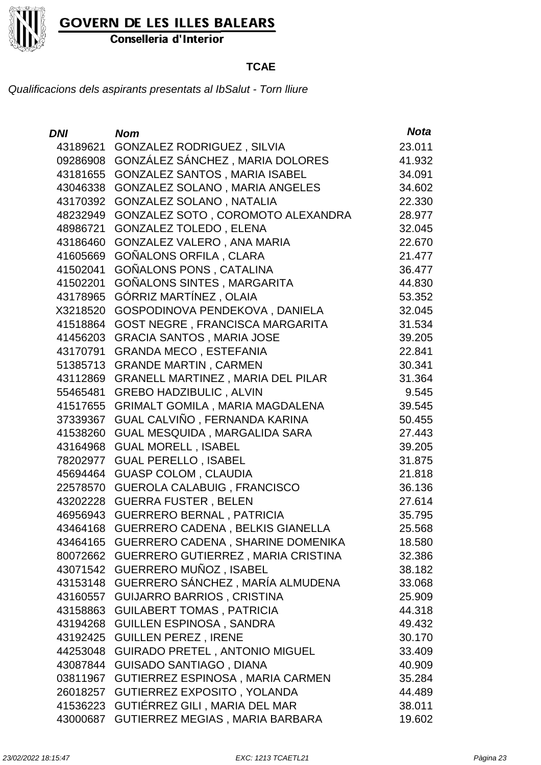

Conselleria d'Interior

### **TCAE**

| <b>DNI</b> | <b>Nom</b>                               | <b>Nota</b> |
|------------|------------------------------------------|-------------|
| 43189621   | <b>GONZALEZ RODRIGUEZ, SILVIA</b>        | 23.011      |
| 09286908   | GONZÁLEZ SÁNCHEZ, MARIA DOLORES          | 41.932      |
| 43181655   | <b>GONZALEZ SANTOS, MARIA ISABEL</b>     | 34.091      |
| 43046338   | GONZALEZ SOLANO, MARIA ANGELES           | 34.602      |
| 43170392   | GONZALEZ SOLANO, NATALIA                 | 22.330      |
| 48232949   | GONZALEZ SOTO, COROMOTO ALEXANDRA        | 28.977      |
| 48986721   | <b>GONZALEZ TOLEDO, ELENA</b>            | 32.045      |
| 43186460   | GONZALEZ VALERO, ANA MARIA               | 22.670      |
| 41605669   | GOÑALONS ORFILA, CLARA                   | 21.477      |
| 41502041   | <b>GOÑALONS PONS, CATALINA</b>           | 36.477      |
| 41502201   | GOÑALONS SINTES, MARGARITA               | 44.830      |
| 43178965   | GÓRRIZ MARTÍNEZ, OLAIA                   | 53.352      |
| X3218520   | GOSPODINOVA PENDEKOVA, DANIELA           | 32.045      |
| 41518864   | <b>GOST NEGRE, FRANCISCA MARGARITA</b>   | 31.534      |
| 41456203   | <b>GRACIA SANTOS, MARIA JOSE</b>         | 39.205      |
| 43170791   | <b>GRANDA MECO, ESTEFANIA</b>            | 22.841      |
| 51385713   | <b>GRANDE MARTIN, CARMEN</b>             | 30.341      |
| 43112869   | <b>GRANELL MARTINEZ, MARIA DEL PILAR</b> | 31.364      |
| 55465481   | <b>GREBO HADZIBULIC, ALVIN</b>           | 9.545       |
| 41517655   | <b>GRIMALT GOMILA, MARIA MAGDALENA</b>   | 39.545      |
| 37339367   | GUAL CALVIÑO, FERNANDA KARINA            | 50.455      |
| 41538260   | GUAL MESQUIDA, MARGALIDA SARA            | 27.443      |
| 43164968   | <b>GUAL MORELL, ISABEL</b>               | 39.205      |
| 78202977   | <b>GUAL PERELLO, ISABEL</b>              | 31.875      |
| 45694464   | <b>GUASP COLOM, CLAUDIA</b>              | 21.818      |
| 22578570   | <b>GUEROLA CALABUIG, FRANCISCO</b>       | 36.136      |
| 43202228   | <b>GUERRA FUSTER, BELEN</b>              | 27.614      |
| 46956943   | <b>GUERRERO BERNAL, PATRICIA</b>         | 35.795      |
| 43464168   | <b>GUERRERO CADENA, BELKIS GIANELLA</b>  | 25.568      |
| 43464165   | GUERRERO CADENA, SHARINE DOMENIKA        | 18.580      |
| 80072662   | GUERRERO GUTIERREZ, MARIA CRISTINA       | 32.386      |
| 43071542   | GUERRERO MUÑOZ, ISABEL                   | 38.182      |
| 43153148   | GUERRERO SÁNCHEZ, MARÍA ALMUDENA         | 33.068      |
| 43160557   | <b>GUIJARRO BARRIOS, CRISTINA</b>        | 25.909      |
| 43158863   | <b>GUILABERT TOMAS, PATRICIA</b>         | 44.318      |
| 43194268   | <b>GUILLEN ESPINOSA, SANDRA</b>          | 49.432      |
| 43192425   | <b>GUILLEN PEREZ, IRENE</b>              | 30.170      |
| 44253048   | <b>GUIRADO PRETEL, ANTONIO MIGUEL</b>    | 33.409      |
| 43087844   | <b>GUISADO SANTIAGO, DIANA</b>           | 40.909      |
| 03811967   | GUTIERREZ ESPINOSA, MARIA CARMEN         | 35.284      |
| 26018257   | GUTIERREZ EXPOSITO, YOLANDA              | 44.489      |
| 41536223   | GUTIÉRREZ GILI, MARIA DEL MAR            | 38.011      |
| 43000687   | GUTIERREZ MEGIAS, MARIA BARBARA          | 19.602      |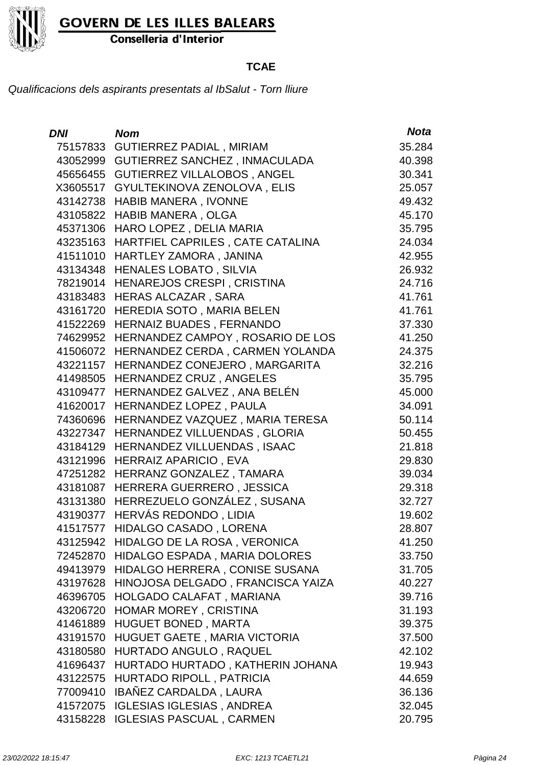

Conselleria d'Interior

### **TCAE**

| DNI      | <b>Nom</b>                           | <b>Nota</b> |
|----------|--------------------------------------|-------------|
| 75157833 | <b>GUTIERREZ PADIAL, MIRIAM</b>      | 35.284      |
| 43052999 | <b>GUTIERREZ SANCHEZ, INMACULADA</b> | 40.398      |
|          | 45656455 GUTIERREZ VILLALOBOS, ANGEL | 30.341      |
| X3605517 | GYULTEKINOVA ZENOLOVA, ELIS          | 25.057      |
| 43142738 | <b>HABIB MANERA, IVONNE</b>          | 49.432      |
| 43105822 | <b>HABIB MANERA, OLGA</b>            | 45.170      |
| 45371306 | HARO LOPEZ, DELIA MARIA              | 35.795      |
| 43235163 | HARTFIEL CAPRILES, CATE CATALINA     | 24.034      |
| 41511010 | HARTLEY ZAMORA, JANINA               | 42.955      |
| 43134348 | <b>HENALES LOBATO, SILVIA</b>        | 26.932      |
| 78219014 | HENAREJOS CRESPI, CRISTINA           | 24.716      |
| 43183483 | <b>HERAS ALCAZAR, SARA</b>           | 41.761      |
| 43161720 | HEREDIA SOTO, MARIA BELEN            | 41.761      |
| 41522269 | HERNAIZ BUADES, FERNANDO             | 37.330      |
| 74629952 | HERNANDEZ CAMPOY, ROSARIO DE LOS     | 41.250      |
| 41506072 | HERNANDEZ CERDA, CARMEN YOLANDA      | 24.375      |
| 43221157 | HERNANDEZ CONEJERO, MARGARITA        | 32.216      |
| 41498505 | HERNANDEZ CRUZ, ANGELES              | 35.795      |
| 43109477 | HERNANDEZ GALVEZ, ANA BELÉN          | 45.000      |
| 41620017 | HERNANDEZ LOPEZ, PAULA               | 34.091      |
| 74360696 | HERNANDEZ VAZQUEZ, MARIA TERESA      | 50.114      |
| 43227347 | HERNANDEZ VILLUENDAS, GLORIA         | 50.455      |
| 43184129 | HERNANDEZ VILLUENDAS, ISAAC          | 21.818      |
| 43121996 | <b>HERRAIZ APARICIO, EVA</b>         | 29.830      |
| 47251282 | HERRANZ GONZALEZ, TAMARA             | 39.034      |
| 43181087 | HERRERA GUERRERO, JESSICA            | 29.318      |
|          | 43131380 HERREZUELO GONZÁLEZ, SUSANA | 32.727      |
| 43190377 | HERVÁS REDONDO, LIDIA                | 19.602      |
| 41517577 | HIDALGO CASADO, LORENA               | 28.807      |
| 43125942 | HIDALGO DE LA ROSA, VERONICA         | 41.250      |
| 72452870 | HIDALGO ESPADA, MARIA DOLORES        | 33.750      |
| 49413979 | HIDALGO HERRERA, CONISE SUSANA       | 31.705      |
| 43197628 | HINOJOSA DELGADO, FRANCISCA YAIZA    | 40.227      |
| 46396705 | HOLGADO CALAFAT, MARIANA             | 39.716      |
| 43206720 | HOMAR MOREY, CRISTINA                | 31.193      |
| 41461889 | <b>HUGUET BONED, MARTA</b>           | 39.375      |
| 43191570 | HUGUET GAETE, MARIA VICTORIA         | 37.500      |
| 43180580 | HURTADO ANGULO, RAQUEL               | 42.102      |
| 41696437 | HURTADO HURTADO, KATHERIN JOHANA     | 19.943      |
| 43122575 | HURTADO RIPOLL, PATRICIA             | 44.659      |
| 77009410 | IBAÑEZ CARDALDA, LAURA               | 36.136      |
| 41572075 | <b>IGLESIAS IGLESIAS, ANDREA</b>     | 32.045      |
|          | 43158228 IGLESIAS PASCUAL, CARMEN    | 20.795      |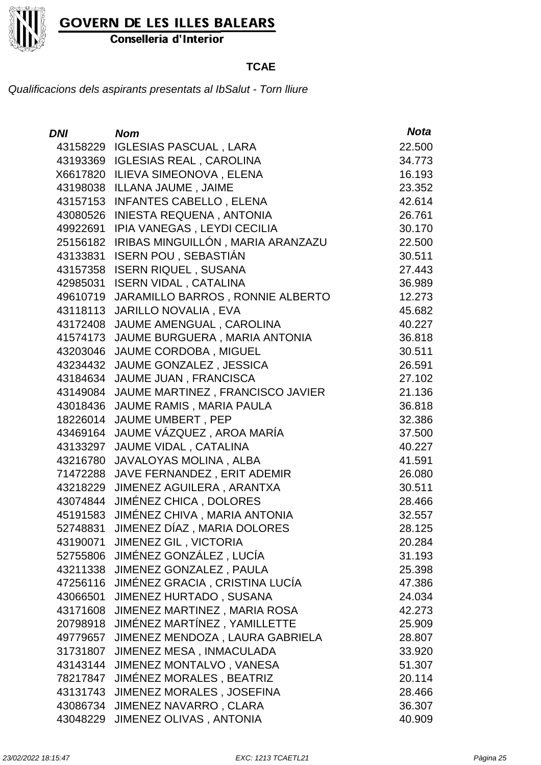

Conselleria d'Interior

### **TCAE**

| <b>DNI</b> | <b>Nom</b>                            | <b>Nota</b> |
|------------|---------------------------------------|-------------|
| 43158229   | <b>IGLESIAS PASCUAL, LARA</b>         | 22.500      |
|            | 43193369 IGLESIAS REAL, CAROLINA      | 34.773      |
| X6617820   | ILIEVA SIMEONOVA, ELENA               | 16.193      |
|            | 43198038 ILLANA JAUME, JAIME          | 23.352      |
| 43157153   | <b>INFANTES CABELLO, ELENA</b>        | 42.614      |
| 43080526   | <b>INIESTA REQUENA, ANTONIA</b>       | 26.761      |
| 49922691   | IPIA VANEGAS, LEYDI CECILIA           | 30.170      |
| 25156182   | IRIBAS MINGUILLÓN, MARIA ARANZAZU     | 22.500      |
| 43133831   | <b>ISERN POU, SEBASTIÁN</b>           | 30.511      |
|            | 43157358 ISERN RIQUEL, SUSANA         | 27.443      |
| 42985031   | <b>ISERN VIDAL, CATALINA</b>          | 36.989      |
| 49610719   | JARAMILLO BARROS, RONNIE ALBERTO      | 12.273      |
| 43118113   | <b>JARILLO NOVALIA, EVA</b>           | 45.682      |
| 43172408   | JAUME AMENGUAL, CAROLINA              | 40.227      |
| 41574173   | JAUME BURGUERA, MARIA ANTONIA         | 36.818      |
| 43203046   | JAUME CORDOBA, MIGUEL                 | 30.511      |
| 43234432   | JAUME GONZALEZ, JESSICA               | 26.591      |
| 43184634   | JAUME JUAN, FRANCISCA                 | 27.102      |
| 43149084   | JAUME MARTINEZ, FRANCISCO JAVIER      | 21.136      |
|            | 43018436 JAUME RAMIS, MARIA PAULA     | 36.818      |
| 18226014   | JAUME UMBERT, PEP                     | 32.386      |
| 43469164   | JAUME VÁZQUEZ, AROA MARÍA             | 37.500      |
| 43133297   | JAUME VIDAL, CATALINA                 | 40.227      |
| 43216780   | JAVALOYAS MOLINA, ALBA                | 41.591      |
| 71472288   | JAVE FERNANDEZ, ERIT ADEMIR           | 26.080      |
| 43218229   | JIMENEZ AGUILERA, ARANTXA             | 30.511      |
|            | 43074844 JIMÉNEZ CHICA, DOLORES       | 28.466      |
|            | 45191583 JIMÉNEZ CHIVA, MARIA ANTONIA | 32.557      |
|            | 52748831 JIMENEZ DÍAZ, MARIA DOLORES  | 28.125      |
|            | 43190071 JIMENEZ GIL, VICTORIA        | 20.284      |
|            | 52755806 JIMÉNEZ GONZÁLEZ, LUCÍA      | 31.193      |
|            | 43211338 JIMENEZ GONZALEZ, PAULA      | 25.398      |
| 47256116   | JIMÉNEZ GRACIA, CRISTINA LUCÍA        | 47.386      |
|            | 43066501 JIMENEZ HURTADO, SUSANA      | 24.034      |
| 43171608   | JIMENEZ MARTINEZ, MARIA ROSA          | 42.273      |
| 20798918   | JIMÉNEZ MARTÍNEZ, YAMILLETTE          | 25.909      |
| 49779657   | JIMENEZ MENDOZA, LAURA GABRIELA       | 28.807      |
|            | 31731807 JIMENEZ MESA, INMACULADA     | 33.920      |
| 43143144   | JIMENEZ MONTALVO, VANESA              | 51.307      |
| 78217847   | JIMÉNEZ MORALES, BEATRIZ              | 20.114      |
| 43131743   | JIMENEZ MORALES, JOSEFINA             | 28.466      |
|            | 43086734 JIMENEZ NAVARRO, CLARA       | 36.307      |
| 43048229   | JIMENEZ OLIVAS, ANTONIA               | 40.909      |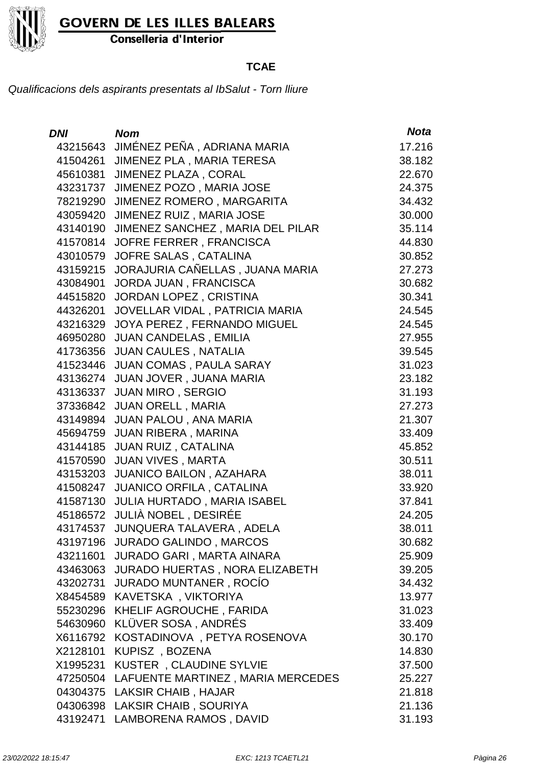

Conselleria d'Interior

### **TCAE**

| <b>DNI</b> | <b>Nom</b>                              | <b>Nota</b> |
|------------|-----------------------------------------|-------------|
| 43215643   | JIMÉNEZ PEÑA, ADRIANA MARIA             | 17.216      |
| 41504261   | JIMENEZ PLA, MARIA TERESA               | 38.182      |
| 45610381   | <b>JIMENEZ PLAZA, CORAL</b>             | 22.670      |
| 43231737   | JIMENEZ POZO, MARIA JOSE                | 24.375      |
| 78219290   | JIMENEZ ROMERO, MARGARITA               | 34.432      |
| 43059420   | JIMENEZ RUIZ, MARIA JOSE                | 30.000      |
| 43140190   | JIMENEZ SANCHEZ, MARIA DEL PILAR        | 35.114      |
| 41570814   | JOFRE FERRER, FRANCISCA                 | 44.830      |
| 43010579   | JOFRE SALAS, CATALINA                   | 30.852      |
| 43159215   | JORAJURIA CAÑELLAS, JUANA MARIA         | 27.273      |
| 43084901   | JORDA JUAN, FRANCISCA                   | 30.682      |
| 44515820   | JORDAN LOPEZ, CRISTINA                  | 30.341      |
| 44326201   | JOVELLAR VIDAL, PATRICIA MARIA          | 24.545      |
| 43216329   | JOYA PEREZ, FERNANDO MIGUEL             | 24.545      |
| 46950280   | <b>JUAN CANDELAS, EMILIA</b>            | 27.955      |
| 41736356   | <b>JUAN CAULES, NATALIA</b>             | 39.545      |
| 41523446   | JUAN COMAS, PAULA SARAY                 | 31.023      |
| 43136274   | JUAN JOVER, JUANA MARIA                 | 23.182      |
| 43136337   | <b>JUAN MIRO, SERGIO</b>                | 31.193      |
|            | 37336842 JUAN ORELL, MARIA              | 27.273      |
| 43149894   | JUAN PALOU, ANA MARIA                   | 21.307      |
| 45694759   | <b>JUAN RIBERA, MARINA</b>              | 33.409      |
| 43144185   | <b>JUAN RUIZ, CATALINA</b>              | 45.852      |
| 41570590   | <b>JUAN VIVES, MARTA</b>                | 30.511      |
| 43153203   | <b>JUANICO BAILON, AZAHARA</b>          | 38.011      |
| 41508247   | <b>JUANICO ORFILA, CATALINA</b>         | 33.920      |
| 41587130   | JULIA HURTADO, MARIA ISABEL             | 37.841      |
|            | 45186572 JULIÀ NOBEL, DESIRÉE           | 24.205      |
| 43174537   | JUNQUERA TALAVERA, ADELA                | 38.011      |
|            | 43197196 JURADO GALINDO, MARCOS         | 30.682      |
| 43211601   | JURADO GARI, MARTA AINARA               | 25.909      |
|            | 43463063 JURADO HUERTAS, NORA ELIZABETH | 39.205      |
| 43202731   | <b>JURADO MUNTANER, ROCÍO</b>           | 34.432      |
|            | X8454589 KAVETSKA, VIKTORIYA            | 13.977      |
| 55230296   | KHELIF AGROUCHE, FARIDA                 | 31.023      |
| 54630960   | KLÜVER SOSA, ANDRÉS                     | 33.409      |
| X6116792   | KOSTADINOVA, PETYA ROSENOVA             | 30.170      |
| X2128101   | KUPISZ, BOZENA                          | 14.830      |
| X1995231   | KUSTER, CLAUDINE SYLVIE                 | 37.500      |
| 47250504   | LAFUENTE MARTINEZ, MARIA MERCEDES       | 25.227      |
|            | 04304375 LAKSIR CHAIB, HAJAR            | 21.818      |
|            | 04306398 LAKSIR CHAIB, SOURIYA          | 21.136      |
| 43192471   | LAMBORENA RAMOS, DAVID                  | 31.193      |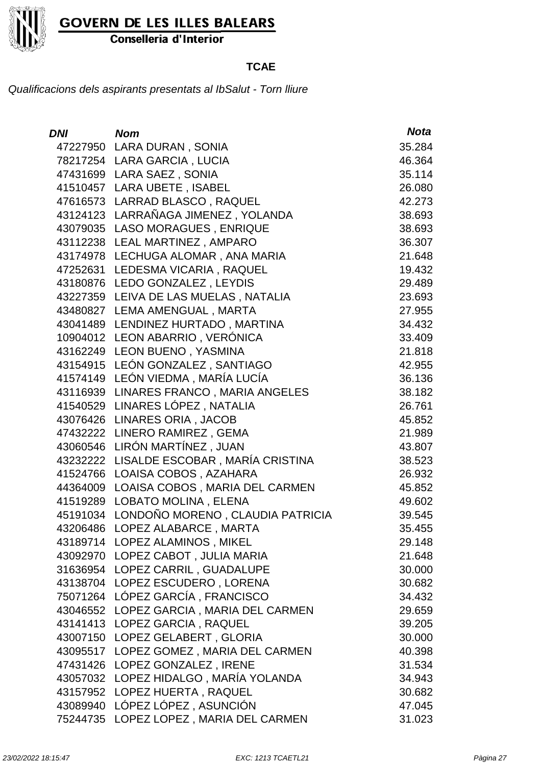

Conselleria d'Interior

### **TCAE**

| <b>DNI</b> | <b>Nom</b>                                | <b>Nota</b> |
|------------|-------------------------------------------|-------------|
|            | 47227950 LARA DURAN, SONIA                | 35.284      |
|            | 78217254 LARA GARCIA, LUCIA               | 46.364      |
|            | 47431699 LARA SAEZ, SONIA                 | 35.114      |
|            | 41510457 LARA UBETE, ISABEL               | 26.080      |
|            | 47616573 LARRAD BLASCO, RAQUEL            | 42.273      |
|            | 43124123 LARRAÑAGA JIMENEZ, YOLANDA       | 38.693      |
|            | 43079035 LASO MORAGUES, ENRIQUE           | 38.693      |
|            | 43112238 LEAL MARTINEZ, AMPARO            | 36.307      |
|            | 43174978 LECHUGA ALOMAR, ANA MARIA        | 21.648      |
|            | 47252631 LEDESMA VICARIA, RAQUEL          | 19.432      |
|            | 43180876 LEDO GONZALEZ, LEYDIS            | 29.489      |
|            | 43227359 LEIVA DE LAS MUELAS, NATALIA     | 23.693      |
|            | 43480827 LEMA AMENGUAL, MARTA             | 27.955      |
|            | 43041489 LENDINEZ HURTADO, MARTINA        | 34.432      |
|            | 10904012 LEON ABARRIO, VERÓNICA           | 33.409      |
|            | 43162249 LEON BUENO, YASMINA              | 21.818      |
|            | 43154915 LEÓN GONZALEZ, SANTIAGO          | 42.955      |
|            | 41574149 LEÓN VIEDMA, MARÍA LUCÍA         | 36.136      |
|            | 43116939 LINARES FRANCO, MARIA ANGELES    | 38.182      |
|            | 41540529 LINARES LÓPEZ, NATALIA           | 26.761      |
|            | 43076426 LINARES ORIA, JACOB              | 45.852      |
|            | 47432222 LINERO RAMIREZ, GEMA             | 21.989      |
|            | 43060546 LIRÓN MARTÍNEZ, JUAN             | 43.807      |
|            | 43232222 LISALDE ESCOBAR, MARÍA CRISTINA  | 38.523      |
|            | 41524766 LOAISA COBOS, AZAHARA            | 26.932      |
|            | 44364009 LOAISA COBOS, MARIA DEL CARMEN   | 45.852      |
|            | 41519289 LOBATO MOLINA, ELENA             | 49.602      |
|            | 45191034 LONDOÑO MORENO, CLAUDIA PATRICIA | 39.545      |
| 43206486   | LOPEZ ALABARCE, MARTA                     | 35.455      |
|            | 43189714 LOPEZ ALAMINOS, MIKEL            | 29.148      |
|            | 43092970 LOPEZ CABOT, JULIA MARIA         | 21.648      |
|            | 31636954 LOPEZ CARRIL, GUADALUPE          | 30.000      |
|            | 43138704 LOPEZ ESCUDERO, LORENA           | 30.682      |
|            | 75071264 LÓPEZ GARCÍA, FRANCISCO          | 34.432      |
|            | 43046552 LOPEZ GARCIA, MARIA DEL CARMEN   | 29.659      |
|            | 43141413 LOPEZ GARCIA, RAQUEL             | 39.205      |
|            | 43007150 LOPEZ GELABERT, GLORIA           | 30.000      |
|            | 43095517 LOPEZ GOMEZ, MARIA DEL CARMEN    | 40.398      |
|            | 47431426 LOPEZ GONZALEZ, IRENE            | 31.534      |
|            | 43057032 LOPEZ HIDALGO, MARÍA YOLANDA     | 34.943      |
|            | 43157952 LOPEZ HUERTA, RAQUEL             | 30.682      |
|            | 43089940 LÓPEZ LÓPEZ, ASUNCIÓN            | 47.045      |
|            | 75244735 LOPEZ LOPEZ, MARIA DEL CARMEN    | 31.023      |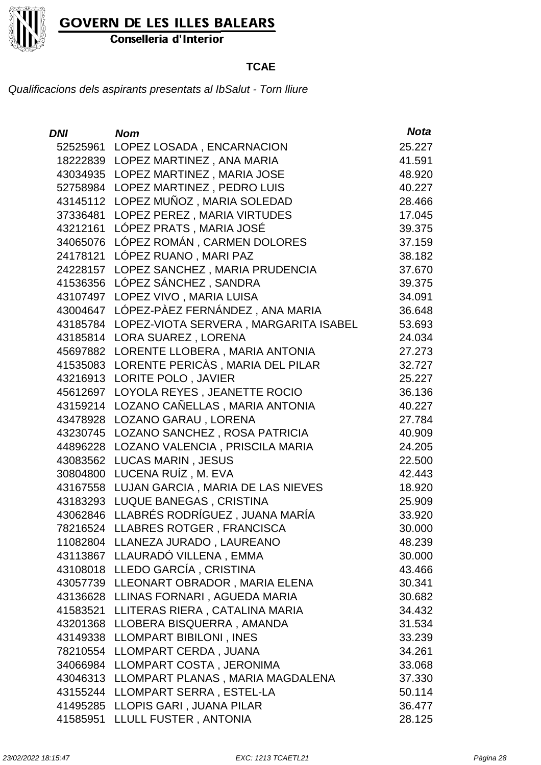

Conselleria d'Interior

### **TCAE**

| <b>DNI</b> | <b>Nom</b>                              | <b>Nota</b> |
|------------|-----------------------------------------|-------------|
| 52525961   | LOPEZ LOSADA, ENCARNACION               | 25.227      |
| 18222839   | LOPEZ MARTINEZ, ANA MARIA               | 41.591      |
| 43034935   | LOPEZ MARTINEZ, MARIA JOSE              | 48.920      |
| 52758984   | LOPEZ MARTINEZ, PEDRO LUIS              | 40.227      |
| 43145112   | LOPEZ MUÑOZ, MARIA SOLEDAD              | 28.466      |
| 37336481   | LOPEZ PEREZ, MARIA VIRTUDES             | 17.045      |
| 43212161   | LÓPEZ PRATS, MARIA JOSÉ                 | 39.375      |
| 34065076   | LÓPEZ ROMÁN, CARMEN DOLORES             | 37.159      |
| 24178121   | LÓPEZ RUANO, MARI PAZ                   | 38.182      |
| 24228157   | LOPEZ SANCHEZ, MARIA PRUDENCIA          | 37.670      |
| 41536356   | LÓPEZ SÁNCHEZ, SANDRA                   | 39.375      |
| 43107497   | LOPEZ VIVO, MARIA LUISA                 | 34.091      |
| 43004647   | LÓPEZ-PÀEZ FERNÁNDEZ , ANA MARIA        | 36.648      |
| 43185784   | LOPEZ-VIOTA SERVERA, MARGARITA ISABEL   | 53.693      |
|            | 43185814 LORA SUAREZ, LORENA            | 24.034      |
| 45697882   | LORENTE LLOBERA, MARIA ANTONIA          | 27.273      |
| 41535083   | LORENTE PERICÀS, MARIA DEL PILAR        | 32.727      |
| 43216913   | LORITE POLO, JAVIER                     | 25.227      |
| 45612697   | LOYOLA REYES, JEANETTE ROCIO            | 36.136      |
| 43159214   | LOZANO CAÑELLAS, MARIA ANTONIA          | 40.227      |
| 43478928   | LOZANO GARAU, LORENA                    | 27.784      |
| 43230745   | LOZANO SANCHEZ, ROSA PATRICIA           | 40.909      |
| 44896228   | LOZANO VALENCIA, PRISCILA MARIA         | 24.205      |
| 43083562   | <b>LUCAS MARIN, JESUS</b>               | 22.500      |
| 30804800   | LUCENA RUÍZ, M. EVA                     | 42.443      |
| 43167558   | LUJAN GARCIA, MARIA DE LAS NIEVES       | 18.920      |
|            | 43183293 LUQUE BANEGAS, CRISTINA        | 25.909      |
|            | 43062846 LLABRÉS RODRÍGUEZ, JUANA MARÍA | 33.920      |
| 78216524   | LLABRES ROTGER, FRANCISCA               | 30.000      |
|            | 11082804 LLANEZA JURADO, LAUREANO       | 48.239      |
|            | 43113867 LLAURADÓ VILLENA, EMMA         | 30.000      |
|            | 43108018 LLEDO GARCÍA, CRISTINA         | 43.466      |
|            | 43057739 LLEONART OBRADOR, MARIA ELENA  | 30.341      |
|            | 43136628 LLINAS FORNARI, AGUEDA MARIA   | 30.682      |
| 41583521   | LLITERAS RIERA, CATALINA MARIA          | 34.432      |
| 43201368   | LLOBERA BISQUERRA, AMANDA               | 31.534      |
| 43149338   | LLOMPART BIBILONI, INES                 | 33.239      |
| 78210554   | LLOMPART CERDA, JUANA                   | 34.261      |
| 34066984   | LLOMPART COSTA, JERONIMA                | 33.068      |
| 43046313   | LLOMPART PLANAS, MARIA MAGDALENA        | 37.330      |
| 43155244   | LLOMPART SERRA, ESTEL-LA                | 50.114      |
| 41495285   | LLOPIS GARI, JUANA PILAR                | 36.477      |
| 41585951   | LLULL FUSTER, ANTONIA                   | 28.125      |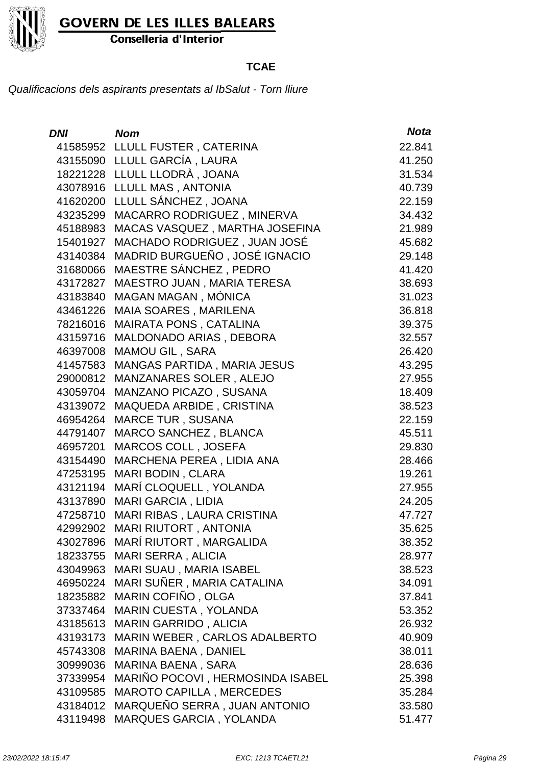

Conselleria d'Interior

### **TCAE**

| <b>DNI</b> | <b>Nom</b>                         | <b>Nota</b> |
|------------|------------------------------------|-------------|
|            | 41585952 LLULL FUSTER, CATERINA    | 22.841      |
|            | 43155090 LLULL GARCÍA, LAURA       | 41.250      |
|            | 18221228 LLULL LLODRÀ, JOANA       | 31.534      |
|            | 43078916 LLULL MAS, ANTONIA        | 40.739      |
| 41620200   | LLULL SÁNCHEZ, JOANA               | 22.159      |
| 43235299   | MACARRO RODRIGUEZ, MINERVA         | 34.432      |
| 45188983   | MACAS VASQUEZ, MARTHA JOSEFINA     | 21.989      |
| 15401927   | MACHADO RODRIGUEZ, JUAN JOSÉ       | 45.682      |
| 43140384   | MADRID BURGUEÑO, JOSÉ IGNACIO      | 29.148      |
| 31680066   | MAESTRE SÁNCHEZ, PEDRO             | 41.420      |
| 43172827   | MAESTRO JUAN, MARIA TERESA         | 38.693      |
| 43183840   | MAGAN MAGAN, MÓNICA                | 31.023      |
| 43461226   | <b>MAIA SOARES, MARILENA</b>       | 36.818      |
| 78216016   | MAIRATA PONS, CATALINA             | 39.375      |
| 43159716   | MALDONADO ARIAS, DEBORA            | 32.557      |
| 46397008   | <b>MAMOU GIL, SARA</b>             | 26.420      |
| 41457583   | <b>MANGAS PARTIDA, MARIA JESUS</b> | 43.295      |
| 29000812   | MANZANARES SOLER, ALEJO            | 27.955      |
| 43059704   | <b>MANZANO PICAZO, SUSANA</b>      | 18.409      |
| 43139072   | MAQUEDA ARBIDE, CRISTINA           | 38.523      |
| 46954264   | <b>MARCE TUR, SUSANA</b>           | 22.159      |
| 44791407   | <b>MARCO SANCHEZ, BLANCA</b>       | 45.511      |
| 46957201   | MARCOS COLL, JOSEFA                | 29.830      |
| 43154490   | MARCHENA PEREA, LIDIA ANA          | 28.466      |
| 47253195   | <b>MARI BODIN, CLARA</b>           | 19.261      |
| 43121194   | MARÍ CLOQUELL, YOLANDA             | 27.955      |
| 43137890   | <b>MARI GARCIA, LIDIA</b>          | 24.205      |
| 47258710   | MARI RIBAS, LAURA CRISTINA         | 47.727      |
| 42992902   | <b>MARI RIUTORT, ANTONIA</b>       | 35.625      |
|            | 43027896 MARÍ RIUTORT, MARGALIDA   | 38.352      |
| 18233755   | <b>MARI SERRA, ALICIA</b>          | 28.977      |
| 43049963   | MARI SUAU, MARIA ISABEL            | 38.523      |
| 46950224   | MARI SUÑER, MARIA CATALINA         | 34.091      |
| 18235882   | MARIN COFIÑO, OLGA                 | 37.841      |
| 37337464   | <b>MARIN CUESTA, YOLANDA</b>       | 53.352      |
| 43185613   | <b>MARIN GARRIDO, ALICIA</b>       | 26.932      |
| 43193173   | MARIN WEBER, CARLOS ADALBERTO      | 40.909      |
| 45743308   | <b>MARINA BAENA, DANIEL</b>        | 38.011      |
| 30999036   | <b>MARINA BAENA, SARA</b>          | 28.636      |
| 37339954   | MARIÑO POCOVI, HERMOSINDA ISABEL   | 25.398      |
| 43109585   | <b>MAROTO CAPILLA, MERCEDES</b>    | 35.284      |
| 43184012   | MARQUEÑO SERRA, JUAN ANTONIO       | 33.580      |
| 43119498   | MARQUES GARCIA, YOLANDA            | 51.477      |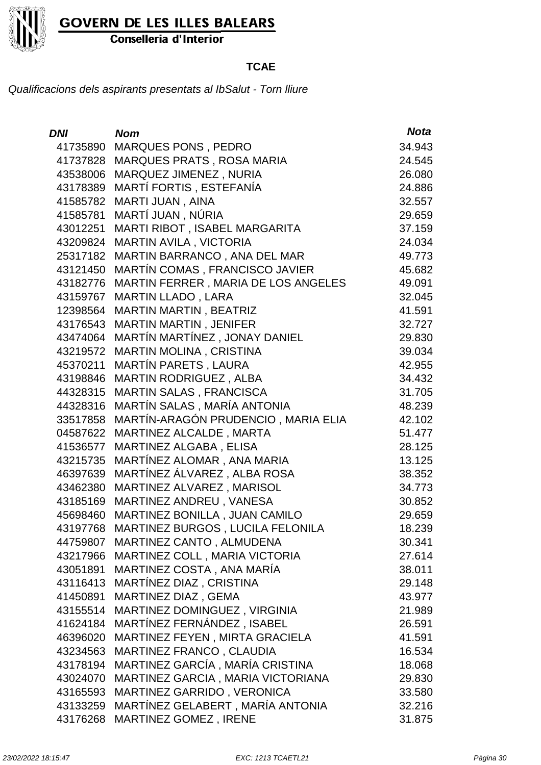

Conselleria d'Interior

### **TCAE**

| <b>DNI</b> | <b>Nom</b>                          | <b>Nota</b> |
|------------|-------------------------------------|-------------|
| 41735890   | <b>MARQUES PONS, PEDRO</b>          | 34.943      |
| 41737828   | MARQUES PRATS, ROSA MARIA           | 24.545      |
| 43538006   | MARQUEZ JIMENEZ, NURIA              | 26.080      |
| 43178389   | MARTÍ FORTIS, ESTEFANÍA             | 24.886      |
| 41585782   | MARTI JUAN, AINA                    | 32.557      |
| 41585781   | MARTÍ JUAN, NÚRIA                   | 29.659      |
| 43012251   | MARTI RIBOT, ISABEL MARGARITA       | 37.159      |
| 43209824   | MARTIN AVILA, VICTORIA              | 24.034      |
| 25317182   | MARTIN BARRANCO, ANA DEL MAR        | 49.773      |
| 43121450   | MARTÍN COMAS, FRANCISCO JAVIER      | 45.682      |
| 43182776   | MARTIN FERRER, MARIA DE LOS ANGELES | 49.091      |
| 43159767   | <b>MARTIN LLADO, LARA</b>           | 32.045      |
| 12398564   | MARTIN MARTIN, BEATRIZ              | 41.591      |
| 43176543   | MARTIN MARTIN, JENIFER              | 32.727      |
| 43474064   | MARTÍN MARTÍNEZ, JONAY DANIEL       | 29.830      |
| 43219572   | MARTIN MOLINA, CRISTINA             | 39.034      |
| 45370211   | MARTÍN PARETS, LAURA                | 42.955      |
| 43198846   | MARTIN RODRIGUEZ, ALBA              | 34.432      |
| 44328315   | MARTIN SALAS, FRANCISCA             | 31.705      |
| 44328316   | MARTÍN SALAS, MARÍA ANTONIA         | 48.239      |
| 33517858   | MARTÍN-ARAGÓN PRUDENCIO, MARIA ELIA | 42.102      |
| 04587622   | MARTINEZ ALCALDE, MARTA             | 51.477      |
| 41536577   | MARTINEZ ALGABA, ELISA              | 28.125      |
| 43215735   | MARTÍNEZ ALOMAR, ANA MARIA          | 13.125      |
| 46397639   | MARTÍNEZ ÁLVAREZ, ALBA ROSA         | 38.352      |
| 43462380   | MARTINEZ ALVAREZ, MARISOL           | 34.773      |
| 43185169   | MARTINEZ ANDREU, VANESA             | 30.852      |
| 45698460   | MARTINEZ BONILLA, JUAN CAMILO       | 29.659      |
| 43197768   | MARTINEZ BURGOS, LUCILA FELONILA    | 18.239      |
| 44759807   | MARTINEZ CANTO, ALMUDENA            | 30.341      |
| 43217966   | MARTINEZ COLL, MARIA VICTORIA       | 27.614      |
| 43051891   | MARTINEZ COSTA, ANA MARÍA           | 38.011      |
| 43116413   | MARTÍNEZ DIAZ, CRISTINA             | 29.148      |
| 41450891   | MARTINEZ DIAZ, GEMA                 | 43.977      |
| 43155514   | MARTINEZ DOMINGUEZ, VIRGINIA        | 21.989      |
| 41624184   | MARTÍNEZ FERNÁNDEZ, ISABEL          | 26.591      |
| 46396020   | MARTINEZ FEYEN, MIRTA GRACIELA      | 41.591      |
| 43234563   | MARTINEZ FRANCO, CLAUDIA            | 16.534      |
| 43178194   | MARTINEZ GARCÍA, MARÍA CRISTINA     | 18.068      |
| 43024070   | MARTINEZ GARCIA, MARIA VICTORIANA   | 29.830      |
| 43165593   | MARTINEZ GARRIDO, VERONICA          | 33.580      |
| 43133259   | MARTÍNEZ GELABERT, MARÍA ANTONIA    | 32.216      |
| 43176268   | MARTINEZ GOMEZ, IRENE               | 31.875      |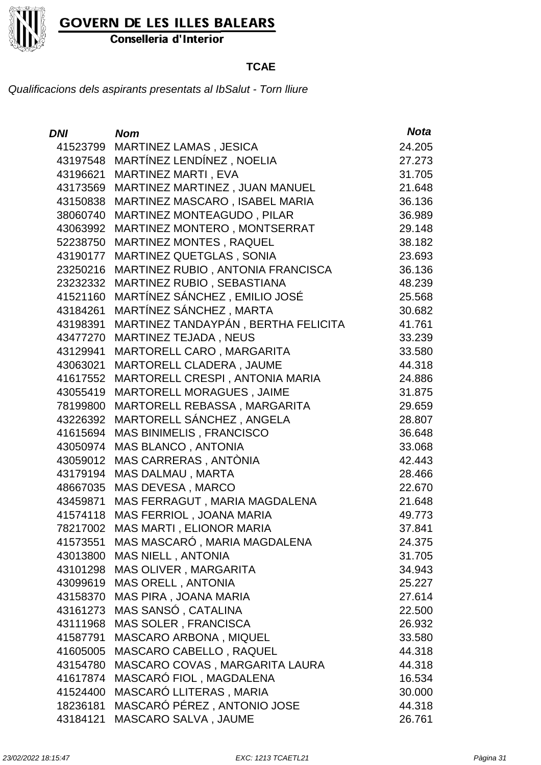

Conselleria d'Interior

### **TCAE**

| DNI      | <b>Nom</b>                          | <b>Nota</b> |
|----------|-------------------------------------|-------------|
|          | 41523799 MARTINEZ LAMAS, JESICA     | 24.205      |
| 43197548 | MARTÍNEZ LENDÍNEZ, NOELIA           | 27.273      |
| 43196621 | MARTINEZ MARTI, EVA                 | 31.705      |
| 43173569 | MARTINEZ MARTINEZ, JUAN MANUEL      | 21.648      |
| 43150838 | MARTINEZ MASCARO, ISABEL MARIA      | 36.136      |
| 38060740 | MARTINEZ MONTEAGUDO, PILAR          | 36.989      |
| 43063992 | MARTINEZ MONTERO, MONTSERRAT        | 29.148      |
| 52238750 | <b>MARTINEZ MONTES, RAQUEL</b>      | 38.182      |
| 43190177 | <b>MARTINEZ QUETGLAS, SONIA</b>     | 23.693      |
| 23250216 | MARTINEZ RUBIO, ANTONIA FRANCISCA   | 36.136      |
| 23232332 | MARTINEZ RUBIO, SEBASTIANA          | 48.239      |
| 41521160 | MARTÍNEZ SÁNCHEZ, EMILIO JOSÉ       | 25.568      |
| 43184261 | MARTÍNEZ SÁNCHEZ, MARTA             | 30.682      |
| 43198391 | MARTINEZ TANDAYPÁN, BERTHA FELICITA | 41.761      |
| 43477270 | MARTINEZ TEJADA, NEUS               | 33.239      |
| 43129941 | MARTORELL CARO, MARGARITA           | 33.580      |
| 43063021 | MARTORELL CLADERA, JAUME            | 44.318      |
| 41617552 | MARTORELL CRESPI, ANTONIA MARIA     | 24.886      |
| 43055419 | MARTORELL MORAGUES, JAIME           | 31.875      |
| 78199800 | MARTORELL REBASSA, MARGARITA        | 29.659      |
| 43226392 | MARTORELL SÁNCHEZ, ANGELA           | 28.807      |
| 41615694 | <b>MAS BINIMELIS, FRANCISCO</b>     | 36.648      |
| 43050974 | MAS BLANCO, ANTONIA                 | 33.068      |
| 43059012 | MAS CARRERAS, ANTÒNIA               | 42.443      |
| 43179194 | MAS DALMAU, MARTA                   | 28.466      |
| 48667035 | MAS DEVESA, MARCO                   | 22.670      |
| 43459871 | MAS FERRAGUT, MARIA MAGDALENA       | 21.648      |
| 41574118 | MAS FERRIOL, JOANA MARIA            | 49.773      |
| 78217002 | MAS MARTI, ELIONOR MARIA            | 37.841      |
| 41573551 | MAS MASCARÓ, MARIA MAGDALENA        | 24.375      |
| 43013800 | <b>MAS NIELL, ANTONIA</b>           | 31.705      |
| 43101298 | MAS OLIVER, MARGARITA               | 34.943      |
| 43099619 | <b>MAS ORELL, ANTONIA</b>           | 25.227      |
| 43158370 | MAS PIRA, JOANA MARIA               | 27.614      |
| 43161273 | MAS SANSÓ, CATALINA                 | 22.500      |
| 43111968 | <b>MAS SOLER, FRANCISCA</b>         | 26.932      |
| 41587791 | MASCARO ARBONA, MIQUEL              | 33.580      |
| 41605005 | MASCARO CABELLO, RAQUEL             | 44.318      |
| 43154780 | MASCARO COVAS, MARGARITA LAURA      | 44.318      |
| 41617874 | MASCARÓ FIOL, MAGDALENA             | 16.534      |
| 41524400 | MASCARÓ LLITERAS, MARIA             | 30.000      |
| 18236181 | MASCARÓ PÉREZ, ANTONIO JOSE         | 44.318      |
| 43184121 | MASCARO SALVA, JAUME                | 26.761      |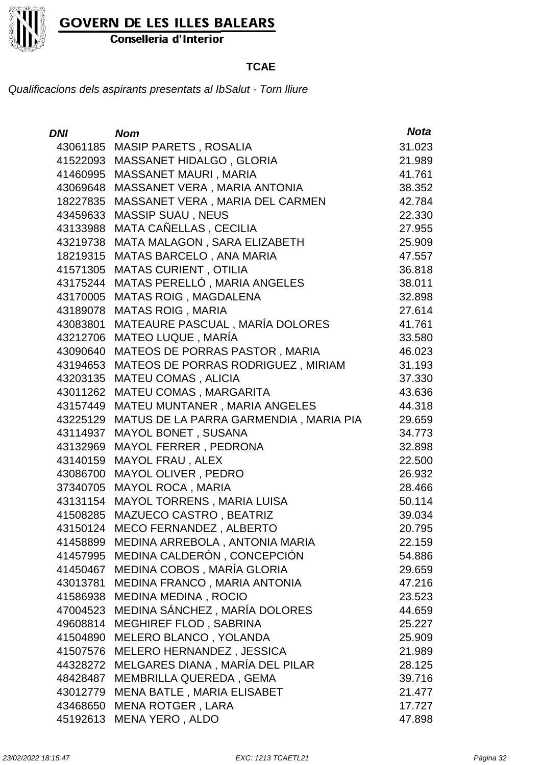

Conselleria d'Interior

### **TCAE**

| DNI      | <b>Nom</b>                             | <b>Nota</b> |
|----------|----------------------------------------|-------------|
| 43061185 | <b>MASIP PARETS, ROSALIA</b>           | 31.023      |
| 41522093 | MASSANET HIDALGO, GLORIA               | 21.989      |
| 41460995 | <b>MASSANET MAURI, MARIA</b>           | 41.761      |
| 43069648 | MASSANET VERA, MARIA ANTONIA           | 38.352      |
| 18227835 | MASSANET VERA, MARIA DEL CARMEN        | 42.784      |
| 43459633 | <b>MASSIP SUAU, NEUS</b>               | 22.330      |
| 43133988 | MATA CAÑELLAS, CECILIA                 | 27.955      |
| 43219738 | MATA MALAGON, SARA ELIZABETH           | 25.909      |
| 18219315 | MATAS BARCELO, ANA MARIA               | 47.557      |
| 41571305 | <b>MATAS CURIENT, OTILIA</b>           | 36.818      |
| 43175244 | MATAS PERELLÓ, MARIA ANGELES           | 38.011      |
| 43170005 | <b>MATAS ROIG, MAGDALENA</b>           | 32.898      |
| 43189078 | <b>MATAS ROIG, MARIA</b>               | 27.614      |
| 43083801 | MATEAURE PASCUAL, MARÍA DOLORES        | 41.761      |
| 43212706 | MATEO LUQUE, MARÍA                     | 33.580      |
| 43090640 | MATEOS DE PORRAS PASTOR, MARIA         | 46.023      |
| 43194653 | MATEOS DE PORRAS RODRIGUEZ, MIRIAM     | 31.193      |
| 43203135 | MATEU COMAS, ALICIA                    | 37.330      |
| 43011262 | MATEU COMAS, MARGARITA                 | 43.636      |
| 43157449 | MATEU MUNTANER, MARIA ANGELES          | 44.318      |
| 43225129 | MATUS DE LA PARRA GARMENDIA, MARIA PIA | 29.659      |
| 43114937 | MAYOL BONET, SUSANA                    | 34.773      |
| 43132969 | MAYOL FERRER, PEDRONA                  | 32.898      |
| 43140159 | <b>MAYOL FRAU, ALEX</b>                | 22.500      |
| 43086700 | MAYOL OLIVER, PEDRO                    | 26.932      |
| 37340705 | <b>MAYOL ROCA, MARIA</b>               | 28.466      |
| 43131154 | MAYOL TORRENS, MARIA LUISA             | 50.114      |
| 41508285 | MAZUECO CASTRO, BEATRIZ                | 39.034      |
| 43150124 | MECO FERNANDEZ, ALBERTO                | 20.795      |
| 41458899 | MEDINA ARREBOLA, ANTONIA MARIA         | 22.159      |
| 41457995 | MEDINA CALDERÓN, CONCEPCIÓN            | 54.886      |
| 41450467 | MEDINA COBOS, MARÍA GLORIA             | 29.659      |
| 43013781 | MEDINA FRANCO, MARIA ANTONIA           | 47.216      |
| 41586938 | MEDINA MEDINA, ROCIO                   | 23.523      |
| 47004523 | MEDINA SÁNCHEZ, MARÍA DOLORES          | 44.659      |
| 49608814 | MEGHIREF FLOD, SABRINA                 | 25.227      |
| 41504890 | MELERO BLANCO, YOLANDA                 | 25.909      |
| 41507576 | MELERO HERNANDEZ, JESSICA              | 21.989      |
| 44328272 | MELGARES DIANA, MARÍA DEL PILAR        | 28.125      |
| 48428487 | MEMBRILLA QUEREDA, GEMA                | 39.716      |
| 43012779 | MENA BATLE, MARIA ELISABET             | 21.477      |
| 43468650 | <b>MENA ROTGER, LARA</b>               | 17.727      |
| 45192613 | MENA YERO, ALDO                        | 47.898      |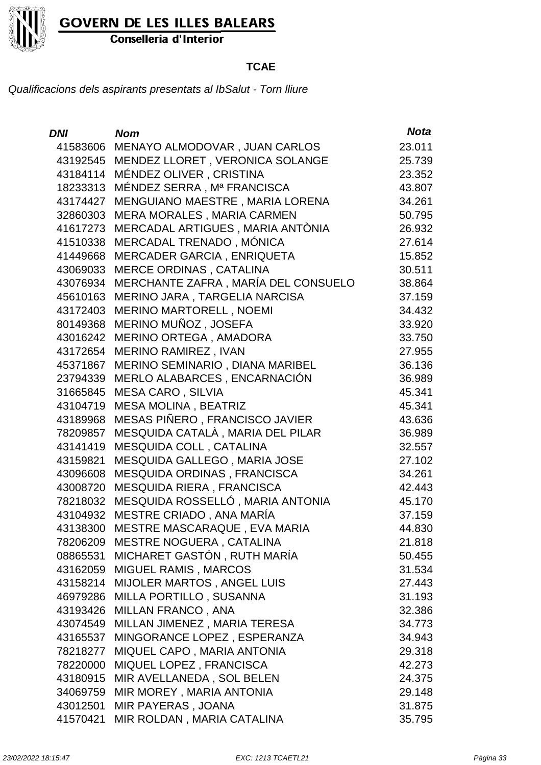

Conselleria d'Interior

### **TCAE**

| <b>DNI</b> | <b>Nom</b>                          | <b>Nota</b> |
|------------|-------------------------------------|-------------|
| 41583606   | MENAYO ALMODOVAR, JUAN CARLOS       | 23.011      |
| 43192545   | MENDEZ LLORET, VERONICA SOLANGE     | 25.739      |
| 43184114   | MÉNDEZ OLIVER, CRISTINA             | 23.352      |
| 18233313   | MÉNDEZ SERRA, Mª FRANCISCA          | 43.807      |
| 43174427   | MENGUIANO MAESTRE, MARIA LORENA     | 34.261      |
| 32860303   | MERA MORALES, MARIA CARMEN          | 50.795      |
| 41617273   | MERCADAL ARTIGUES, MARIA ANTÒNIA    | 26.932      |
| 41510338   | MERCADAL TRENADO, MÓNICA            | 27.614      |
| 41449668   | MERCADER GARCIA, ENRIQUETA          | 15.852      |
| 43069033   | <b>MERCE ORDINAS, CATALINA</b>      | 30.511      |
| 43076934   | MERCHANTE ZAFRA, MARÍA DEL CONSUELO | 38.864      |
| 45610163   | MERINO JARA, TARGELIA NARCISA       | 37.159      |
| 43172403   | <b>MERINO MARTORELL, NOEMI</b>      | 34.432      |
| 80149368   | MERINO MUÑOZ, JOSEFA                | 33.920      |
| 43016242   | MERINO ORTEGA, AMADORA              | 33.750      |
| 43172654   | <b>MERINO RAMIREZ, IVAN</b>         | 27.955      |
| 45371867   | MERINO SEMINARIO, DIANA MARIBEL     | 36.136      |
| 23794339   | MERLO ALABARCES, ENCARNACIÓN        | 36.989      |
| 31665845   | <b>MESA CARO, SILVIA</b>            | 45.341      |
| 43104719   | <b>MESA MOLINA, BEATRIZ</b>         | 45.341      |
| 43189968   | MESAS PIÑERO, FRANCISCO JAVIER      | 43.636      |
| 78209857   | MESQUIDA CATALÀ, MARIA DEL PILAR    | 36.989      |
| 43141419   | MESQUIDA COLL, CATALINA             | 32.557      |
| 43159821   | MESQUIDA GALLEGO, MARIA JOSE        | 27.102      |
| 43096608   | MESQUIDA ORDINAS, FRANCISCA         | 34.261      |
| 43008720   | MESQUIDA RIERA, FRANCISCA           | 42.443      |
| 78218032   | MESQUIDA ROSSELLÓ, MARIA ANTONIA    | 45.170      |
| 43104932   | MESTRE CRIADO, ANA MARÍA            | 37.159      |
| 43138300   | MESTRE MASCARAQUE, EVA MARIA        | 44.830      |
| 78206209   | <b>MESTRE NOGUERA, CATALINA</b>     | 21.818      |
| 08865531   | MICHARET GASTÓN, RUTH MARÍA         | 50.455      |
| 43162059   | MIGUEL RAMIS, MARCOS                | 31.534      |
| 43158214   | <b>MIJOLER MARTOS, ANGEL LUIS</b>   | 27.443      |
| 46979286   | MILLA PORTILLO, SUSANNA             | 31.193      |
| 43193426   | <b>MILLAN FRANCO, ANA</b>           | 32.386      |
| 43074549   | MILLAN JIMENEZ, MARIA TERESA        | 34.773      |
| 43165537   | MINGORANCE LOPEZ, ESPERANZA         | 34.943      |
| 78218277   | MIQUEL CAPO, MARIA ANTONIA          | 29.318      |
| 78220000   | MIQUEL LOPEZ, FRANCISCA             | 42.273      |
| 43180915   | MIR AVELLANEDA, SOL BELEN           | 24.375      |
| 34069759   | MIR MOREY, MARIA ANTONIA            | 29.148      |
| 43012501   | MIR PAYERAS, JOANA                  | 31.875      |
| 41570421   | MIR ROLDAN, MARIA CATALINA          | 35.795      |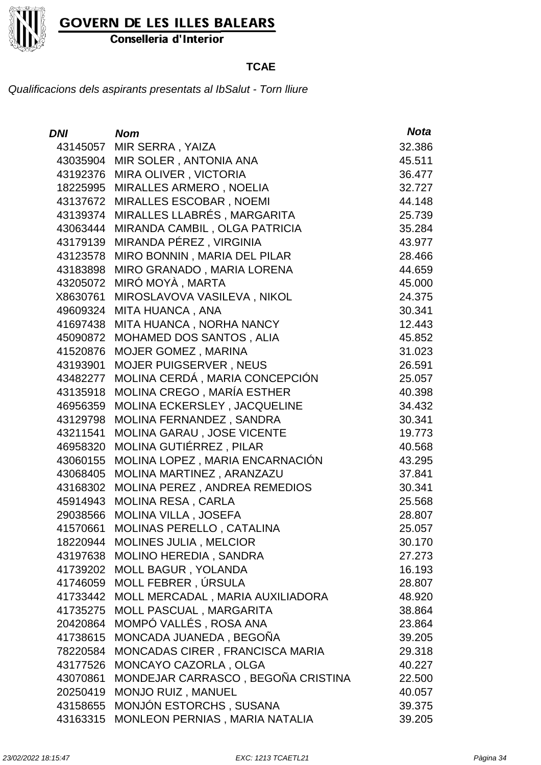

Conselleria d'Interior

### **TCAE**

| <b>DNI</b> | <b>Nom</b>                         | <b>Nota</b> |
|------------|------------------------------------|-------------|
| 43145057   | MIR SERRA, YAIZA                   | 32.386      |
| 43035904   | MIR SOLER, ANTONIA ANA             | 45.511      |
| 43192376   | MIRA OLIVER, VICTORIA              | 36.477      |
| 18225995   | MIRALLES ARMERO, NOELIA            | 32.727      |
| 43137672   | MIRALLES ESCOBAR, NOEMI            | 44.148      |
| 43139374   | MIRALLES LLABRÉS, MARGARITA        | 25.739      |
| 43063444   | MIRANDA CAMBIL, OLGA PATRICIA      | 35.284      |
| 43179139   | MIRANDA PÉREZ, VIRGINIA            | 43.977      |
| 43123578   | MIRO BONNIN, MARIA DEL PILAR       | 28.466      |
| 43183898   | MIRO GRANADO, MARIA LORENA         | 44.659      |
| 43205072   | MIRÓ MOYÀ, MARTA                   | 45.000      |
| X8630761   | MIROSLAVOVA VASILEVA, NIKOL        | 24.375      |
| 49609324   | MITA HUANCA, ANA                   | 30.341      |
| 41697438   | MITA HUANCA, NORHA NANCY           | 12.443      |
| 45090872   | MOHAMED DOS SANTOS, ALIA           | 45.852      |
| 41520876   | MOJER GOMEZ, MARINA                | 31.023      |
| 43193901   | <b>MOJER PUIGSERVER, NEUS</b>      | 26.591      |
| 43482277   | MOLINA CERDÁ, MARIA CONCEPCIÓN     | 25.057      |
| 43135918   | MOLINA CREGO, MARÍA ESTHER         | 40.398      |
| 46956359   | MOLINA ECKERSLEY, JACQUELINE       | 34.432      |
| 43129798   | MOLINA FERNANDEZ, SANDRA           | 30.341      |
| 43211541   | MOLINA GARAU, JOSE VICENTE         | 19.773      |
| 46958320   | MOLINA GUTIÉRREZ, PILAR            | 40.568      |
| 43060155   | MOLINA LOPEZ, MARIA ENCARNACIÓN    | 43.295      |
| 43068405   | MOLINA MARTINEZ, ARANZAZU          | 37.841      |
| 43168302   | MOLINA PEREZ, ANDREA REMEDIOS      | 30.341      |
| 45914943   | <b>MOLINA RESA, CARLA</b>          | 25.568      |
| 29038566   | <b>MOLINA VILLA, JOSEFA</b>        | 28.807      |
| 41570661   | MOLINAS PERELLO, CATALINA          | 25.057      |
| 18220944   | MOLINES JULIA, MELCIOR             | 30.170      |
| 43197638   | MOLINO HEREDIA, SANDRA             | 27.273      |
| 41739202   | MOLL BAGUR, YOLANDA                | 16.193      |
| 41746059   | MOLL FEBRER, ÚRSULA                | 28.807      |
| 41733442   | MOLL MERCADAL, MARIA AUXILIADORA   | 48.920      |
| 41735275   | MOLL PASCUAL, MARGARITA            | 38.864      |
| 20420864   | MOMPÓ VALLÉS, ROSA ANA             | 23.864      |
| 41738615   | MONCADA JUANEDA, BEGOÑA            | 39.205      |
| 78220584   | MONCADAS CIRER, FRANCISCA MARIA    | 29.318      |
| 43177526   | MONCAYO CAZORLA, OLGA              | 40.227      |
| 43070861   | MONDEJAR CARRASCO, BEGOÑA CRISTINA | 22.500      |
| 20250419   | MONJO RUIZ, MANUEL                 | 40.057      |
| 43158655   | MONJÓN ESTORCHS, SUSANA            | 39.375      |
| 43163315   | MONLEON PERNIAS, MARIA NATALIA     | 39.205      |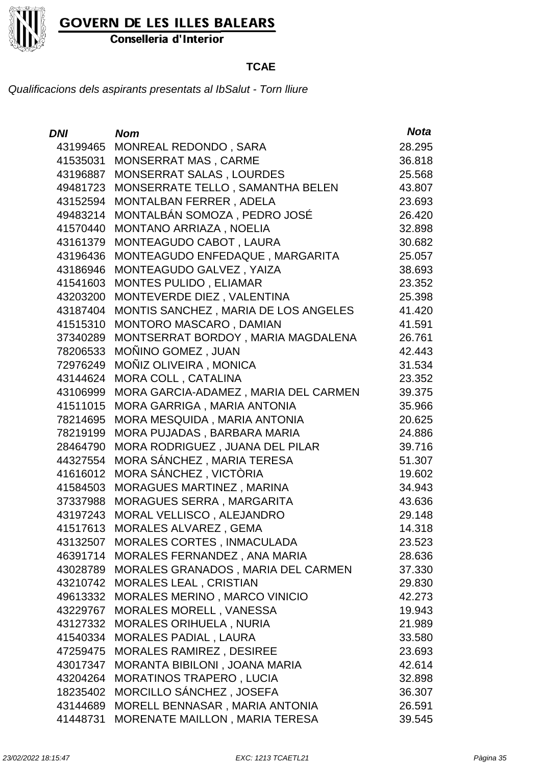

Conselleria d'Interior

### **TCAE**

| DNI      | <b>Nom</b>                           | <b>Nota</b> |
|----------|--------------------------------------|-------------|
| 43199465 | MONREAL REDONDO, SARA                | 28.295      |
| 41535031 | <b>MONSERRAT MAS, CARME</b>          | 36.818      |
| 43196887 | MONSERRAT SALAS, LOURDES             | 25.568      |
| 49481723 | MONSERRATE TELLO, SAMANTHA BELEN     | 43.807      |
| 43152594 | MONTALBAN FERRER, ADELA              | 23.693      |
| 49483214 | MONTALBÁN SOMOZA, PEDRO JOSÉ         | 26.420      |
| 41570440 | MONTANO ARRIAZA, NOELIA              | 32.898      |
| 43161379 | MONTEAGUDO CABOT, LAURA              | 30.682      |
| 43196436 | MONTEAGUDO ENFEDAQUE, MARGARITA      | 25.057      |
| 43186946 | MONTEAGUDO GALVEZ, YAIZA             | 38.693      |
| 41541603 | MONTES PULIDO, ELIAMAR               | 23.352      |
| 43203200 | MONTEVERDE DIEZ, VALENTINA           | 25.398      |
| 43187404 | MONTIS SANCHEZ, MARIA DE LOS ANGELES | 41.420      |
| 41515310 | MONTORO MASCARO, DAMIAN              | 41.591      |
| 37340289 | MONTSERRAT BORDOY, MARIA MAGDALENA   | 26.761      |
| 78206533 | MOÑINO GOMEZ, JUAN                   | 42.443      |
| 72976249 | MOÑIZ OLIVEIRA, MONICA               | 31.534      |
| 43144624 | MORA COLL, CATALINA                  | 23.352      |
| 43106999 | MORA GARCIA-ADAMEZ, MARIA DEL CARMEN | 39.375      |
| 41511015 | MORA GARRIGA, MARIA ANTONIA          | 35.966      |
| 78214695 | MORA MESQUIDA, MARIA ANTONIA         | 20.625      |
| 78219199 | MORA PUJADAS, BARBARA MARIA          | 24.886      |
| 28464790 | MORA RODRIGUEZ, JUANA DEL PILAR      | 39.716      |
| 44327554 | MORA SÁNCHEZ, MARIA TERESA           | 51.307      |
| 41616012 | MORA SÁNCHEZ, VICTÒRIA               | 19.602      |
| 41584503 | MORAGUES MARTINEZ, MARINA            | 34.943      |
| 37337988 | MORAGUES SERRA, MARGARITA            | 43.636      |
| 43197243 | MORAL VELLISCO, ALEJANDRO            | 29.148      |
| 41517613 | MORALES ALVAREZ, GEMA                | 14.318      |
| 43132507 | <b>MORALES CORTES, INMACULADA</b>    | 23.523      |
| 46391714 | MORALES FERNANDEZ, ANA MARIA         | 28.636      |
| 43028789 | MORALES GRANADOS, MARIA DEL CARMEN   | 37.330      |
| 43210742 | <b>MORALES LEAL, CRISTIAN</b>        | 29.830      |
| 49613332 | MORALES MERINO, MARCO VINICIO        | 42.273      |
| 43229767 | <b>MORALES MORELL, VANESSA</b>       | 19.943      |
| 43127332 | <b>MORALES ORIHUELA, NURIA</b>       | 21.989      |
| 41540334 | <b>MORALES PADIAL, LAURA</b>         | 33.580      |
| 47259475 | MORALES RAMIREZ, DESIREE             | 23.693      |
| 43017347 | MORANTA BIBILONI, JOANA MARIA        | 42.614      |
| 43204264 | <b>MORATINOS TRAPERO, LUCIA</b>      | 32.898      |
| 18235402 | MORCILLO SÁNCHEZ, JOSEFA             | 36.307      |
| 43144689 | MORELL BENNASAR, MARIA ANTONIA       | 26.591      |
| 41448731 | MORENATE MAILLON, MARIA TERESA       | 39.545      |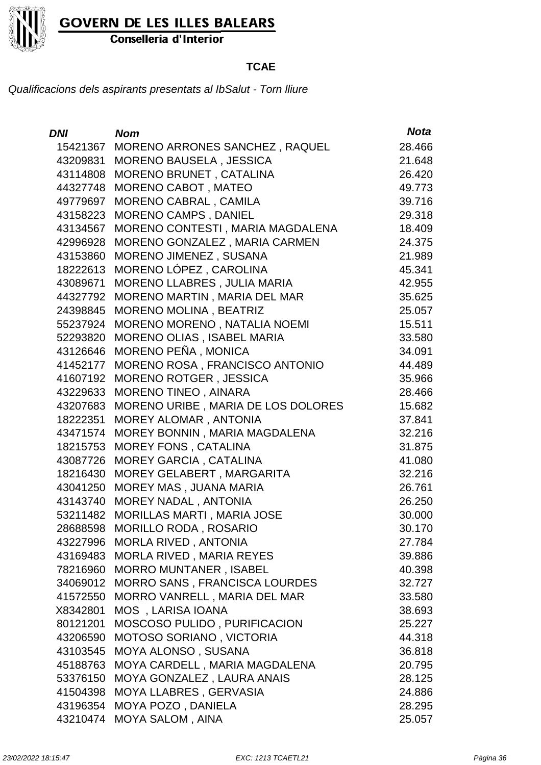

Conselleria d'Interior

#### **TCAE**

| <b>DNI</b> | <b>Nom</b>                         | <b>Nota</b> |
|------------|------------------------------------|-------------|
| 15421367   | MORENO ARRONES SANCHEZ, RAQUEL     | 28.466      |
| 43209831   | <b>MORENO BAUSELA, JESSICA</b>     | 21.648      |
| 43114808   | MORENO BRUNET, CATALINA            | 26.420      |
| 44327748   | MORENO CABOT, MATEO                | 49.773      |
| 49779697   | MORENO CABRAL, CAMILA              | 39.716      |
| 43158223   | <b>MORENO CAMPS, DANIEL</b>        | 29.318      |
| 43134567   | MORENO CONTESTI, MARIA MAGDALENA   | 18.409      |
| 42996928   | MORENO GONZALEZ, MARIA CARMEN      | 24.375      |
| 43153860   | <b>MORENO JIMENEZ, SUSANA</b>      | 21.989      |
| 18222613   | MORENO LÓPEZ, CAROLINA             | 45.341      |
| 43089671   | <b>MORENO LLABRES, JULIA MARIA</b> | 42.955      |
| 44327792   | MORENO MARTIN, MARIA DEL MAR       | 35.625      |
| 24398845   | <b>MORENO MOLINA, BEATRIZ</b>      | 25.057      |
| 55237924   | MORENO MORENO, NATALIA NOEMI       | 15.511      |
| 52293820   | MORENO OLIAS, ISABEL MARIA         | 33.580      |
| 43126646   | MORENO PEÑA, MONICA                | 34.091      |
| 41452177   | MORENO ROSA, FRANCISCO ANTONIO     | 44.489      |
| 41607192   | <b>MORENO ROTGER, JESSICA</b>      | 35.966      |
| 43229633   | MORENO TINEO, AINARA               | 28.466      |
| 43207683   | MORENO URIBE, MARIA DE LOS DOLORES | 15.682      |
| 18222351   | MOREY ALOMAR, ANTONIA              | 37.841      |
| 43471574   | MOREY BONNIN, MARIA MAGDALENA      | 32.216      |
| 18215753   | <b>MOREY FONS, CATALINA</b>        | 31.875      |
| 43087726   | <b>MOREY GARCIA, CATALINA</b>      | 41.080      |
| 18216430   | MOREY GELABERT, MARGARITA          | 32.216      |
| 43041250   | MOREY MAS, JUANA MARIA             | 26.761      |
| 43143740   | <b>MOREY NADAL, ANTONIA</b>        | 26.250      |
| 53211482   | MORILLAS MARTI, MARIA JOSE         | 30.000      |
| 28688598   | <b>MORILLO RODA, ROSARIO</b>       | 30.170      |
|            | 43227996 MORLA RIVED, ANTONIA      | 27.784      |
| 43169483   | <b>MORLA RIVED, MARIA REYES</b>    | 39.886      |
| 78216960   | <b>MORRO MUNTANER, ISABEL</b>      | 40.398      |
| 34069012   | MORRO SANS, FRANCISCA LOURDES      | 32.727      |
| 41572550   | MORRO VANRELL, MARIA DEL MAR       | 33.580      |
| X8342801   | MOS, LARISA IOANA                  | 38.693      |
| 80121201   | MOSCOSO PULIDO, PURIFICACION       | 25.227      |
| 43206590   | MOTOSO SORIANO, VICTORIA           | 44.318      |
| 43103545   | MOYA ALONSO, SUSANA                | 36.818      |
| 45188763   | MOYA CARDELL, MARIA MAGDALENA      | 20.795      |
| 53376150   | MOYA GONZALEZ, LAURA ANAIS         | 28.125      |
| 41504398   | MOYA LLABRES, GERVASIA             | 24.886      |
| 43196354   | MOYA POZO, DANIELA                 | 28.295      |
| 43210474   | <b>MOYA SALOM, AINA</b>            | 25.057      |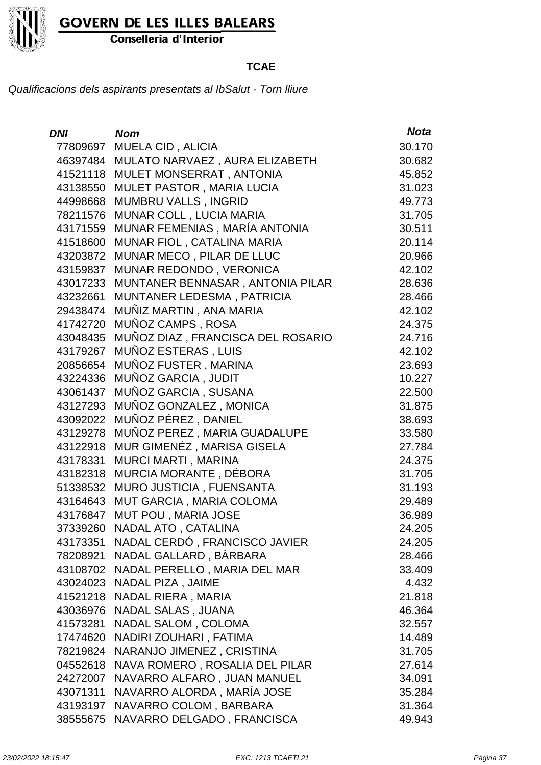

Conselleria d'Interior

### **TCAE**

| DNI      | <b>Nom</b>                        | <b>Nota</b> |
|----------|-----------------------------------|-------------|
| 77809697 | MUELA CID, ALICIA                 | 30.170      |
| 46397484 | MULATO NARVAEZ, AURA ELIZABETH    | 30.682      |
| 41521118 | MULET MONSERRAT, ANTONIA          | 45.852      |
| 43138550 | MULET PASTOR, MARIA LUCIA         | 31.023      |
| 44998668 | <b>MUMBRU VALLS, INGRID</b>       | 49.773      |
| 78211576 | MUNAR COLL, LUCIA MARIA           | 31.705      |
| 43171559 | MUNAR FEMENIAS, MARÍA ANTONIA     | 30.511      |
| 41518600 | MUNAR FIOL, CATALINA MARIA        | 20.114      |
| 43203872 | MUNAR MECO, PILAR DE LLUC         | 20.966      |
| 43159837 | MUNAR REDONDO, VERONICA           | 42.102      |
| 43017233 | MUNTANER BENNASAR, ANTONIA PILAR  | 28.636      |
| 43232661 | MUNTANER LEDESMA, PATRICIA        | 28.466      |
| 29438474 | MUÑIZ MARTIN, ANA MARIA           | 42.102      |
| 41742720 | MUÑOZ CAMPS, ROSA                 | 24.375      |
| 43048435 | MUÑOZ DIAZ, FRANCISCA DEL ROSARIO | 24.716      |
| 43179267 | MUÑOZ ESTERAS, LUIS               | 42.102      |
| 20856654 | MUÑOZ FUSTER, MARINA              | 23.693      |
| 43224336 | MUÑOZ GARCIA, JUDIT               | 10.227      |
| 43061437 | MUÑOZ GARCIA, SUSANA              | 22.500      |
| 43127293 | MUÑOZ GONZALEZ, MONICA            | 31.875      |
| 43092022 | MUÑOZ PÉREZ, DANIEL               | 38.693      |
| 43129278 | MUÑOZ PEREZ, MARIA GUADALUPE      | 33.580      |
| 43122918 | MUR GIMENÉZ, MARISA GISELA        | 27.784      |
| 43178331 | MURCI MARTI, MARINA               | 24.375      |
| 43182318 | MURCIA MORANTE, DÉBORA            | 31.705      |
| 51338532 | MURO JUSTICIA, FUENSANTA          | 31.193      |
| 43164643 | MUT GARCIA, MARIA COLOMA          | 29.489      |
| 43176847 | MUT POU, MARIA JOSE               | 36.989      |
| 37339260 | NADAL ATO, CATALINA               | 24.205      |
| 43173351 | NADAL CERDÓ, FRANCISCO JAVIER     | 24.205      |
| 78208921 | NADAL GALLARD, BÀRBARA            | 28.466      |
| 43108702 | NADAL PERELLO, MARIA DEL MAR      | 33.409      |
| 43024023 | NADAL PIZA, JAIME                 | 4.432       |
| 41521218 | NADAL RIERA, MARIA                | 21.818      |
| 43036976 | NADAL SALAS, JUANA                | 46.364      |
| 41573281 | <b>NADAL SALOM, COLOMA</b>        | 32.557      |
| 17474620 | NADIRI ZOUHARI, FATIMA            | 14.489      |
| 78219824 | NARANJO JIMENEZ, CRISTINA         | 31.705      |
| 04552618 | NAVA ROMERO, ROSALIA DEL PILAR    | 27.614      |
| 24272007 | NAVARRO ALFARO, JUAN MANUEL       | 34.091      |
| 43071311 | NAVARRO ALORDA, MARÍA JOSE        | 35.284      |
| 43193197 | NAVARRO COLOM, BARBARA            | 31.364      |
| 38555675 | NAVARRO DELGADO, FRANCISCA        | 49.943      |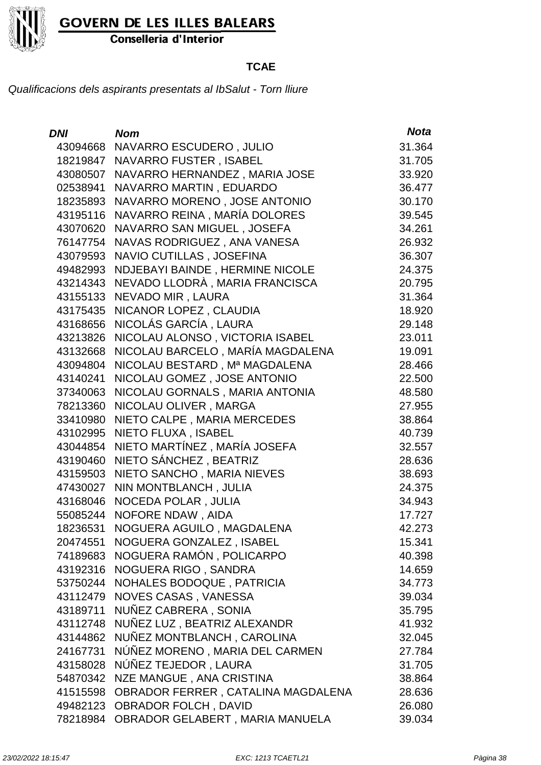

Conselleria d'Interior

### **TCAE**

| <b>DNI</b> | <b>Nom</b>                         | <b>Nota</b> |
|------------|------------------------------------|-------------|
|            | 43094668 NAVARRO ESCUDERO, JULIO   | 31.364      |
| 18219847   | NAVARRO FUSTER, ISABEL             | 31.705      |
| 43080507   | NAVARRO HERNANDEZ, MARIA JOSE      | 33.920      |
| 02538941   | NAVARRO MARTIN, EDUARDO            | 36.477      |
| 18235893   | NAVARRO MORENO, JOSE ANTONIO       | 30.170      |
| 43195116   | NAVARRO REINA, MARÍA DOLORES       | 39.545      |
| 43070620   | NAVARRO SAN MIGUEL, JOSEFA         | 34.261      |
| 76147754   | NAVAS RODRIGUEZ, ANA VANESA        | 26.932      |
| 43079593   | NAVIO CUTILLAS, JOSEFINA           | 36.307      |
| 49482993   | NDJEBAYI BAINDE, HERMINE NICOLE    | 24.375      |
| 43214343   | NEVADO LLODRÀ, MARIA FRANCISCA     | 20.795      |
| 43155133   | NEVADO MIR, LAURA                  | 31.364      |
| 43175435   | NICANOR LOPEZ, CLAUDIA             | 18.920      |
| 43168656   | NICOLÁS GARCÍA, LAURA              | 29.148      |
| 43213826   | NICOLAU ALONSO, VICTORIA ISABEL    | 23.011      |
| 43132668   | NICOLAU BARCELO, MARÍA MAGDALENA   | 19.091      |
| 43094804   | NICOLAU BESTARD, Mª MAGDALENA      | 28.466      |
| 43140241   | NICOLAU GOMEZ, JOSE ANTONIO        | 22.500      |
| 37340063   | NICOLAU GORNALS, MARIA ANTONIA     | 48.580      |
| 78213360   | NICOLAU OLIVER, MARGA              | 27.955      |
| 33410980   | NIETO CALPE, MARIA MERCEDES        | 38.864      |
| 43102995   | NIETO FLUXA, ISABEL                | 40.739      |
| 43044854   | NIETO MARTÍNEZ, MARÍA JOSEFA       | 32.557      |
| 43190460   | NIETO SÁNCHEZ, BEATRIZ             | 28.636      |
| 43159503   | NIETO SANCHO, MARIA NIEVES         | 38.693      |
| 47430027   | NIN MONTBLANCH, JULIA              | 24.375      |
| 43168046   | <b>NOCEDA POLAR, JULIA</b>         | 34.943      |
| 55085244   | NOFORE NDAW, AIDA                  | 17.727      |
| 18236531   | NOGUERA AGUILO, MAGDALENA          | 42.273      |
| 20474551   | NOGUERA GONZALEZ, ISABEL           | 15.341      |
| 74189683   | NOGUERA RAMÓN, POLICARPO           | 40.398      |
| 43192316   | NOGUERA RIGO, SANDRA               | 14.659      |
| 53750244   | NOHALES BODOQUE, PATRICIA          | 34.773      |
| 43112479   | NOVES CASAS, VANESSA               | 39.034      |
| 43189711   | NUÑEZ CABRERA, SONIA               | 35.795      |
| 43112748   | NUÑEZ LUZ, BEATRIZ ALEXANDR        | 41.932      |
| 43144862   | NUÑEZ MONTBLANCH, CAROLINA         | 32.045      |
| 24167731   | NÚÑEZ MORENO, MARIA DEL CARMEN     | 27.784      |
| 43158028   | NÚÑEZ TEJEDOR, LAURA               | 31.705      |
| 54870342   | NZE MANGUE, ANA CRISTINA           | 38.864      |
| 41515598   | OBRADOR FERRER, CATALINA MAGDALENA | 28.636      |
| 49482123   | <b>OBRADOR FOLCH, DAVID</b>        | 26.080      |
| 78218984   | OBRADOR GELABERT, MARIA MANUELA    | 39.034      |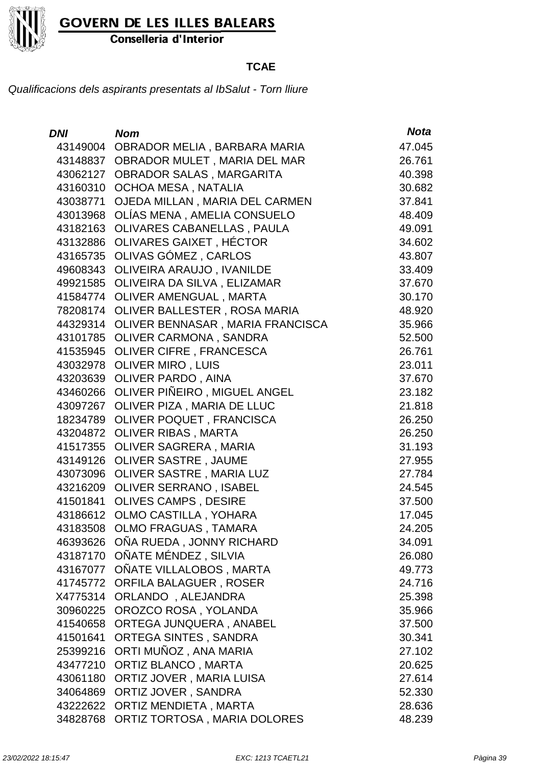

Conselleria d'Interior

### **TCAE**

| DNI      | <b>Nom</b>                           | <b>Nota</b> |
|----------|--------------------------------------|-------------|
| 43149004 | OBRADOR MELIA, BARBARA MARIA         | 47.045      |
| 43148837 | OBRADOR MULET, MARIA DEL MAR         | 26.761      |
| 43062127 | <b>OBRADOR SALAS, MARGARITA</b>      | 40.398      |
| 43160310 | <b>OCHOA MESA, NATALIA</b>           | 30.682      |
| 43038771 | OJEDA MILLAN, MARIA DEL CARMEN       | 37.841      |
| 43013968 | OLÍAS MENA, AMELIA CONSUELO          | 48.409      |
| 43182163 | <b>OLIVARES CABANELLAS, PAULA</b>    | 49.091      |
| 43132886 | OLIVARES GAIXET, HÉCTOR              | 34.602      |
| 43165735 | OLIVAS GÓMEZ, CARLOS                 | 43.807      |
| 49608343 | OLIVEIRA ARAUJO, IVANILDE            | 33.409      |
|          | 49921585 OLIVEIRA DA SILVA, ELIZAMAR | 37.670      |
| 41584774 | OLIVER AMENGUAL, MARTA               | 30.170      |
| 78208174 | OLIVER BALLESTER, ROSA MARIA         | 48.920      |
| 44329314 | OLIVER BENNASAR, MARIA FRANCISCA     | 35.966      |
|          | 43101785 OLIVER CARMONA, SANDRA      | 52.500      |
|          | 41535945 OLIVER CIFRE, FRANCESCA     | 26.761      |
| 43032978 | <b>OLIVER MIRO, LUIS</b>             | 23.011      |
| 43203639 | <b>OLIVER PARDO, AINA</b>            | 37.670      |
| 43460266 | OLIVER PIÑEIRO, MIGUEL ANGEL         | 23.182      |
| 43097267 | OLIVER PIZA, MARIA DE LLUC           | 21.818      |
| 18234789 | <b>OLIVER POQUET, FRANCISCA</b>      | 26.250      |
| 43204872 | <b>OLIVER RIBAS, MARTA</b>           | 26.250      |
| 41517355 | <b>OLIVER SAGRERA, MARIA</b>         | 31.193      |
| 43149126 | <b>OLIVER SASTRE, JAUME</b>          | 27.955      |
| 43073096 | OLIVER SASTRE, MARIA LUZ             | 27.784      |
| 43216209 | <b>OLIVER SERRANO, ISABEL</b>        | 24.545      |
| 41501841 | <b>OLIVES CAMPS, DESIRE</b>          | 37.500      |
| 43186612 | <b>OLMO CASTILLA, YOHARA</b>         | 17.045      |
| 43183508 | OLMO FRAGUAS, TAMARA                 | 24.205      |
| 46393626 | OÑA RUEDA, JONNY RICHARD             | 34.091      |
| 43187170 | OÑATE MÉNDEZ, SILVIA                 | 26.080      |
| 43167077 | OÑATE VILLALOBOS, MARTA              | 49.773      |
| 41745772 | <b>ORFILA BALAGUER, ROSER</b>        | 24.716      |
| X4775314 | ORLANDO, ALEJANDRA                   | 25.398      |
| 30960225 | OROZCO ROSA, YOLANDA                 | 35.966      |
| 41540658 | ORTEGA JUNQUERA, ANABEL              | 37.500      |
| 41501641 | <b>ORTEGA SINTES, SANDRA</b>         | 30.341      |
| 25399216 | ORTI MUÑOZ, ANA MARIA                | 27.102      |
| 43477210 | <b>ORTIZ BLANCO, MARTA</b>           | 20.625      |
| 43061180 | ORTIZ JOVER, MARIA LUISA             | 27.614      |
| 34064869 | ORTIZ JOVER, SANDRA                  | 52.330      |
| 43222622 | ORTIZ MENDIETA, MARTA                | 28.636      |
| 34828768 | ORTIZ TORTOSA, MARIA DOLORES         | 48.239      |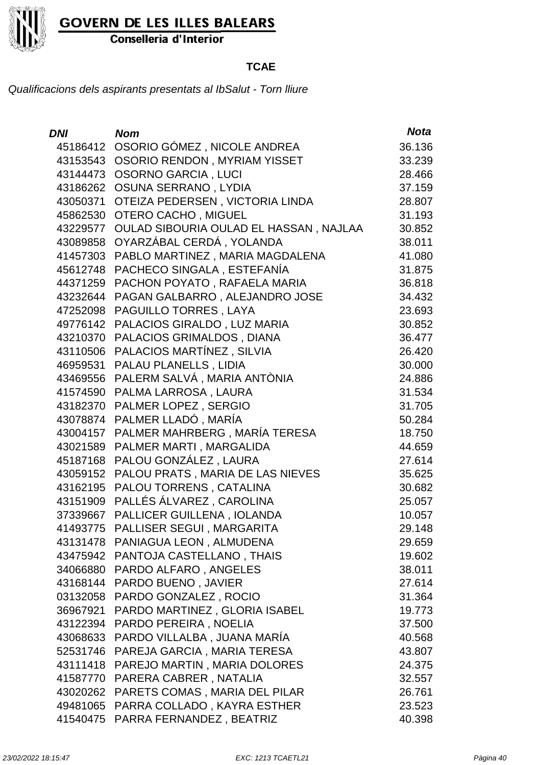

Conselleria d'Interior

### **TCAE**

| DNI      | <b>Nom</b>                                      | <b>Nota</b> |
|----------|-------------------------------------------------|-------------|
| 45186412 | OSORIO GÓMEZ, NICOLE ANDREA                     | 36.136      |
|          | 43153543 OSORIO RENDON, MYRIAM YISSET           | 33.239      |
|          | 43144473 OSORNO GARCIA, LUCI                    | 28.466      |
|          | 43186262 OSUNA SERRANO, LYDIA                   | 37.159      |
| 43050371 | OTEIZA PEDERSEN, VICTORIA LINDA                 | 28.807      |
|          | 45862530 OTERO CACHO, MIGUEL                    | 31.193      |
|          | 43229577 OULAD SIBOURIA OULAD EL HASSAN, NAJLAA | 30.852      |
|          | 43089858 OYARZÁBAL CERDÁ, YOLANDA               | 38.011      |
|          | 41457303 PABLO MARTINEZ, MARIA MAGDALENA        | 41.080      |
|          | 45612748 PACHECO SINGALA, ESTEFANÍA             | 31.875      |
|          | 44371259 PACHON POYATO, RAFAELA MARIA           | 36.818      |
|          | 43232644 PAGAN GALBARRO, ALEJANDRO JOSE         | 34.432      |
| 47252098 | PAGUILLO TORRES, LAYA                           | 23.693      |
|          | 49776142 PALACIOS GIRALDO, LUZ MARIA            | 30.852      |
|          | 43210370 PALACIOS GRIMALDOS, DIANA              | 36.477      |
|          | 43110506 PALACIOS MARTÍNEZ, SILVIA              | 26.420      |
| 46959531 | PALAU PLANELLS, LIDIA                           | 30.000      |
|          | 43469556 PALERM SALVÁ, MARIA ANTÒNIA            | 24.886      |
|          | 41574590 PALMA LARROSA, LAURA                   | 31.534      |
|          | 43182370 PALMER LOPEZ, SERGIO                   | 31.705      |
| 43078874 | PALMER LLADÓ, MARÍA                             | 50.284      |
|          | 43004157 PALMER MAHRBERG, MARÍA TERESA          | 18.750      |
|          | 43021589 PALMER MARTI, MARGALIDA                | 44.659      |
|          | 45187168 PALOU GONZÁLEZ, LAURA                  | 27.614      |
| 43059152 | PALOU PRATS, MARIA DE LAS NIEVES                | 35.625      |
|          | 43162195 PALOU TORRENS, CATALINA                | 30.682      |
|          | 43151909 PALLÉS ÁLVAREZ, CAROLINA               | 25.057      |
|          | 37339667 PALLICER GUILLENA, IOLANDA             | 10.057      |
| 41493775 | PALLISER SEGUI . MARGARITA                      | 29.148      |
|          | 43131478 PANIAGUA LEON, ALMUDENA                | 29.659      |
|          | 43475942 PANTOJA CASTELLANO, THAIS              | 19.602      |
|          | 34066880 PARDO ALFARO, ANGELES                  | 38.011      |
|          | 43168144 PARDO BUENO, JAVIER                    | 27.614      |
|          | 03132058 PARDO GONZALEZ, ROCIO                  | 31.364      |
| 36967921 | PARDO MARTINEZ, GLORIA ISABEL                   | 19.773      |
|          | 43122394 PARDO PEREIRA, NOELIA                  | 37.500      |
|          | 43068633 PARDO VILLALBA, JUANA MARÍA            | 40.568      |
|          | 52531746 PAREJA GARCIA, MARIA TERESA            | 43.807      |
|          | 43111418 PAREJO MARTIN, MARIA DOLORES           | 24.375      |
|          | 41587770 PARERA CABRER, NATALIA                 | 32.557      |
|          | 43020262 PARETS COMAS, MARIA DEL PILAR          | 26.761      |
|          | 49481065 PARRA COLLADO, KAYRA ESTHER            | 23.523      |
|          | 41540475 PARRA FERNANDEZ, BEATRIZ               | 40.398      |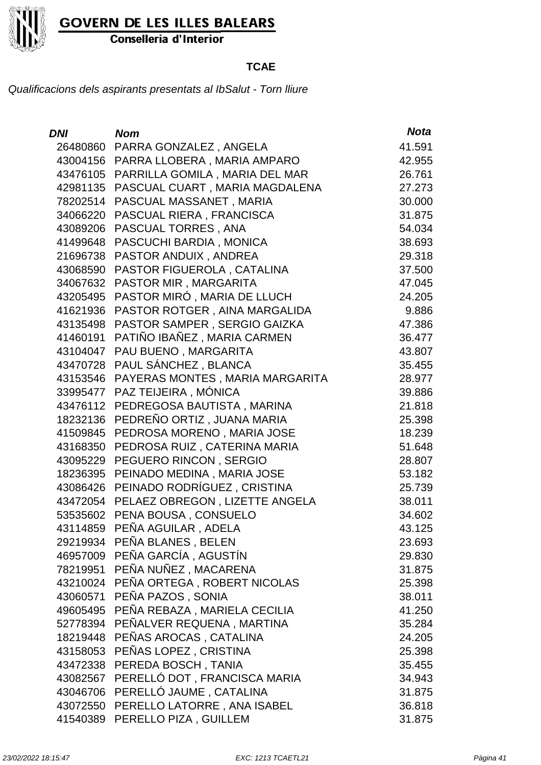

Conselleria d'Interior

### **TCAE**

| <b>DNI</b> | <b>Nom</b>                            | <b>Nota</b> |
|------------|---------------------------------------|-------------|
| 26480860   | PARRA GONZALEZ, ANGELA                | 41.591      |
| 43004156   | PARRA LLOBERA, MARIA AMPARO           | 42.955      |
| 43476105   | PARRILLA GOMILA, MARIA DEL MAR        | 26.761      |
| 42981135   | PASCUAL CUART, MARIA MAGDALENA        | 27.273      |
| 78202514   | PASCUAL MASSANET, MARIA               | 30.000      |
| 34066220   | PASCUAL RIERA, FRANCISCA              | 31.875      |
| 43089206   | PASCUAL TORRES, ANA                   | 54.034      |
| 41499648   | PASCUCHI BARDIA, MONICA               | 38.693      |
| 21696738   | PASTOR ANDUIX, ANDREA                 | 29.318      |
| 43068590   | PASTOR FIGUEROLA, CATALINA            | 37.500      |
| 34067632   | PASTOR MIR, MARGARITA                 | 47.045      |
| 43205495   | PASTOR MIRÓ, MARIA DE LLUCH           | 24.205      |
| 41621936   | PASTOR ROTGER, AINA MARGALIDA         | 9.886       |
| 43135498   | PASTOR SAMPER, SERGIO GAIZKA          | 47.386      |
| 41460191   | PATIÑO IBAÑEZ, MARIA CARMEN           | 36.477      |
| 43104047   | PAU BUENO, MARGARITA                  | 43.807      |
| 43470728   | PAUL SÁNCHEZ, BLANCA                  | 35.455      |
| 43153546   | PAYERAS MONTES, MARIA MARGARITA       | 28.977      |
| 33995477   | PAZ TEIJEIRA, MÓNICA                  | 39.886      |
| 43476112   | PEDREGOSA BAUTISTA, MARINA            | 21.818      |
| 18232136   | PEDREÑO ORTIZ, JUANA MARIA            | 25.398      |
| 41509845   | PEDROSA MORENO, MARIA JOSE            | 18.239      |
| 43168350   | PEDROSA RUIZ, CATERINA MARIA          | 51.648      |
| 43095229   | PEGUERO RINCON, SERGIO                | 28.807      |
| 18236395   | PEINADO MEDINA, MARIA JOSE            | 53.182      |
| 43086426   | PEINADO RODRÍGUEZ, CRISTINA           | 25.739      |
| 43472054   | PELAEZ OBREGON, LIZETTE ANGELA        | 38.011      |
| 53535602   | PENA BOUSA, CONSUELO                  | 34.602      |
| 43114859   | PEÑA AGUILAR, ADELA                   | 43.125      |
|            | 29219934 PEÑA BLANES, BELEN           | 23.693      |
|            | 46957009 PEÑA GARCÍA, AGUSTÍN         | 29.830      |
|            | 78219951 PEÑA NUÑEZ, MACARENA         | 31.875      |
|            | 43210024 PEÑA ORTEGA, ROBERT NICOLAS  | 25.398      |
|            | 43060571 PEÑA PAZOS, SONIA            | 38.011      |
|            | 49605495 PEÑA REBAZA, MARIELA CECILIA | 41.250      |
|            | 52778394 PEÑALVER REQUENA, MARTINA    | 35.284      |
|            | 18219448 PEÑAS AROCAS, CATALINA       | 24.205      |
|            | 43158053 PEÑAS LOPEZ, CRISTINA        | 25.398      |
|            | 43472338 PEREDA BOSCH, TANIA          | 35.455      |
| 43082567   | PERELLÓ DOT, FRANCISCA MARIA          | 34.943      |
|            | 43046706 PERELLÓ JAUME, CATALINA      | 31.875      |
|            | 43072550 PERELLO LATORRE, ANA ISABEL  | 36.818      |
|            | 41540389 PERELLO PIZA, GUILLEM        | 31.875      |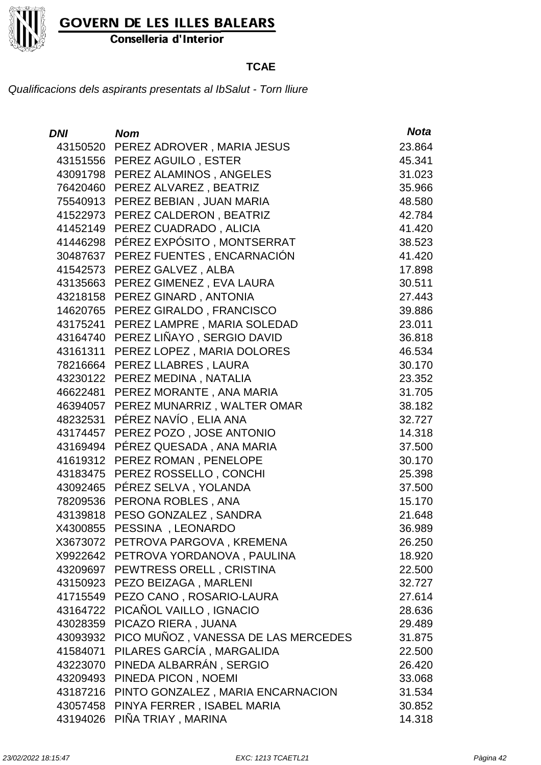

Conselleria d'Interior

### **TCAE**

| DNI      | <b>Nom</b>                          | <b>Nota</b> |
|----------|-------------------------------------|-------------|
| 43150520 | PEREZ ADROVER, MARIA JESUS          | 23.864      |
|          | 43151556 PEREZ AGUILO, ESTER        | 45.341      |
| 43091798 | PEREZ ALAMINOS, ANGELES             | 31.023      |
| 76420460 | PEREZ ALVAREZ, BEATRIZ              | 35.966      |
| 75540913 | PEREZ BEBIAN, JUAN MARIA            | 48.580      |
| 41522973 | PEREZ CALDERON, BEATRIZ             | 42.784      |
| 41452149 | PEREZ CUADRADO, ALICIA              | 41.420      |
| 41446298 | PÉREZ EXPÓSITO, MONTSERRAT          | 38.523      |
| 30487637 | PEREZ FUENTES, ENCARNACIÓN          | 41.420      |
| 41542573 | PEREZ GALVEZ, ALBA                  | 17.898      |
| 43135663 | PEREZ GIMENEZ, EVA LAURA            | 30.511      |
|          | 43218158 PEREZ GINARD, ANTONIA      | 27.443      |
| 14620765 | PEREZ GIRALDO, FRANCISCO            | 39.886      |
| 43175241 | PEREZ LAMPRE, MARIA SOLEDAD         | 23.011      |
| 43164740 | PEREZ LIÑAYO, SERGIO DAVID          | 36.818      |
| 43161311 | PEREZ LOPEZ, MARIA DOLORES          | 46.534      |
| 78216664 | PEREZ LLABRES, LAURA                | 30.170      |
| 43230122 | PEREZ MEDINA, NATALIA               | 23.352      |
| 46622481 | PEREZ MORANTE, ANA MARIA            | 31.705      |
| 46394057 | PEREZ MUNARRIZ, WALTER OMAR         | 38.182      |
| 48232531 | PÉREZ NAVÍO, ELIA ANA               | 32.727      |
| 43174457 | PEREZ POZO, JOSE ANTONIO            | 14.318      |
| 43169494 | PÉREZ QUESADA, ANA MARIA            | 37.500      |
| 41619312 | PEREZ ROMAN, PENELOPE               | 30.170      |
| 43183475 | PEREZ ROSSELLO, CONCHI              | 25.398      |
| 43092465 | PÉREZ SELVA, YOLANDA                | 37.500      |
| 78209536 | PERONA ROBLES, ANA                  | 15.170      |
| 43139818 | PESO GONZALEZ, SANDRA               | 21.648      |
| X4300855 | PESSINA, LEONARDO                   | 36.989      |
|          | X3673072 PETROVA PARGOVA, KREMENA   | 26.250      |
| X9922642 | PETROVA YORDANOVA, PAULINA          | 18.920      |
| 43209697 | PEWTRESS ORELL, CRISTINA            | 22.500      |
| 43150923 | PEZO BEIZAGA, MARLENI               | 32.727      |
| 41715549 | PEZO CANO, ROSARIO-LAURA            | 27.614      |
| 43164722 | PICAÑOL VAILLO, IGNACIO             | 28.636      |
| 43028359 | PICAZO RIERA, JUANA                 | 29.489      |
| 43093932 | PICO MUÑOZ, VANESSA DE LAS MERCEDES | 31.875      |
| 41584071 | PILARES GARCÍA, MARGALIDA           | 22.500      |
| 43223070 | PINEDA ALBARRÁN, SERGIO             | 26.420      |
| 43209493 | PINEDA PICON, NOEMI                 | 33.068      |
| 43187216 | PINTO GONZALEZ, MARIA ENCARNACION   | 31.534      |
| 43057458 | PINYA FERRER, ISABEL MARIA          | 30.852      |
| 43194026 | PIÑA TRIAY, MARINA                  | 14.318      |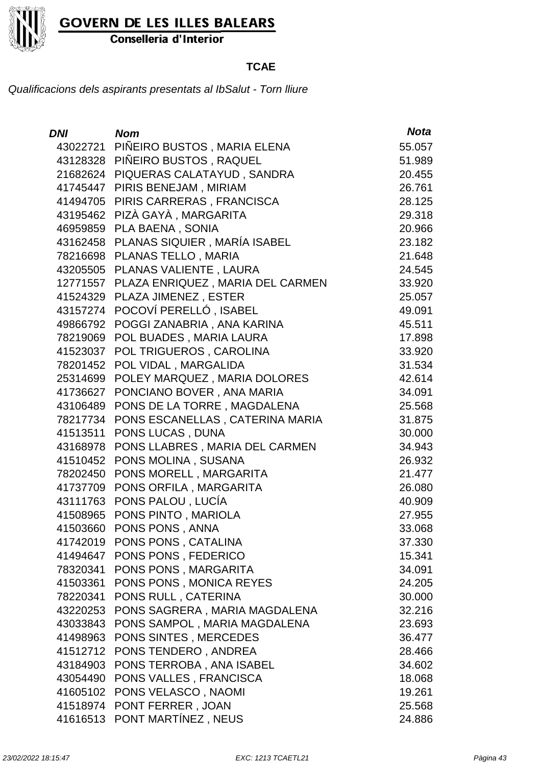

Conselleria d'Interior

### **TCAE**

| DNI      | <b>Nom</b>                       | <b>Nota</b> |
|----------|----------------------------------|-------------|
| 43022721 | PIÑEIRO BUSTOS, MARIA ELENA      | 55.057      |
| 43128328 | PIÑEIRO BUSTOS, RAQUEL           | 51.989      |
| 21682624 | PIQUERAS CALATAYUD, SANDRA       | 20.455      |
| 41745447 | PIRIS BENEJAM, MIRIAM            | 26.761      |
| 41494705 | PIRIS CARRERAS, FRANCISCA        | 28.125      |
| 43195462 | PIZÀ GAYÀ, MARGARITA             | 29.318      |
| 46959859 | PLA BAENA, SONIA                 | 20.966      |
| 43162458 | PLANAS SIQUIER, MARÍA ISABEL     | 23.182      |
| 78216698 | PLANAS TELLO, MARIA              | 21.648      |
| 43205505 | PLANAS VALIENTE, LAURA           | 24.545      |
| 12771557 | PLAZA ENRIQUEZ, MARIA DEL CARMEN | 33.920      |
| 41524329 | PLAZA JIMENEZ, ESTER             | 25.057      |
| 43157274 | POCOVÍ PERELLÓ, ISABEL           | 49.091      |
| 49866792 | POGGI ZANABRIA, ANA KARINA       | 45.511      |
| 78219069 | POL BUADES, MARIA LAURA          | 17.898      |
| 41523037 | POL TRIGUEROS, CAROLINA          | 33.920      |
| 78201452 | POL VIDAL, MARGALIDA             | 31.534      |
| 25314699 | POLEY MARQUEZ, MARIA DOLORES     | 42.614      |
| 41736627 | PONCIANO BOVER, ANA MARIA        | 34.091      |
| 43106489 | PONS DE LA TORRE, MAGDALENA      | 25.568      |
| 78217734 | PONS ESCANELLAS, CATERINA MARIA  | 31.875      |
| 41513511 | PONS LUCAS, DUNA                 | 30.000      |
| 43168978 | PONS LLABRES, MARIA DEL CARMEN   | 34.943      |
| 41510452 | PONS MOLINA, SUSANA              | 26.932      |
| 78202450 | PONS MORELL, MARGARITA           | 21.477      |
| 41737709 | PONS ORFILA, MARGARITA           | 26.080      |
| 43111763 | PONS PALOU, LUCÍA                | 40.909      |
| 41508965 | PONS PINTO, MARIOLA              | 27.955      |
| 41503660 | PONS PONS, ANNA                  | 33.068      |
| 41742019 | <b>PONS PONS, CATALINA</b>       | 37.330      |
| 41494647 | PONS PONS, FEDERICO              | 15.341      |
| 78320341 | PONS PONS, MARGARITA             | 34.091      |
| 41503361 | PONS PONS, MONICA REYES          | 24.205      |
| 78220341 | PONS RULL, CATERINA              | 30.000      |
| 43220253 | PONS SAGRERA, MARIA MAGDALENA    | 32.216      |
| 43033843 | PONS SAMPOL, MARIA MAGDALENA     | 23.693      |
| 41498963 | PONS SINTES, MERCEDES            | 36.477      |
| 41512712 | PONS TENDERO, ANDREA             | 28.466      |
| 43184903 | PONS TERROBA, ANA ISABEL         | 34.602      |
| 43054490 | PONS VALLES, FRANCISCA           | 18.068      |
| 41605102 | PONS VELASCO, NAOMI              | 19.261      |
| 41518974 | PONT FERRER, JOAN                | 25.568      |
| 41616513 | PONT MARTÍNEZ, NEUS              | 24.886      |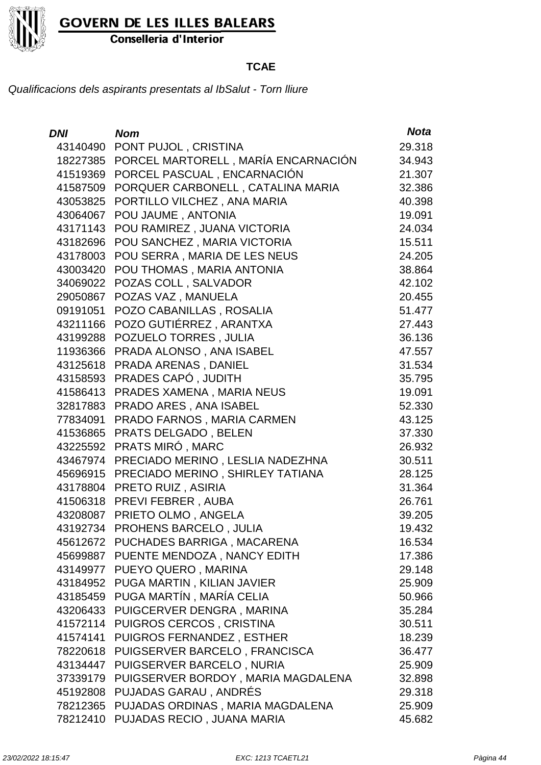

Conselleria d'Interior

### **TCAE**

| <b>DNI</b> | <b>Nom</b>                          | <b>Nota</b> |
|------------|-------------------------------------|-------------|
| 43140490   | PONT PUJOL, CRISTINA                | 29.318      |
| 18227385   | PORCEL MARTORELL, MARÍA ENCARNACIÓN | 34.943      |
| 41519369   | PORCEL PASCUAL, ENCARNACIÓN         | 21.307      |
| 41587509   | PORQUER CARBONELL, CATALINA MARIA   | 32.386      |
| 43053825   | PORTILLO VILCHEZ, ANA MARIA         | 40.398      |
| 43064067   | POU JAUME, ANTONIA                  | 19.091      |
| 43171143   | POU RAMIREZ, JUANA VICTORIA         | 24.034      |
| 43182696   | POU SANCHEZ, MARIA VICTORIA         | 15.511      |
| 43178003   | POU SERRA, MARIA DE LES NEUS        | 24.205      |
| 43003420   | POU THOMAS, MARIA ANTONIA           | 38.864      |
| 34069022   | POZAS COLL, SALVADOR                | 42.102      |
| 29050867   | POZAS VAZ, MANUELA                  | 20.455      |
| 09191051   | POZO CABANILLAS, ROSALIA            | 51.477      |
| 43211166   | POZO GUTIÉRREZ, ARANTXA             | 27.443      |
| 43199288   | POZUELO TORRES, JULIA               | 36.136      |
| 11936366   | PRADA ALONSO, ANA ISABEL            | 47.557      |
| 43125618   | PRADA ARENAS, DANIEL                | 31.534      |
| 43158593   | PRADES CAPÓ, JUDITH                 | 35.795      |
| 41586413   | PRADES XAMENA, MARIA NEUS           | 19.091      |
| 32817883   | PRADO ARES, ANA ISABEL              | 52.330      |
| 77834091   | PRADO FARNOS, MARIA CARMEN          | 43.125      |
| 41536865   | PRATS DELGADO, BELEN                | 37.330      |
| 43225592   | PRATS MIRÓ, MARC                    | 26.932      |
| 43467974   | PRECIADO MERINO, LESLIA NADEZHNA    | 30.511      |
| 45696915   | PRECIADO MERINO, SHIRLEY TATIANA    | 28.125      |
| 43178804   | PRETO RUIZ, ASIRIA                  | 31.364      |
| 41506318   | PREVI FEBRER, AUBA                  | 26.761      |
| 43208087   | PRIETO OLMO, ANGELA                 | 39.205      |
| 43192734   | PROHENS BARCELO, JULIA              | 19.432      |
|            | 45612672 PUCHADES BARRIGA, MACARENA | 16.534      |
| 45699887   | PUENTE MENDOZA, NANCY EDITH         | 17.386      |
|            | 43149977 PUEYO QUERO, MARINA        | 29.148      |
| 43184952   | PUGA MARTIN, KILIAN JAVIER          | 25.909      |
|            | 43185459 PUGA MARTÍN, MARÍA CELIA   | 50.966      |
| 43206433   | PUIGCERVER DENGRA, MARINA           | 35.284      |
| 41572114   | PUIGROS CERCOS, CRISTINA            | 30.511      |
| 41574141   | PUIGROS FERNANDEZ, ESTHER           | 18.239      |
| 78220618   | PUIGSERVER BARCELO, FRANCISCA       | 36.477      |
| 43134447   | PUIGSERVER BARCELO, NURIA           | 25.909      |
| 37339179   | PUIGSERVER BORDOY, MARIA MAGDALENA  | 32.898      |
| 45192808   | PUJADAS GARAU, ANDRÉS               | 29.318      |
| 78212365   | PUJADAS ORDINAS, MARIA MAGDALENA    | 25.909      |
| 78212410   | PUJADAS RECIO, JUANA MARIA          | 45.682      |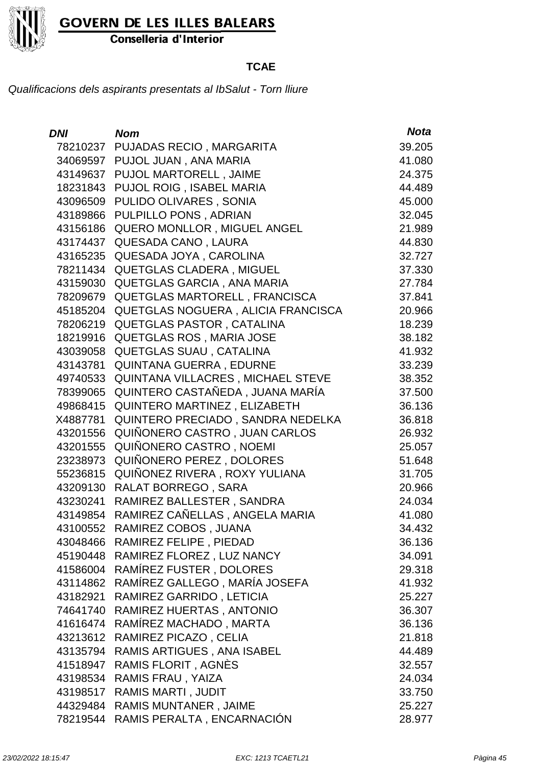

Conselleria d'Interior

### **TCAE**

| <b>DNI</b> | <b>Nom</b>                         | <b>Nota</b> |
|------------|------------------------------------|-------------|
| 78210237   | PUJADAS RECIO, MARGARITA           | 39.205      |
| 34069597   | PUJOL JUAN, ANA MARIA              | 41.080      |
| 43149637   | PUJOL MARTORELL, JAIME             | 24.375      |
| 18231843   | PUJOL ROIG, ISABEL MARIA           | 44.489      |
| 43096509   | PULIDO OLIVARES, SONIA             | 45.000      |
| 43189866   | PULPILLO PONS, ADRIAN              | 32.045      |
| 43156186   | QUERO MONLLOR, MIGUEL ANGEL        | 21.989      |
| 43174437   | QUESADA CANO, LAURA                | 44.830      |
| 43165235   | QUESADA JOYA, CAROLINA             | 32.727      |
| 78211434   | <b>QUETGLAS CLADERA, MIGUEL</b>    | 37.330      |
| 43159030   | QUETGLAS GARCIA, ANA MARIA         | 27.784      |
| 78209679   | QUETGLAS MARTORELL, FRANCISCA      | 37.841      |
| 45185204   | QUETGLAS NOGUERA, ALICIA FRANCISCA | 20.966      |
| 78206219   | <b>QUETGLAS PASTOR, CATALINA</b>   | 18.239      |
| 18219916   | QUETGLAS ROS, MARIA JOSE           | 38.182      |
| 43039058   | QUETGLAS SUAU, CATALINA            | 41.932      |
| 43143781   | QUINTANA GUERRA, EDURNE            | 33.239      |
| 49740533   | QUINTANA VILLACRES, MICHAEL STEVE  | 38.352      |
| 78399065   | QUINTERO CASTAÑEDA, JUANA MARÍA    | 37.500      |
| 49868415   | QUINTERO MARTINEZ, ELIZABETH       | 36.136      |
| X4887781   | QUINTERO PRECIADO, SANDRA NEDELKA  | 36.818      |
| 43201556   | QUIÑONERO CASTRO, JUAN CARLOS      | 26.932      |
| 43201555   | QUIÑONERO CASTRO, NOEMI            | 25.057      |
| 23238973   | QUIÑONERO PEREZ, DOLORES           | 51.648      |
| 55236815   | QUIÑONEZ RIVERA, ROXY YULIANA      | 31.705      |
| 43209130   | RALAT BORREGO, SARA                | 20.966      |
| 43230241   | RAMIREZ BALLESTER, SANDRA          | 24.034      |
| 43149854   | RAMIREZ CAÑELLAS, ANGELA MARIA     | 41.080      |
| 43100552   | RAMIREZ COBOS, JUANA               | 34.432      |
|            | 43048466 RAMIREZ FELIPE, PIEDAD    | 36.136      |
|            | 45190448 RAMIREZ FLOREZ, LUZ NANCY | 34.091      |
| 41586004   | RAMÍREZ FUSTER, DOLORES            | 29.318      |
| 43114862   | RAMÍREZ GALLEGO, MARÍA JOSEFA      | 41.932      |
| 43182921   | RAMIREZ GARRIDO, LETICIA           | 25.227      |
| 74641740   | RAMIREZ HUERTAS, ANTONIO           | 36.307      |
| 41616474   | RAMÍREZ MACHADO, MARTA             | 36.136      |
| 43213612   | RAMIREZ PICAZO, CELIA              | 21.818      |
| 43135794   | RAMIS ARTIGUES, ANA ISABEL         | 44.489      |
| 41518947   | RAMIS FLORIT, AGNES                | 32.557      |
| 43198534   | RAMIS FRAU, YAIZA                  | 24.034      |
| 43198517   | RAMIS MARTI, JUDIT                 | 33.750      |
| 44329484   | <b>RAMIS MUNTANER, JAIME</b>       | 25.227      |
| 78219544   | RAMIS PERALTA, ENCARNACIÓN         | 28.977      |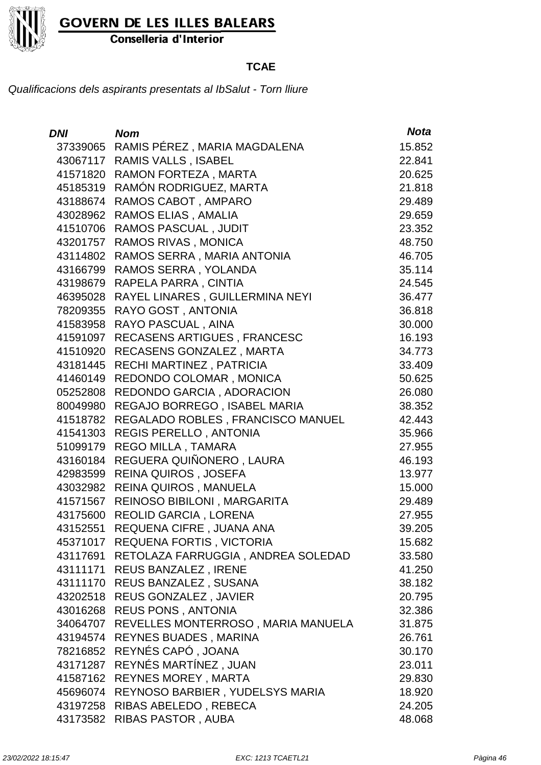

Conselleria d'Interior

### **TCAE**

| <b>DNI</b> | <b>Nom</b>                         | <b>Nota</b> |
|------------|------------------------------------|-------------|
| 37339065   | RAMIS PÉREZ, MARIA MAGDALENA       | 15.852      |
| 43067117   | <b>RAMIS VALLS, ISABEL</b>         | 22.841      |
| 41571820   | RAMON FORTEZA, MARTA               | 20.625      |
| 45185319   | RAMÓN RODRIGUEZ, MARTA             | 21.818      |
| 43188674   | RAMOS CABOT, AMPARO                | 29.489      |
| 43028962   | RAMOS ELIAS, AMALIA                | 29.659      |
| 41510706   | <b>RAMOS PASCUAL, JUDIT</b>        | 23.352      |
| 43201757   | RAMOS RIVAS, MONICA                | 48.750      |
| 43114802   | RAMOS SERRA, MARIA ANTONIA         | 46.705      |
| 43166799   | RAMOS SERRA, YOLANDA               | 35.114      |
| 43198679   | RAPELA PARRA, CINTIA               | 24.545      |
| 46395028   | RAYEL LINARES, GUILLERMINA NEYI    | 36.477      |
| 78209355   | RAYO GOST, ANTONIA                 | 36.818      |
| 41583958   | RAYO PASCUAL, AINA                 | 30.000      |
| 41591097   | RECASENS ARTIGUES, FRANCESC        | 16.193      |
| 41510920   | RECASENS GONZALEZ, MARTA           | 34.773      |
| 43181445   | RECHI MARTINEZ, PATRICIA           | 33.409      |
| 41460149   | REDONDO COLOMAR, MONICA            | 50.625      |
| 05252808   | REDONDO GARCIA, ADORACION          | 26.080      |
| 80049980   | REGAJO BORREGO, ISABEL MARIA       | 38.352      |
| 41518782   | REGALADO ROBLES, FRANCISCO MANUEL  | 42.443      |
| 41541303   | <b>REGIS PERELLO, ANTONIA</b>      | 35.966      |
| 51099179   | REGO MILLA, TAMARA                 | 27.955      |
| 43160184   | REGUERA QUIÑONERO, LAURA           | 46.193      |
| 42983599   | REINA QUIROS, JOSEFA               | 13.977      |
| 43032982   | <b>REINA QUIROS, MANUELA</b>       | 15.000      |
| 41571567   | REINOSO BIBILONI, MARGARITA        | 29.489      |
| 43175600   | REOLID GARCIA, LORENA              | 27.955      |
| 43152551   | REQUENA CIFRE , JUANA ANA          | 39.205      |
|            | 45371017 REQUENA FORTIS, VICTORIA  | 15.682      |
| 43117691   | RETOLAZA FARRUGGIA, ANDREA SOLEDAD | 33.580      |
| 43111171   | REUS BANZALEZ, IRENE               | 41.250      |
| 43111170   | REUS BANZALEZ, SUSANA              | 38.182      |
|            | 43202518 REUS GONZALEZ, JAVIER     | 20.795      |
| 43016268   | REUS PONS, ANTONIA                 | 32.386      |
| 34064707   | REVELLES MONTERROSO, MARIA MANUELA | 31.875      |
| 43194574   | REYNES BUADES, MARINA              | 26.761      |
| 78216852   | REYNÉS CAPÓ, JOANA                 | 30.170      |
| 43171287   | REYNÉS MARTÍNEZ, JUAN              | 23.011      |
| 41587162   | <b>REYNES MOREY, MARTA</b>         | 29.830      |
| 45696074   | REYNOSO BARBIER, YUDELSYS MARIA    | 18.920      |
|            | 43197258 RIBAS ABELEDO, REBECA     | 24.205      |
| 43173582   | RIBAS PASTOR, AUBA                 | 48.068      |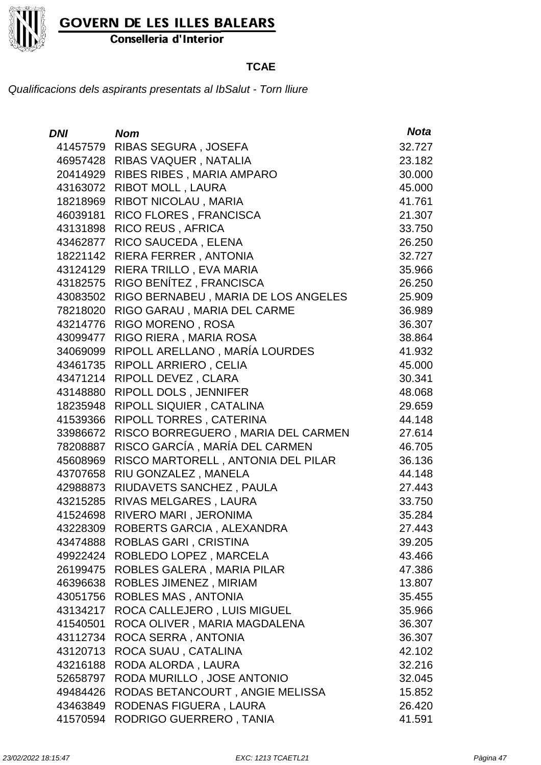

Conselleria d'Interior

### **TCAE**

| <b>DNI</b> | <b>Nom</b>                          | <b>Nota</b> |
|------------|-------------------------------------|-------------|
| 41457579   | RIBAS SEGURA, JOSEFA                | 32.727      |
| 46957428   | RIBAS VAQUER, NATALIA               | 23.182      |
| 20414929   | RIBES RIBES, MARIA AMPARO           | 30.000      |
| 43163072   | <b>RIBOT MOLL, LAURA</b>            | 45.000      |
| 18218969   | RIBOT NICOLAU, MARIA                | 41.761      |
| 46039181   | RICO FLORES, FRANCISCA              | 21.307      |
| 43131898   | <b>RICO REUS, AFRICA</b>            | 33.750      |
| 43462877   | RICO SAUCEDA, ELENA                 | 26.250      |
| 18221142   | RIERA FERRER, ANTONIA               | 32.727      |
| 43124129   | RIERA TRILLO, EVA MARIA             | 35.966      |
| 43182575   | RIGO BENÍTEZ, FRANCISCA             | 26.250      |
| 43083502   | RIGO BERNABEU, MARIA DE LOS ANGELES | 25.909      |
| 78218020   | RIGO GARAU, MARIA DEL CARME         | 36.989      |
| 43214776   | RIGO MORENO, ROSA                   | 36.307      |
| 43099477   | RIGO RIERA, MARIA ROSA              | 38.864      |
| 34069099   | RIPOLL ARELLANO, MARÍA LOURDES      | 41.932      |
| 43461735   | RIPOLL ARRIERO, CELIA               | 45.000      |
| 43471214   | RIPOLL DEVEZ, CLARA                 | 30.341      |
| 43148880   | RIPOLL DOLS, JENNIFER               | 48.068      |
| 18235948   | RIPOLL SIQUIER, CATALINA            | 29.659      |
| 41539366   | RIPOLL TORRES, CATERINA             | 44.148      |
| 33986672   | RISCO BORREGUERO, MARIA DEL CARMEN  | 27.614      |
| 78208887   | RISCO GARCÍA, MARÍA DEL CARMEN      | 46.705      |
| 45608969   | RISCO MARTORELL, ANTONIA DEL PILAR  | 36.136      |
| 43707658   | RIU GONZALEZ, MANELA                | 44.148      |
| 42988873   | RIUDAVETS SANCHEZ, PAULA            | 27.443      |
| 43215285   | RIVAS MELGARES, LAURA               | 33.750      |
| 41524698   | RIVERO MARI, JERONIMA               | 35.284      |
| 43228309   | ROBERTS GARCIA, ALEXANDRA           | 27.443      |
| 43474888   | ROBLAS GARI, CRISTINA               | 39.205      |
| 49922424   | ROBLEDO LOPEZ, MARCELA              | 43.466      |
| 26199475   | ROBLES GALERA, MARIA PILAR          | 47.386      |
| 46396638   | ROBLES JIMENEZ, MIRIAM              | 13.807      |
| 43051756   | ROBLES MAS, ANTONIA                 | 35.455      |
| 43134217   | ROCA CALLEJERO, LUIS MIGUEL         | 35.966      |
| 41540501   | ROCA OLIVER, MARIA MAGDALENA        | 36.307      |
| 43112734   | ROCA SERRA, ANTONIA                 | 36.307      |
| 43120713   | ROCA SUAU, CATALINA                 | 42.102      |
| 43216188   | RODA ALORDA, LAURA                  | 32.216      |
| 52658797   | RODA MURILLO, JOSE ANTONIO          | 32.045      |
| 49484426   | RODAS BETANCOURT, ANGIE MELISSA     | 15.852      |
| 43463849   | RODENAS FIGUERA, LAURA              | 26.420      |
| 41570594   | RODRIGO GUERRERO, TANIA             | 41.591      |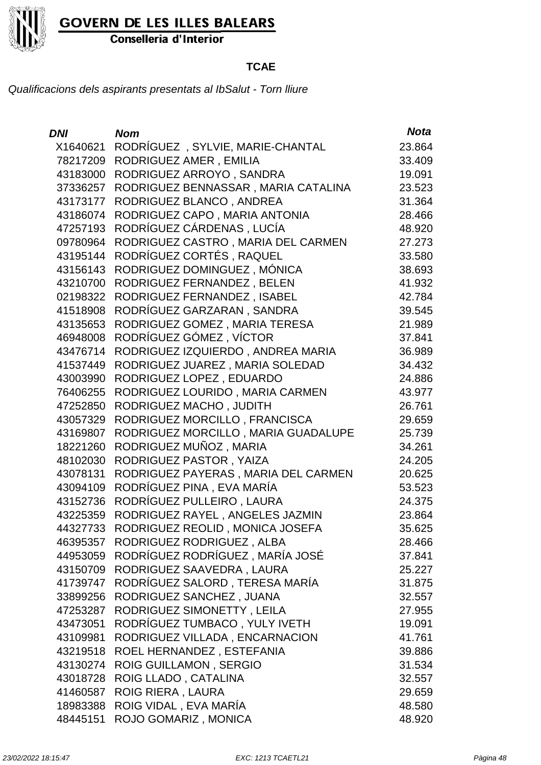

Conselleria d'Interior

### **TCAE**

| DNI      | <b>Nom</b>                          | <b>Nota</b> |
|----------|-------------------------------------|-------------|
| X1640621 | RODRÍGUEZ, SYLVIE, MARIE-CHANTAL    | 23.864      |
| 78217209 | RODRIGUEZ AMER, EMILIA              | 33.409      |
| 43183000 | RODRIGUEZ ARROYO, SANDRA            | 19.091      |
| 37336257 | RODRIGUEZ BENNASSAR, MARIA CATALINA | 23.523      |
| 43173177 | RODRIGUEZ BLANCO, ANDREA            | 31.364      |
| 43186074 | RODRIGUEZ CAPO, MARIA ANTONIA       | 28.466      |
| 47257193 | RODRÍGUEZ CÁRDENAS, LUCÍA           | 48.920      |
| 09780964 | RODRIGUEZ CASTRO, MARIA DEL CARMEN  | 27.273      |
| 43195144 | RODRÍGUEZ CORTÉS, RAQUEL            | 33.580      |
| 43156143 | RODRIGUEZ DOMINGUEZ, MÓNICA         | 38.693      |
| 43210700 | RODRIGUEZ FERNANDEZ, BELEN          | 41.932      |
| 02198322 | RODRIGUEZ FERNANDEZ, ISABEL         | 42.784      |
| 41518908 | RODRÍGUEZ GARZARAN, SANDRA          | 39.545      |
| 43135653 | RODRIGUEZ GOMEZ, MARIA TERESA       | 21.989      |
| 46948008 | RODRÍGUEZ GÓMEZ, VÍCTOR             | 37.841      |
| 43476714 | RODRIGUEZ IZQUIERDO, ANDREA MARIA   | 36.989      |
| 41537449 | RODRIGUEZ JUAREZ, MARIA SOLEDAD     | 34.432      |
| 43003990 | RODRIGUEZ LOPEZ, EDUARDO            | 24.886      |
| 76406255 | RODRIGUEZ LOURIDO, MARIA CARMEN     | 43.977      |
| 47252850 | RODRIGUEZ MACHO, JUDITH             | 26.761      |
| 43057329 | RODRIGUEZ MORCILLO, FRANCISCA       | 29.659      |
| 43169807 | RODRIGUEZ MORCILLO, MARIA GUADALUPE | 25.739      |
| 18221260 | RODRIGUEZ MUÑOZ, MARIA              | 34.261      |
| 48102030 | RODRIGUEZ PASTOR, YAIZA             | 24.205      |
| 43078131 | RODRIGUEZ PAYERAS, MARIA DEL CARMEN | 20.625      |
| 43094109 | RODRÍGUEZ PINA, EVA MARÍA           | 53.523      |
| 43152736 | RODRÍGUEZ PULLEIRO, LAURA           | 24.375      |
| 43225359 | RODRIGUEZ RAYEL, ANGELES JAZMIN     | 23.864      |
| 44327733 | RODRIGUEZ REOLID, MONICA JOSEFA     | 35.625      |
| 46395357 | RODRIGUEZ RODRIGUEZ, ALBA           | 28.466      |
| 44953059 | RODRÍGUEZ RODRÍGUEZ, MARÍA JOSÉ     | 37.841      |
| 43150709 | RODRIGUEZ SAAVEDRA, LAURA           | 25.227      |
| 41739747 | RODRÍGUEZ SALORD, TERESA MARÍA      | 31.875      |
| 33899256 | RODRIGUEZ SANCHEZ, JUANA            | 32.557      |
| 47253287 | RODRIGUEZ SIMONETTY, LEILA          | 27.955      |
| 43473051 | RODRÍGUEZ TUMBACO, YULY IVETH       | 19.091      |
| 43109981 | RODRIGUEZ VILLADA, ENCARNACION      | 41.761      |
| 43219518 | ROEL HERNANDEZ, ESTEFANIA           | 39.886      |
| 43130274 | <b>ROIG GUILLAMON, SERGIO</b>       | 31.534      |
| 43018728 | ROIG LLADO, CATALINA                | 32.557      |
| 41460587 | <b>ROIG RIERA, LAURA</b>            | 29.659      |
| 18983388 | ROIG VIDAL, EVA MARÍA               | 48.580      |
| 48445151 | ROJO GOMARIZ, MONICA                | 48.920      |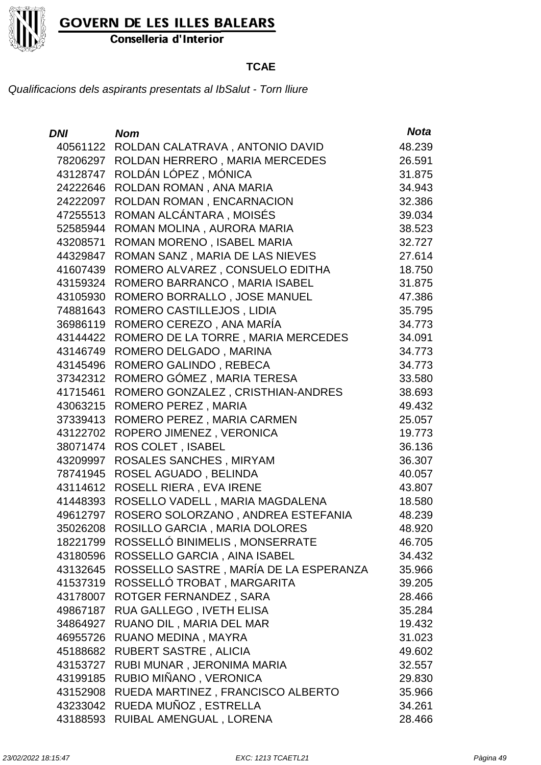

Conselleria d'Interior

### **TCAE**

| <b>DNI</b> | <b>Nom</b>                             | <b>Nota</b> |
|------------|----------------------------------------|-------------|
| 40561122   | ROLDAN CALATRAVA, ANTONIO DAVID        | 48.239      |
| 78206297   | ROLDAN HERRERO, MARIA MERCEDES         | 26.591      |
| 43128747   | ROLDÁN LÓPEZ, MÓNICA                   | 31.875      |
| 24222646   | ROLDAN ROMAN, ANA MARIA                | 34.943      |
| 24222097   | ROLDAN ROMAN, ENCARNACION              | 32.386      |
| 47255513   | ROMAN ALCÁNTARA, MOISÉS                | 39.034      |
| 52585944   | ROMAN MOLINA, AURORA MARIA             | 38.523      |
| 43208571   | ROMAN MORENO, ISABEL MARIA             | 32.727      |
| 44329847   | ROMAN SANZ, MARIA DE LAS NIEVES        | 27.614      |
| 41607439   | ROMERO ALVAREZ, CONSUELO EDITHA        | 18.750      |
| 43159324   | ROMERO BARRANCO, MARIA ISABEL          | 31.875      |
| 43105930   | ROMERO BORRALLO, JOSE MANUEL           | 47.386      |
| 74881643   | ROMERO CASTILLEJOS, LIDIA              | 35.795      |
| 36986119   | ROMERO CEREZO, ANA MARÍA               | 34.773      |
| 43144422   | ROMERO DE LA TORRE, MARIA MERCEDES     | 34.091      |
| 43146749   | ROMERO DELGADO, MARINA                 | 34.773      |
| 43145496   | ROMERO GALINDO, REBECA                 | 34.773      |
| 37342312   | ROMERO GÓMEZ, MARIA TERESA             | 33.580      |
| 41715461   | ROMERO GONZALEZ, CRISTHIAN-ANDRES      | 38.693      |
| 43063215   | ROMERO PEREZ, MARIA                    | 49.432      |
| 37339413   | ROMERO PEREZ, MARIA CARMEN             | 25.057      |
| 43122702   | ROPERO JIMENEZ, VERONICA               | 19.773      |
| 38071474   | <b>ROS COLET, ISABEL</b>               | 36.136      |
| 43209997   | ROSALES SANCHES, MIRYAM                | 36.307      |
| 78741945   | ROSEL AGUADO, BELINDA                  | 40.057      |
| 43114612   | ROSELL RIERA, EVA IRENE                | 43.807      |
| 41448393   | ROSELLO VADELL, MARIA MAGDALENA        | 18.580      |
| 49612797   | ROSERO SOLORZANO, ANDREA ESTEFANIA     | 48.239      |
| 35026208   | ROSILLO GARCIA, MARIA DOLORES          | 48.920      |
| 18221799   | ROSSELLÓ BINIMELIS, MONSERRATE         | 46.705      |
| 43180596   | ROSSELLO GARCIA, AINA ISABEL           | 34.432      |
| 43132645   | ROSSELLO SASTRE, MARÍA DE LA ESPERANZA | 35.966      |
| 41537319   | ROSSELLÓ TROBAT, MARGARITA             | 39.205      |
| 43178007   | ROTGER FERNANDEZ, SARA                 | 28.466      |
| 49867187   | RUA GALLEGO, IVETH ELISA               | 35.284      |
| 34864927   | RUANO DIL, MARIA DEL MAR               | 19.432      |
| 46955726   | RUANO MEDINA, MAYRA                    | 31.023      |
| 45188682   | RUBERT SASTRE, ALICIA                  | 49.602      |
| 43153727   | RUBI MUNAR, JERONIMA MARIA             | 32.557      |
| 43199185   | RUBIO MIÑANO, VERONICA                 | 29.830      |
| 43152908   | RUEDA MARTINEZ, FRANCISCO ALBERTO      | 35.966      |
| 43233042   | RUEDA MUÑOZ, ESTRELLA                  | 34.261      |
| 43188593   | RUIBAL AMENGUAL, LORENA                | 28.466      |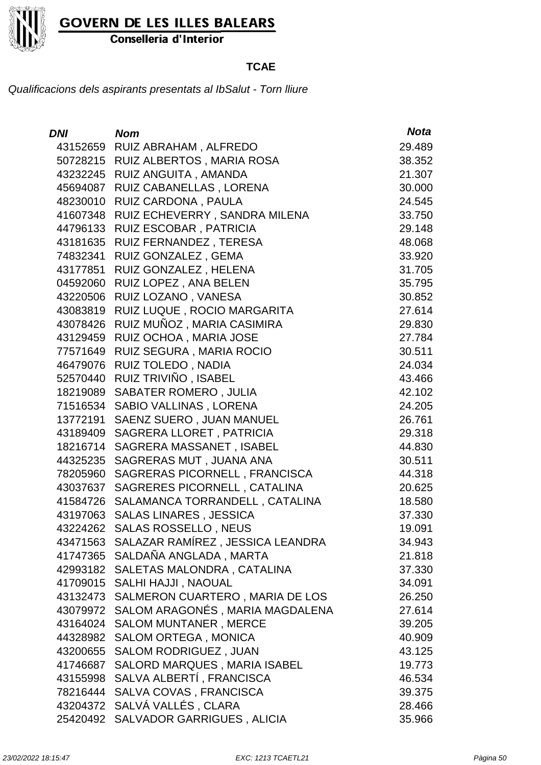

Conselleria d'Interior

### **TCAE**

| <i>DNI</i> | <b>Nom</b>                                | <b>Nota</b> |
|------------|-------------------------------------------|-------------|
| 43152659   | RUIZ ABRAHAM, ALFREDO                     | 29.489      |
| 50728215   | RUIZ ALBERTOS, MARIA ROSA                 | 38.352      |
| 43232245   | RUIZ ANGUITA, AMANDA                      | 21.307      |
| 45694087   | RUIZ CABANELLAS, LORENA                   | 30.000      |
| 48230010   | RUIZ CARDONA, PAULA                       | 24.545      |
| 41607348   | RUIZ ECHEVERRY, SANDRA MILENA             | 33.750      |
| 44796133   | RUIZ ESCOBAR, PATRICIA                    | 29.148      |
| 43181635   | RUIZ FERNANDEZ, TERESA                    | 48.068      |
| 74832341   | RUIZ GONZALEZ, GEMA                       | 33.920      |
| 43177851   | RUIZ GONZALEZ, HELENA                     | 31.705      |
| 04592060   | RUIZ LOPEZ, ANA BELEN                     | 35.795      |
| 43220506   | RUIZ LOZANO, VANESA                       | 30.852      |
| 43083819   | RUIZ LUQUE, ROCIO MARGARITA               | 27.614      |
| 43078426   | RUIZ MUÑOZ, MARIA CASIMIRA                | 29.830      |
| 43129459   | RUIZ OCHOA, MARIA JOSE                    | 27.784      |
| 77571649   | RUIZ SEGURA, MARIA ROCIO                  | 30.511      |
| 46479076   | RUIZ TOLEDO, NADIA                        | 24.034      |
| 52570440   | RUIZ TRIVIÑO, ISABEL                      | 43.466      |
| 18219089   | <b>SABATER ROMERO, JULIA</b>              | 42.102      |
| 71516534   | <b>SABIO VALLINAS, LORENA</b>             | 24.205      |
| 13772191   | SAENZ SUERO, JUAN MANUEL                  | 26.761      |
| 43189409   | SAGRERA LLORET, PATRICIA                  | 29.318      |
| 18216714   | SAGRERA MASSANET, ISABEL                  | 44.830      |
| 44325235   | SAGRERAS MUT, JUANA ANA                   | 30.511      |
| 78205960   | SAGRERAS PICORNELL, FRANCISCA             | 44.318      |
| 43037637   | SAGRERES PICORNELL, CATALINA              | 20.625      |
| 41584726   | SALAMANCA TORRANDELL, CATALINA            | 18.580      |
| 43197063   | <b>SALAS LINARES, JESSICA</b>             | 37.330      |
| 43224262   | <b>SALAS ROSSELLO, NEUS</b>               | 19.091      |
|            | 43471563 SALAZAR RAMÍREZ, JESSICA LEANDRA | 34.943      |
| 41747365   | SALDAÑA ANGLADA, MARTA                    | 21.818      |
| 42993182   | SALETAS MALONDRA, CATALINA                | 37.330      |
| 41709015   | SALHI HAJJI, NAOUAL                       | 34.091      |
| 43132473   | SALMERON CUARTERO, MARIA DE LOS           | 26.250      |
| 43079972   | SALOM ARAGONÉS, MARIA MAGDALENA           | 27.614      |
| 43164024   | <b>SALOM MUNTANER, MERCE</b>              | 39.205      |
| 44328982   | <b>SALOM ORTEGA, MONICA</b>               | 40.909      |
| 43200655   | <b>SALOM RODRIGUEZ, JUAN</b>              | 43.125      |
| 41746687   | SALORD MARQUES, MARIA ISABEL              | 19.773      |
| 43155998   | SALVA ALBERTÍ, FRANCISCA                  | 46.534      |
| 78216444   | SALVA COVAS, FRANCISCA                    | 39.375      |
| 43204372   | SALVÁ VALLÉS, CLARA                       | 28.466      |
| 25420492   | <b>SALVADOR GARRIGUES, ALICIA</b>         | 35.966      |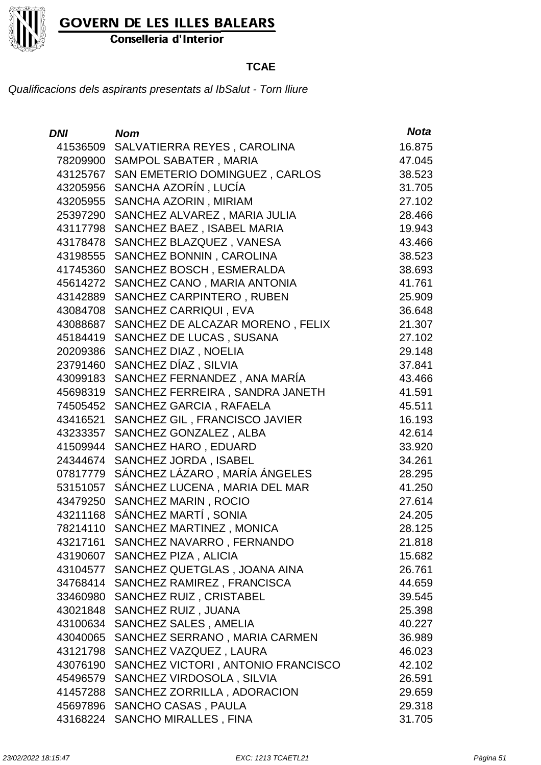

Conselleria d'Interior

### **TCAE**

| DNI      | <b>Nom</b>                         | <b>Nota</b> |
|----------|------------------------------------|-------------|
| 41536509 | SALVATIERRA REYES, CAROLINA        | 16.875      |
| 78209900 | SAMPOL SABATER, MARIA              | 47.045      |
| 43125767 | SAN EMETERIO DOMINGUEZ, CARLOS     | 38.523      |
| 43205956 | SANCHA AZORÍN, LUCÍA               | 31.705      |
| 43205955 | SANCHA AZORIN, MIRIAM              | 27.102      |
| 25397290 | SANCHEZ ALVAREZ, MARIA JULIA       | 28.466      |
| 43117798 | SANCHEZ BAEZ, ISABEL MARIA         | 19.943      |
| 43178478 | SANCHEZ BLAZQUEZ, VANESA           | 43.466      |
| 43198555 | SANCHEZ BONNIN, CAROLINA           | 38.523      |
| 41745360 | SANCHEZ BOSCH, ESMERALDA           | 38.693      |
| 45614272 | SANCHEZ CANO, MARIA ANTONIA        | 41.761      |
| 43142889 | SANCHEZ CARPINTERO, RUBEN          | 25.909      |
| 43084708 | SANCHEZ CARRIQUI, EVA              | 36.648      |
| 43088687 | SANCHEZ DE ALCAZAR MORENO, FELIX   | 21.307      |
| 45184419 | SANCHEZ DE LUCAS, SUSANA           | 27.102      |
| 20209386 | SANCHEZ DIAZ, NOELIA               | 29.148      |
| 23791460 | SANCHEZ DÍAZ, SILVIA               | 37.841      |
| 43099183 | SANCHEZ FERNANDEZ, ANA MARÍA       | 43.466      |
| 45698319 | SANCHEZ FERREIRA, SANDRA JANETH    | 41.591      |
| 74505452 | SANCHEZ GARCIA, RAFAELA            | 45.511      |
| 43416521 | SANCHEZ GIL, FRANCISCO JAVIER      | 16.193      |
| 43233357 | SANCHEZ GONZALEZ, ALBA             | 42.614      |
| 41509944 | SANCHEZ HARO, EDUARD               | 33.920      |
| 24344674 | SANCHEZ JORDA, ISABEL              | 34.261      |
| 07817779 | SÁNCHEZ LÁZARO, MARÍA ÁNGELES      | 28.295      |
| 53151057 | SÁNCHEZ LUCENA, MARIA DEL MAR      | 41.250      |
| 43479250 | SANCHEZ MARIN, ROCIO               | 27.614      |
| 43211168 | SÁNCHEZ MARTÍ, SONIA               | 24.205      |
| 78214110 | SANCHEZ MARTINEZ, MONICA           | 28.125      |
|          | 43217161 SANCHEZ NAVARRO, FERNANDO | 21.818      |
| 43190607 | SANCHEZ PIZA, ALICIA               | 15.682      |
| 43104577 | SANCHEZ QUETGLAS, JOANA AINA       | 26.761      |
| 34768414 | SANCHEZ RAMIREZ, FRANCISCA         | 44.659      |
| 33460980 | SANCHEZ RUIZ, CRISTABEL            | 39.545      |
| 43021848 | SANCHEZ RUIZ, JUANA                | 25.398      |
| 43100634 | <b>SANCHEZ SALES, AMELIA</b>       | 40.227      |
| 43040065 | SANCHEZ SERRANO, MARIA CARMEN      | 36.989      |
| 43121798 | SANCHEZ VAZQUEZ, LAURA             | 46.023      |
| 43076190 | SANCHEZ VICTORI, ANTONIO FRANCISCO | 42.102      |
| 45496579 | SANCHEZ VIRDOSOLA, SILVIA          | 26.591      |
| 41457288 | SANCHEZ ZORRILLA, ADORACION        | 29.659      |
|          | 45697896 SANCHO CASAS, PAULA       | 29.318      |
| 43168224 | <b>SANCHO MIRALLES, FINA</b>       | 31.705      |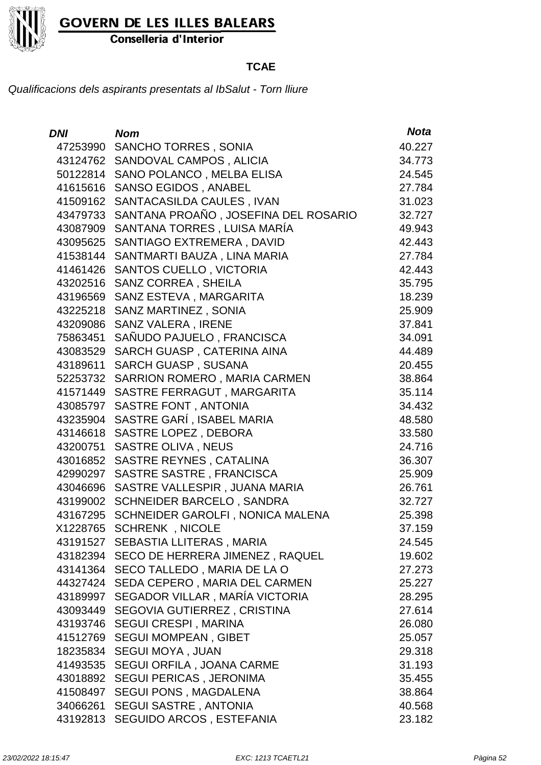

Conselleria d'Interior

### **TCAE**

| DNI      | <b>Nom</b>                                | <b>Nota</b> |
|----------|-------------------------------------------|-------------|
| 47253990 | <b>SANCHO TORRES, SONIA</b>               | 40.227      |
|          | 43124762 SANDOVAL CAMPOS, ALICIA          | 34.773      |
| 50122814 | SANO POLANCO, MELBA ELISA                 | 24.545      |
|          | 41615616 SANSO EGIDOS, ANABEL             | 27.784      |
| 41509162 | SANTACASILDA CAULES, IVAN                 | 31.023      |
| 43479733 | SANTANA PROAÑO, JOSEFINA DEL ROSARIO      | 32.727      |
| 43087909 | SANTANA TORRES, LUISA MARÍA               | 49.943      |
|          | 43095625 SANTIAGO EXTREMERA, DAVID        | 42.443      |
| 41538144 | SANTMARTI BAUZA, LINA MARIA               | 27.784      |
| 41461426 | <b>SANTOS CUELLO, VICTORIA</b>            | 42.443      |
| 43202516 | <b>SANZ CORREA, SHEILA</b>                | 35.795      |
| 43196569 | SANZ ESTEVA, MARGARITA                    | 18.239      |
| 43225218 | SANZ MARTINEZ, SONIA                      | 25.909      |
| 43209086 | <b>SANZ VALERA, IRENE</b>                 | 37.841      |
| 75863451 | SAÑUDO PAJUELO, FRANCISCA                 | 34.091      |
|          | 43083529 SARCH GUASP, CATERINA AINA       | 44.489      |
| 43189611 | <b>SARCH GUASP, SUSANA</b>                | 20.455      |
| 52253732 | SARRION ROMERO, MARIA CARMEN              | 38.864      |
| 41571449 | SASTRE FERRAGUT, MARGARITA                | 35.114      |
| 43085797 | SASTRE FONT, ANTONIA                      | 34.432      |
| 43235904 | SASTRE GARÍ, ISABEL MARIA                 | 48.580      |
| 43146618 | <b>SASTRE LOPEZ, DEBORA</b>               | 33.580      |
| 43200751 | <b>SASTRE OLIVA, NEUS</b>                 | 24.716      |
| 43016852 | SASTRE REYNES, CATALINA                   | 36.307      |
| 42990297 | SASTRE SASTRE, FRANCISCA                  | 25.909      |
| 43046696 | SASTRE VALLESPIR, JUANA MARIA             | 26.761      |
| 43199002 | <b>SCHNEIDER BARCELO, SANDRA</b>          | 32.727      |
|          | 43167295 SCHNEIDER GAROLFI, NONICA MALENA | 25.398      |
|          | X1228765 SCHRENK, NICOLE                  | 37.159      |
|          | 43191527 SEBASTIA LLITERAS, MARIA         | 24.545      |
|          | 43182394 SECO DE HERRERA JIMENEZ, RAQUEL  | 19.602      |
|          | 43141364 SECO TALLEDO, MARIA DE LA O      | 27.273      |
| 44327424 | SEDA CEPERO, MARIA DEL CARMEN             | 25.227      |
|          | 43189997 SEGADOR VILLAR, MARÍA VICTORIA   | 28.295      |
| 43093449 | SEGOVIA GUTIERREZ, CRISTINA               | 27.614      |
|          | 43193746 SEGUI CRESPI, MARINA             | 26.080      |
|          | 41512769 SEGUI MOMPEAN, GIBET             | 25.057      |
|          | 18235834 SEGUI MOYA, JUAN                 | 29.318      |
| 41493535 | <b>SEGUI ORFILA, JOANA CARME</b>          | 31.193      |
|          | 43018892 SEGUI PERICAS, JERONIMA          | 35.455      |
| 41508497 | <b>SEGUI PONS, MAGDALENA</b>              | 38.864      |
| 34066261 | <b>SEGUI SASTRE, ANTONIA</b>              | 40.568      |
| 43192813 | SEGUIDO ARCOS, ESTEFANIA                  | 23.182      |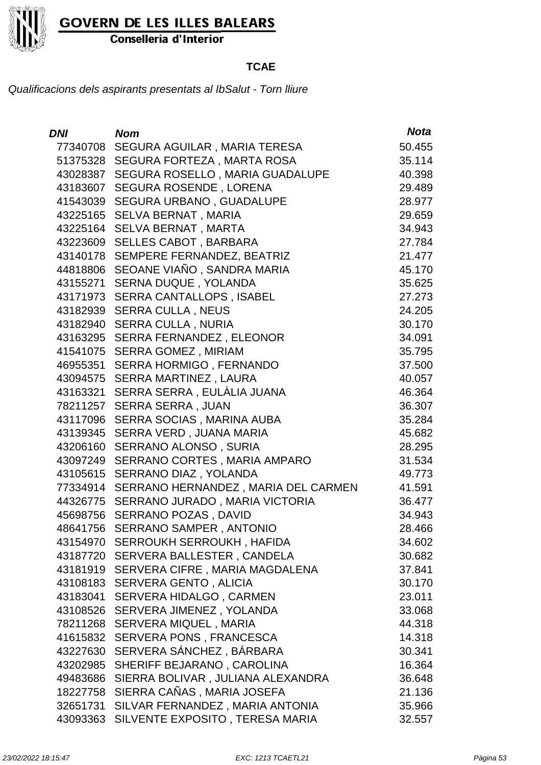Conselleria d'Interior

### **TCAE**

| DNI      | <b>Nom</b>                              | <b>Nota</b> |
|----------|-----------------------------------------|-------------|
| 77340708 | SEGURA AGUILAR, MARIA TERESA            | 50.455      |
| 51375328 | SEGURA FORTEZA, MARTA ROSA              | 35.114      |
| 43028387 | SEGURA ROSELLO, MARIA GUADALUPE         | 40.398      |
| 43183607 | <b>SEGURA ROSENDE, LORENA</b>           | 29.489      |
| 41543039 | <b>SEGURA URBANO, GUADALUPE</b>         | 28.977      |
| 43225165 | SELVA BERNAT, MARIA                     | 29.659      |
| 43225164 | <b>SELVA BERNAT, MARTA</b>              | 34.943      |
| 43223609 | <b>SELLES CABOT, BARBARA</b>            | 27.784      |
| 43140178 | SEMPERE FERNANDEZ, BEATRIZ              | 21.477      |
| 44818806 | SEOANE VIAÑO, SANDRA MARIA              | 45.170      |
| 43155271 | <b>SERNA DUQUE, YOLANDA</b>             | 35.625      |
| 43171973 | <b>SERRA CANTALLOPS, ISABEL</b>         | 27.273      |
| 43182939 | <b>SERRA CULLA, NEUS</b>                | 24.205      |
| 43182940 | <b>SERRA CULLA, NURIA</b>               | 30.170      |
| 43163295 | <b>SERRA FERNANDEZ, ELEONOR</b>         | 34.091      |
| 41541075 | <b>SERRA GOMEZ, MIRIAM</b>              | 35.795      |
| 46955351 | <b>SERRA HORMIGO, FERNANDO</b>          | 37.500      |
| 43094575 | SERRA MARTINEZ, LAURA                   | 40.057      |
| 43163321 | SERRA SERRA, EULÀLIA JUANA              | 46.364      |
| 78211257 | <b>SERRA SERRA, JUAN</b>                | 36.307      |
| 43117096 | SERRA SOCIAS, MARINA AUBA               | 35.284      |
| 43139345 | SERRA VERD, JUANA MARIA                 | 45.682      |
| 43206160 | SERRANO ALONSO, SURIA                   | 28.295      |
| 43097249 | SERRANO CORTES, MARIA AMPARO            | 31.534      |
| 43105615 | SERRANO DIAZ, YOLANDA                   | 49.773      |
| 77334914 | SERRANO HERNANDEZ, MARIA DEL CARMEN     | 41.591      |
| 44326775 | SERRANO JURADO, MARIA VICTORIA          | 36.477      |
| 45698756 | <b>SERRANO POZAS, DAVID</b>             | 34.943      |
| 48641756 | <b>SERRANO SAMPER, ANTONIO</b>          | 28.466      |
|          | 43154970 SERROUKH SERROUKH, HAFIDA      | 34.602      |
|          | 43187720 SERVERA BALLESTER, CANDELA     | 30.682      |
|          | 43181919 SERVERA CIFRE, MARIA MAGDALENA | 37.841      |
| 43108183 | SERVERA GENTO, ALICIA                   | 30.170      |
| 43183041 | <b>SERVERA HIDALGO, CARMEN</b>          | 23.011      |
| 43108526 | SERVERA JIMENEZ, YOLANDA                | 33.068      |
| 78211268 | SERVERA MIQUEL, MARIA                   | 44.318      |
| 41615832 | SERVERA PONS, FRANCESCA                 | 14.318      |
| 43227630 | SERVERA SÁNCHEZ, BÁRBARA                | 30.341      |
| 43202985 | SHERIFF BEJARANO, CAROLINA              | 16.364      |
| 49483686 | SIERRA BOLIVAR, JULIANA ALEXANDRA       | 36.648      |
| 18227758 | SIERRA CAÑAS, MARIA JOSEFA              | 21.136      |
| 32651731 | SILVAR FERNANDEZ, MARIA ANTONIA         | 35.966      |
| 43093363 | SILVENTE EXPOSITO, TERESA MARIA         | 32.557      |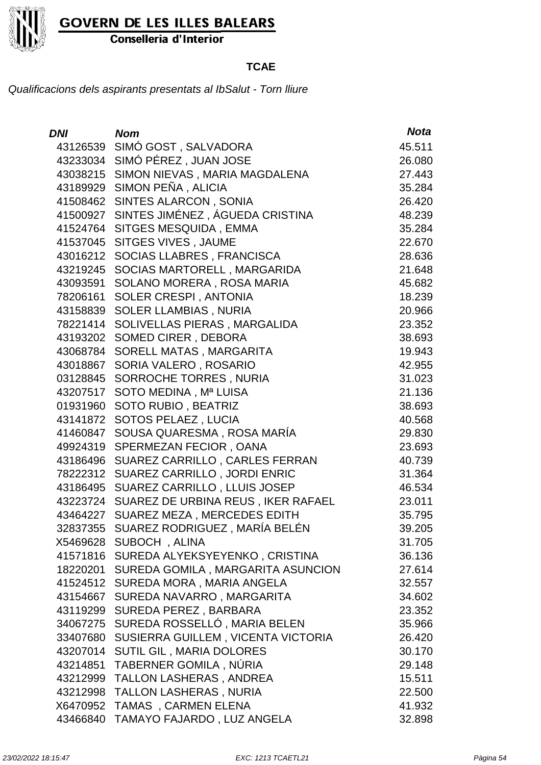

Conselleria d'Interior

### **TCAE**

| <b>DNI</b> | <b>Nom</b>                         | <b>Nota</b> |
|------------|------------------------------------|-------------|
| 43126539   | SIMÓ GOST, SALVADORA               | 45.511      |
|            | 43233034 SIMÓ PÉREZ, JUAN JOSE     | 26.080      |
| 43038215   | SIMON NIEVAS, MARIA MAGDALENA      | 27.443      |
|            | 43189929 SIMON PEÑA, ALICIA        | 35.284      |
| 41508462   | SINTES ALARCON, SONIA              | 26.420      |
| 41500927   | SINTES JIMÉNEZ, ÁGUEDA CRISTINA    | 48.239      |
| 41524764   | SITGES MESQUIDA, EMMA              | 35.284      |
| 41537045   | SITGES VIVES, JAUME                | 22.670      |
| 43016212   | SOCIAS LLABRES, FRANCISCA          | 28.636      |
| 43219245   | SOCIAS MARTORELL, MARGARIDA        | 21.648      |
| 43093591   | SOLANO MORERA, ROSA MARIA          | 45.682      |
| 78206161   | SOLER CRESPI, ANTONIA              | 18.239      |
| 43158839   | <b>SOLER LLAMBIAS, NURIA</b>       | 20.966      |
| 78221414   | SOLIVELLAS PIERAS, MARGALIDA       | 23.352      |
| 43193202   | <b>SOMED CIRER, DEBORA</b>         | 38.693      |
| 43068784   | SORELL MATAS, MARGARITA            | 19.943      |
| 43018867   | SORIA VALERO, ROSARIO              | 42.955      |
| 03128845   | SORROCHE TORRES, NURIA             | 31.023      |
| 43207517   | SOTO MEDINA, Mª LUISA              | 21.136      |
| 01931960   | SOTO RUBIO, BEATRIZ                | 38.693      |
| 43141872   | SOTOS PELAEZ, LUCIA                | 40.568      |
| 41460847   | SOUSA QUARESMA, ROSA MARÍA         | 29.830      |
| 49924319   | SPERMEZAN FECIOR, OANA             | 23.693      |
| 43186496   | SUAREZ CARRILLO, CARLES FERRAN     | 40.739      |
| 78222312   | SUAREZ CARRILLO, JORDI ENRIC       | 31.364      |
| 43186495   | SUAREZ CARRILLO, LLUIS JOSEP       | 46.534      |
| 43223724   | SUAREZ DE URBINA REUS, IKER RAFAEL | 23.011      |
| 43464227   | SUAREZ MEZA, MERCEDES EDITH        | 35.795      |
| 32837355   | SUAREZ RODRIGUEZ , MARÍA BELÉN     | 39.205      |
| X5469628   | SUBOCH, ALINA                      | 31.705      |
| 41571816   | SUREDA ALYEKSYEYENKO, CRISTINA     | 36.136      |
| 18220201   | SUREDA GOMILA, MARGARITA ASUNCION  | 27.614      |
| 41524512   | SUREDA MORA, MARIA ANGELA          | 32.557      |
| 43154667   | SUREDA NAVARRO, MARGARITA          | 34.602      |
| 43119299   | SUREDA PEREZ, BARBARA              | 23.352      |
| 34067275   | SUREDA ROSSELLÓ, MARIA BELEN       | 35.966      |
| 33407680   | SUSIERRA GUILLEM, VICENTA VICTORIA | 26.420      |
| 43207014   | SUTIL GIL, MARIA DOLORES           | 30.170      |
| 43214851   | TABERNER GOMILA, NÚRIA             | 29.148      |
| 43212999   | <b>TALLON LASHERAS, ANDREA</b>     | 15.511      |
| 43212998   | <b>TALLON LASHERAS, NURIA</b>      | 22.500      |
| X6470952   | TAMAS, CARMEN ELENA                | 41.932      |
| 43466840   | TAMAYO FAJARDO, LUZ ANGELA         | 32.898      |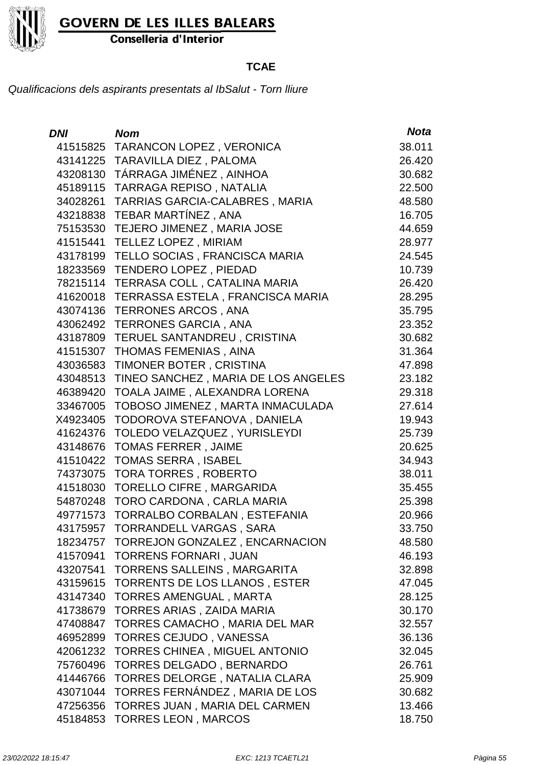

Conselleria d'Interior

### **TCAE**

| <b>DNI</b> | <b>Nom</b>                              | <b>Nota</b> |
|------------|-----------------------------------------|-------------|
| 41515825   | <b>TARANCON LOPEZ, VERONICA</b>         | 38.011      |
| 43141225   | <b>TARAVILLA DIEZ, PALOMA</b>           | 26.420      |
| 43208130   | TÁRRAGA JIMÉNEZ, AINHOA                 | 30.682      |
| 45189115   | TARRAGA REPISO, NATALIA                 | 22.500      |
| 34028261   | TARRIAS GARCIA-CALABRES, MARIA          | 48.580      |
| 43218838   | TEBAR MARTÍNEZ, ANA                     | 16.705      |
| 75153530   | TEJERO JIMENEZ, MARIA JOSE              | 44.659      |
| 41515441   | <b>TELLEZ LOPEZ, MIRIAM</b>             | 28.977      |
| 43178199   | TELLO SOCIAS, FRANCISCA MARIA           | 24.545      |
| 18233569   | <b>TENDERO LOPEZ, PIEDAD</b>            | 10.739      |
| 78215114   | TERRASA COLL, CATALINA MARIA            | 26.420      |
| 41620018   | TERRASSA ESTELA, FRANCISCA MARIA        | 28.295      |
| 43074136   | <b>TERRONES ARCOS, ANA</b>              | 35.795      |
| 43062492   | <b>TERRONES GARCIA, ANA</b>             | 23.352      |
| 43187809   | TERUEL SANTANDREU, CRISTINA             | 30.682      |
| 41515307   | <b>THOMAS FEMENIAS, AINA</b>            | 31.364      |
| 43036583   | TIMONER BOTER, CRISTINA                 | 47.898      |
| 43048513   | TINEO SANCHEZ, MARIA DE LOS ANGELES     | 23.182      |
| 46389420   | TOALA JAIME, ALEXANDRA LORENA           | 29.318      |
| 33467005   | TOBOSO JIMENEZ, MARTA INMACULADA        | 27.614      |
| X4923405   | TODOROVA STEFANOVA, DANIELA             | 19.943      |
| 41624376   | TOLEDO VELAZQUEZ, YURISLEYDI            | 25.739      |
| 43148676   | <b>TOMAS FERRER, JAIME</b>              | 20.625      |
| 41510422   | <b>TOMAS SERRA, ISABEL</b>              | 34.943      |
| 74373075   | <b>TORA TORRES, ROBERTO</b>             | 38.011      |
| 41518030   | <b>TORELLO CIFRE, MARGARIDA</b>         | 35.455      |
| 54870248   | TORO CARDONA, CARLA MARIA               | 25.398      |
| 49771573   | TORRALBO CORBALAN, ESTEFANIA            | 20.966      |
| 43175957   | TORRANDELL VARGAS , SARA                | 33.750      |
|            | 18234757 TORREJON GONZALEZ, ENCARNACION | 48.580      |
| 41570941   | <b>TORRENS FORNARI, JUAN</b>            | 46.193      |
| 43207541   | <b>TORRENS SALLEINS, MARGARITA</b>      | 32.898      |
| 43159615   | TORRENTS DE LOS LLANOS, ESTER           | 47.045      |
| 43147340   | <b>TORRES AMENGUAL, MARTA</b>           | 28.125      |
| 41738679   | TORRES ARIAS, ZAIDA MARIA               | 30.170      |
| 47408847   | TORRES CAMACHO, MARIA DEL MAR           | 32.557      |
| 46952899   | TORRES CEJUDO, VANESSA                  | 36.136      |
| 42061232   | <b>TORRES CHINEA, MIGUEL ANTONIO</b>    | 32.045      |
| 75760496   | <b>TORRES DELGADO, BERNARDO</b>         | 26.761      |
| 41446766   | TORRES DELORGE, NATALIA CLARA           | 25.909      |
| 43071044   | TORRES FERNÁNDEZ, MARIA DE LOS          | 30.682      |
| 47256356   | TORRES JUAN, MARIA DEL CARMEN           | 13.466      |
| 45184853   | <b>TORRES LEON, MARCOS</b>              | 18.750      |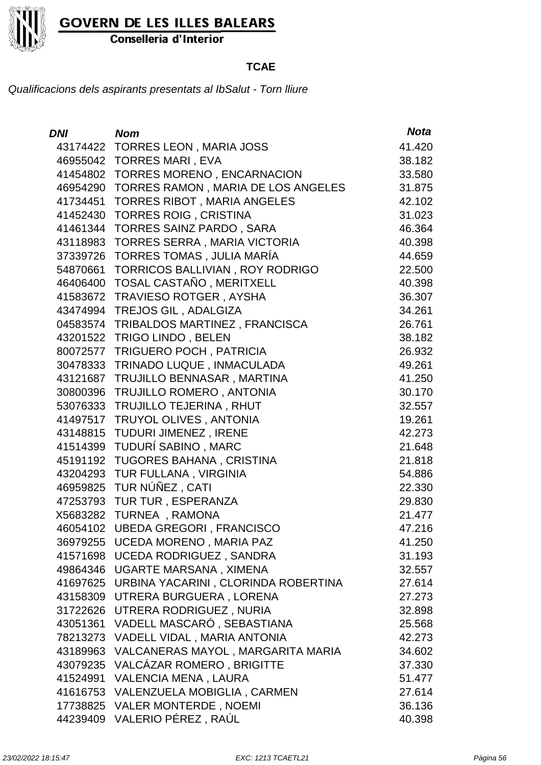

Conselleria d'Interior

### **TCAE**

| <b>DNI</b> | <b>Nom</b>                          | <b>Nota</b> |
|------------|-------------------------------------|-------------|
| 43174422   | <b>TORRES LEON, MARIA JOSS</b>      | 41.420      |
| 46955042   | <b>TORRES MARI, EVA</b>             | 38.182      |
| 41454802   | <b>TORRES MORENO, ENCARNACION</b>   | 33.580      |
| 46954290   | TORRES RAMON, MARIA DE LOS ANGELES  | 31.875      |
| 41734451   | <b>TORRES RIBOT, MARIA ANGELES</b>  | 42.102      |
| 41452430   | <b>TORRES ROIG, CRISTINA</b>        | 31.023      |
| 41461344   | <b>TORRES SAINZ PARDO, SARA</b>     | 46.364      |
| 43118983   | TORRES SERRA, MARIA VICTORIA        | 40.398      |
| 37339726   | TORRES TOMAS, JULIA MARÍA           | 44.659      |
| 54870661   | TORRICOS BALLIVIAN, ROY RODRIGO     | 22.500      |
| 46406400   | TOSAL CASTAÑO, MERITXELL            | 40.398      |
| 41583672   | <b>TRAVIESO ROTGER, AYSHA</b>       | 36.307      |
| 43474994   | TREJOS GIL, ADALGIZA                | 34.261      |
| 04583574   | TRIBALDOS MARTINEZ, FRANCISCA       | 26.761      |
| 43201522   | TRIGO LINDO, BELEN                  | 38.182      |
| 80072577   | TRIGUERO POCH, PATRICIA             | 26.932      |
| 30478333   | TRINADO LUQUE, INMACULADA           | 49.261      |
| 43121687   | TRUJILLO BENNASAR, MARTINA          | 41.250      |
| 30800396   | TRUJILLO ROMERO, ANTONIA            | 30.170      |
| 53076333   | <b>TRUJILLO TEJERINA, RHUT</b>      | 32.557      |
| 41497517   | <b>TRUYOL OLIVES, ANTONIA</b>       | 19.261      |
| 43148815   | TUDURI JIMENEZ, IRENE               | 42.273      |
| 41514399   | TUDURÍ SABINO, MARC                 | 21.648      |
| 45191192   | TUGORES BAHANA, CRISTINA            | 21.818      |
| 43204293   | TUR FULLANA, VIRGINIA               | 54.886      |
| 46959825   | TUR NÚÑEZ, CATI                     | 22.330      |
| 47253793   | TUR TUR, ESPERANZA                  | 29.830      |
| X5683282   | TURNEA, RAMONA                      | 21.477      |
| 46054102   | <b>UBEDA GREGORI, FRANCISCO</b>     | 47.216      |
| 36979255   | UCEDA MORENO, MARIA PAZ             | 41.250      |
| 41571698   | <b>UCEDA RODRIGUEZ, SANDRA</b>      | 31.193      |
| 49864346   | UGARTE MARSANA, XIMENA              | 32.557      |
| 41697625   | URBINA YACARINI, CLORINDA ROBERTINA | 27.614      |
| 43158309   | UTRERA BURGUERA, LORENA             | 27.273      |
| 31722626   | UTRERA RODRIGUEZ, NURIA             | 32.898      |
| 43051361   | VADELL MASCARÓ, SEBASTIANA          | 25.568      |
| 78213273   | VADELL VIDAL, MARIA ANTONIA         | 42.273      |
| 43189963   | VALCANERAS MAYOL, MARGARITA MARIA   | 34.602      |
| 43079235   | <b>VALCÁZAR ROMERO, BRIGITTE</b>    | 37.330      |
| 41524991   | <b>VALENCIA MENA, LAURA</b>         | 51.477      |
| 41616753   | VALENZUELA MOBIGLIA, CARMEN         | 27.614      |
|            | 17738825 VALER MONTERDE, NOEMI      | 36.136      |
| 44239409   | VALERIO PÉREZ, RAÚL                 | 40.398      |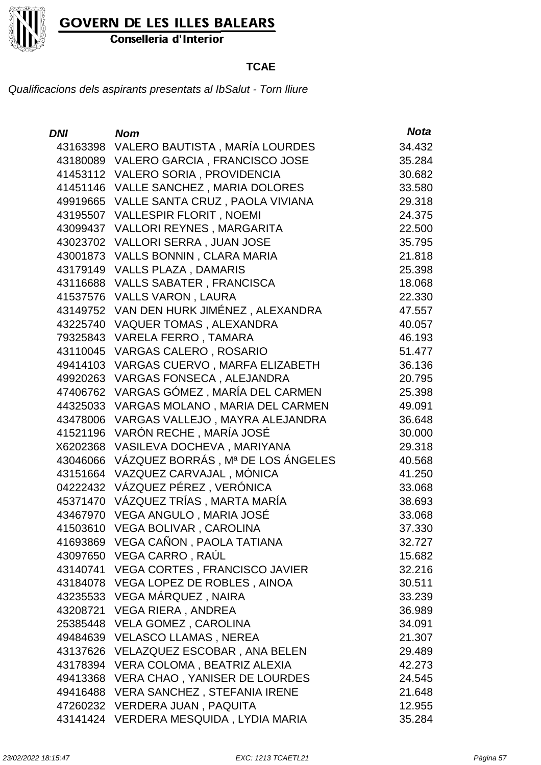

Conselleria d'Interior

### **TCAE**

| <b>DNI</b> | <b>Nom</b>                              | <b>Nota</b> |
|------------|-----------------------------------------|-------------|
|            | 43163398 VALERO BAUTISTA, MARÍA LOURDES | 34.432      |
| 43180089   | VALERO GARCIA, FRANCISCO JOSE           | 35.284      |
|            | 41453112 VALERO SORIA, PROVIDENCIA      | 30.682      |
| 41451146   | VALLE SANCHEZ, MARIA DOLORES            | 33.580      |
| 49919665   | VALLE SANTA CRUZ, PAOLA VIVIANA         | 29.318      |
| 43195507   | <b>VALLESPIR FLORIT, NOEMI</b>          | 24.375      |
| 43099437   | <b>VALLORI REYNES, MARGARITA</b>        | 22.500      |
| 43023702   | VALLORI SERRA, JUAN JOSE                | 35.795      |
| 43001873   | VALLS BONNIN, CLARA MARIA               | 21.818      |
| 43179149   | <b>VALLS PLAZA, DAMARIS</b>             | 25.398      |
| 43116688   | <b>VALLS SABATER, FRANCISCA</b>         | 18.068      |
| 41537576   | <b>VALLS VARON, LAURA</b>               | 22.330      |
| 43149752   | VAN DEN HURK JIMÉNEZ, ALEXANDRA         | 47.557      |
| 43225740   | <b>VAQUER TOMAS, ALEXANDRA</b>          | 40.057      |
| 79325843   | VARELA FERRO, TAMARA                    | 46.193      |
| 43110045   | <b>VARGAS CALERO, ROSARIO</b>           | 51.477      |
| 49414103   | VARGAS CUERVO, MARFA ELIZABETH          | 36.136      |
| 49920263   | VARGAS FONSECA, ALEJANDRA               | 20.795      |
| 47406762   | VARGAS GÓMEZ, MARÍA DEL CARMEN          | 25.398      |
| 44325033   | VARGAS MOLANO, MARIA DEL CARMEN         | 49.091      |
| 43478006   | VARGAS VALLEJO, MAYRA ALEJANDRA         | 36.648      |
| 41521196   | VARÓN RECHE, MARÍA JOSÉ                 | 30.000      |
| X6202368   | VASILEVA DOCHEVA, MARIYANA              | 29.318      |
| 43046066   | VÁZQUEZ BORRÁS, Mª DE LOS ÁNGELES       | 40.568      |
| 43151664   | VAZQUEZ CARVAJAL, MÓNICA                | 41.250      |
| 04222432   | VÁZQUEZ PÉREZ, VERÓNICA                 | 33.068      |
| 45371470   | VÁZQUEZ TRÍAS , MARTA MARÍA             | 38.693      |
| 43467970   | VEGA ANGULO, MARIA JOSÉ                 | 33.068      |
| 41503610   | VEGA BOLIVAR, CAROLINA                  | 37.330      |
|            | 41693869 VEGA CAÑON, PAOLA TATIANA      | 32.727      |
|            | 43097650 VEGA CARRO, RAÚL               | 15.682      |
|            | 43140741 VEGA CORTES, FRANCISCO JAVIER  | 32.216      |
|            | 43184078 VEGA LOPEZ DE ROBLES, AINOA    | 30.511      |
|            | 43235533 VEGA MÁRQUEZ, NAIRA            | 33.239      |
| 43208721   | VEGA RIERA, ANDREA                      | 36.989      |
|            | 25385448 VELA GOMEZ, CAROLINA           | 34.091      |
|            | 49484639 VELASCO LLAMAS, NEREA          | 21.307      |
|            | 43137626 VELAZQUEZ ESCOBAR, ANA BELEN   | 29.489      |
| 43178394   | VERA COLOMA, BEATRIZ ALEXIA             | 42.273      |
| 49413368   | VERA CHAO, YANISER DE LOURDES           | 24.545      |
|            | 49416488 VERA SANCHEZ, STEFANIA IRENE   | 21.648      |
|            | 47260232 VERDERA JUAN, PAQUITA          | 12.955      |
|            | 43141424 VERDERA MESQUIDA, LYDIA MARIA  | 35.284      |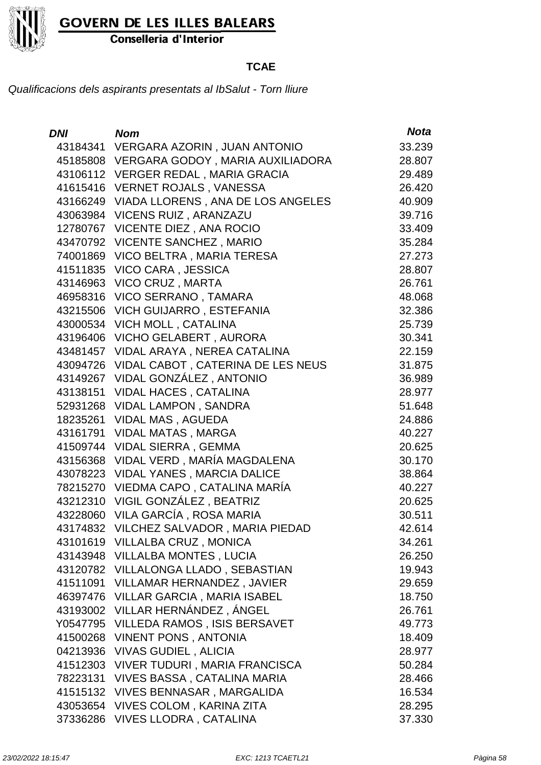

Conselleria d'Interior

### **TCAE**

| <b>DNI</b> | <b>Nom</b>                                | <b>Nota</b> |
|------------|-------------------------------------------|-------------|
| 43184341   | VERGARA AZORIN, JUAN ANTONIO              | 33.239      |
|            | 45185808 VERGARA GODOY, MARIA AUXILIADORA | 28.807      |
|            | 43106112 VERGER REDAL, MARIA GRACIA       | 29.489      |
| 41615416   | <b>VERNET ROJALS, VANESSA</b>             | 26.420      |
| 43166249   | VIADA LLORENS, ANA DE LOS ANGELES         | 40.909      |
| 43063984   | VICENS RUIZ, ARANZAZU                     | 39.716      |
| 12780767   | VICENTE DIEZ, ANA ROCIO                   | 33.409      |
| 43470792   | <b>VICENTE SANCHEZ, MARIO</b>             | 35.284      |
| 74001869   | VICO BELTRA, MARIA TERESA                 | 27.273      |
| 41511835   | VICO CARA, JESSICA                        | 28.807      |
| 43146963   | VICO CRUZ, MARTA                          | 26.761      |
| 46958316   | VICO SERRANO, TAMARA                      | 48.068      |
| 43215506   | <b>VICH GUIJARRO, ESTEFANIA</b>           | 32.386      |
| 43000534   | VICH MOLL, CATALINA                       | 25.739      |
| 43196406   | <b>VICHO GELABERT, AURORA</b>             | 30.341      |
| 43481457   | VIDAL ARAYA, NEREA CATALINA               | 22.159      |
| 43094726   | VIDAL CABOT, CATERINA DE LES NEUS         | 31.875      |
| 43149267   | VIDAL GONZÁLEZ, ANTONIO                   | 36.989      |
| 43138151   | <b>VIDAL HACES, CATALINA</b>              | 28.977      |
| 52931268   | <b>VIDAL LAMPON, SANDRA</b>               | 51.648      |
| 18235261   | <b>VIDAL MAS, AGUEDA</b>                  | 24.886      |
| 43161791   | <b>VIDAL MATAS, MARGA</b>                 | 40.227      |
| 41509744   | <b>VIDAL SIERRA, GEMMA</b>                | 20.625      |
| 43156368   | VIDAL VERD, MARÍA MAGDALENA               | 30.170      |
| 43078223   | <b>VIDAL YANES, MARCIA DALICE</b>         | 38.864      |
| 78215270   | VIEDMA CAPO, CATALINA MARÍA               | 40.227      |
| 43212310   | VIGIL GONZÁLEZ, BEATRIZ                   | 20.625      |
| 43228060   | VILA GARCÍA, ROSA MARIA                   | 30.511      |
| 43174832   | VILCHEZ SALVADOR, MARIA PIEDAD            | 42.614      |
| 43101619   | VILLALBA CRUZ, MONICA                     | 34.261      |
| 43143948   | <b>VILLALBA MONTES, LUCIA</b>             | 26.250      |
| 43120782   | VILLALONGA LLADO, SEBASTIAN               | 19.943      |
| 41511091   | <b>VILLAMAR HERNANDEZ, JAVIER</b>         | 29.659      |
| 46397476   | <b>VILLAR GARCIA, MARIA ISABEL</b>        | 18.750      |
| 43193002   | VILLAR HERNÁNDEZ, ÁNGEL                   | 26.761      |
| Y0547795   | <b>VILLEDA RAMOS, ISIS BERSAVET</b>       | 49.773      |
| 41500268   | <b>VINENT PONS, ANTONIA</b>               | 18.409      |
| 04213936   | <b>VIVAS GUDIEL, ALICIA</b>               | 28.977      |
| 41512303   | <b>VIVER TUDURI, MARIA FRANCISCA</b>      | 50.284      |
| 78223131   | <b>VIVES BASSA, CATALINA MARIA</b>        | 28.466      |
| 41515132   | <b>VIVES BENNASAR, MARGALIDA</b>          | 16.534      |
| 43053654   | <b>VIVES COLOM, KARINA ZITA</b>           | 28.295      |
| 37336286   | <b>VIVES LLODRA, CATALINA</b>             | 37.330      |